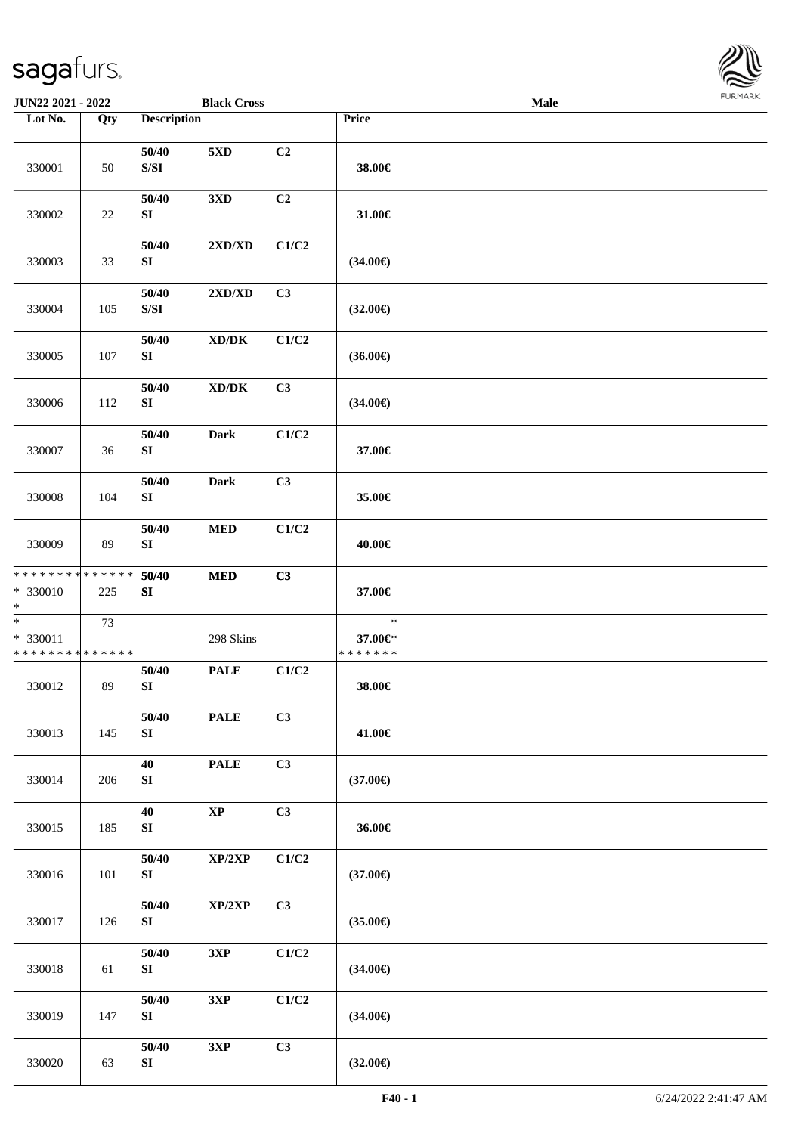

| <b>JUN22 2021 - 2022</b>                            |                   |                                                                                                 | <b>Black Cross</b>                  |       |                                    | <b>Male</b> |  |
|-----------------------------------------------------|-------------------|-------------------------------------------------------------------------------------------------|-------------------------------------|-------|------------------------------------|-------------|--|
| Lot No.                                             | $\overline{Q}$ ty | <b>Description</b>                                                                              |                                     |       | Price                              |             |  |
| 330001                                              | 50                | 50/40<br>$\ensuremath{\mathrm{S}}\xspace/\ensuremath{\mathrm{S}}\xspace\ensuremath{\mathrm{I}}$ | 5XD                                 | C2    | 38.00€                             |             |  |
| 330002                                              | 22                | 50/40<br>SI                                                                                     | 3 <sub>xD</sub>                     | C2    | 31.00€                             |             |  |
| 330003                                              | 33                | 50/40<br>${\bf SI}$                                                                             | 2XD/XD                              | C1/C2 | $(34.00\epsilon)$                  |             |  |
| 330004                                              | 105               | 50/40<br>$\ensuremath{\mathrm{S}}\xspace/\ensuremath{\mathrm{S}}\xspace\ensuremath{\mathrm{I}}$ | 2XD/XD                              | C3    | $(32.00\epsilon)$                  |             |  |
| 330005                                              | 107               | 50/40<br>${\bf SI}$                                                                             | $\bold{X}\bold{D}/\bold{D}\bold{K}$ | C1/C2 | $(36.00\epsilon)$                  |             |  |
| 330006                                              | 112               | 50/40<br>${\bf S}{\bf I}$                                                                       | $\bold{X}\bold{D}/\bold{D}\bold{K}$ | C3    | $(34.00\epsilon)$                  |             |  |
| 330007                                              | 36                | 50/40<br>${\bf S}{\bf I}$                                                                       | Dark                                | C1/C2 | 37.00€                             |             |  |
| 330008                                              | 104               | 50/40<br>SI                                                                                     | <b>Dark</b>                         | C3    | 35.00€                             |             |  |
| 330009                                              | 89                | 50/40<br>${\bf SI}$                                                                             | $\bf MED$                           | C1/C2 | 40.00€                             |             |  |
| * * * * * * * * * * * * * *<br>$* 330010$<br>$*$    | 225               | 50/40<br>SI                                                                                     | $\bf MED$                           | C3    | 37.00€                             |             |  |
| $\ast$<br>$* 330011$<br>* * * * * * * * * * * * * * | 73                |                                                                                                 | 298 Skins                           |       | $\ast$<br>37.00€*<br>* * * * * * * |             |  |
| 330012                                              | 89                | 50/40<br>${\bf S}{\bf I}$                                                                       | <b>PALE</b>                         | C1/C2 | 38.00€                             |             |  |
| 330013                                              | 145               | 50/40<br>${\bf S}{\bf I}$                                                                       | <b>PALE</b>                         | C3    | 41.00€                             |             |  |
| 330014                                              | 206               | 40<br>SI                                                                                        | <b>PALE</b>                         | C3    | $(37.00\epsilon)$                  |             |  |
| 330015                                              | 185               | 40<br>SI                                                                                        | $\mathbf{X}\mathbf{P}$              | C3    | 36.00€                             |             |  |
| 330016                                              | 101               | 50/40<br>SI                                                                                     | $\mathbf{XP}/2\mathbf{XP}$          | C1/C2 | $(37.00\epsilon)$                  |             |  |
| 330017                                              | 126               | 50/40<br>SI                                                                                     | XP/2XP                              | C3    | $(35.00\epsilon)$                  |             |  |
| 330018                                              | 61                | 50/40<br>SI                                                                                     | 3XP                                 | C1/C2 | $(34.00\epsilon)$                  |             |  |
| 330019                                              | 147               | 50/40<br>SI                                                                                     | 3XP                                 | C1/C2 | $(34.00\epsilon)$                  |             |  |
| 330020                                              | 63                | 50/40<br>${\bf S}{\bf I}$                                                                       | 3XP                                 | C3    | $(32.00\in)$                       |             |  |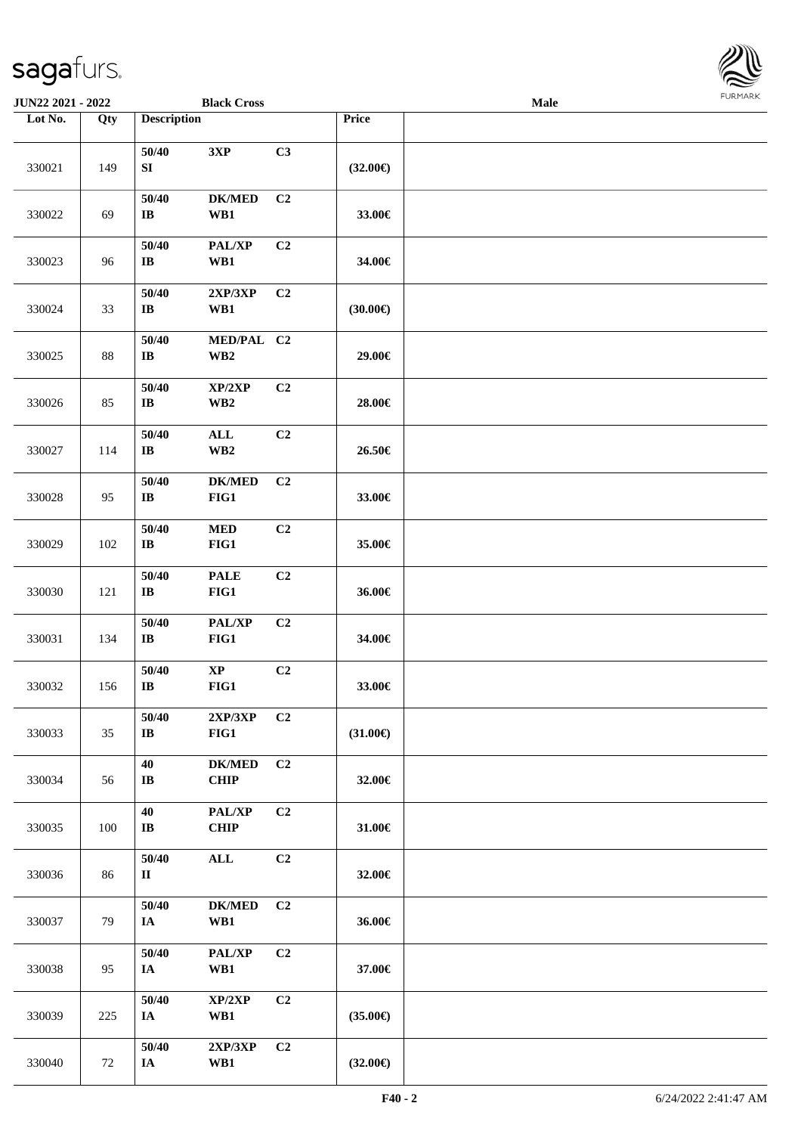

| <b>JUN22 2021 - 2022</b> |     |                                 | <b>Black Cross</b>                        |                |                   | <b>Male</b> |  |
|--------------------------|-----|---------------------------------|-------------------------------------------|----------------|-------------------|-------------|--|
| Lot No.                  | Qty | <b>Description</b>              |                                           |                | Price             |             |  |
| 330021                   | 149 | 50/40<br>SI                     | 3XP                                       | C3             | $(32.00\epsilon)$ |             |  |
| 330022                   | 69  | 50/40<br>$\mathbf{I}\mathbf{B}$ | <b>DK/MED</b><br>WB1                      | C2             | 33.00€            |             |  |
| 330023                   | 96  | 50/40<br>$\bf{IB}$              | PAL/XP<br>WB1                             | C2             | 34.00€            |             |  |
| 330024                   | 33  | 50/40<br>$\bf IB$               | 2XP/3XP<br>WB1                            | C <sub>2</sub> | (30.00)           |             |  |
| 330025                   | 88  | 50/40<br>$\bf I\bf B$           | MED/PAL C2<br>$\mathbf{W}\mathbf{B2}$     |                | 29.00€            |             |  |
| 330026                   | 85  | 50/40<br>$\bf{IB}$              | XP/2XP<br>WB <sub>2</sub>                 | C2             | 28.00€            |             |  |
| 330027                   | 114 | 50/40<br>$\bf IB$               | $\mathbf{ALL}$<br>$\mathbf{W}\mathbf{B2}$ | C2             | 26.50€            |             |  |
| 330028                   | 95  | 50/40<br>$\bf IB$               | <b>DK/MED</b><br>FIG1                     | C2             | 33.00€            |             |  |
| 330029                   | 102 | 50/40<br>$\bf IB$               | $\bf MED$<br>FIG1                         | C2             | 35.00€            |             |  |
| 330030                   | 121 | 50/40<br>$\bf IB$               | $\ensuremath{\mathsf{PALE}}$<br>FIG1      | C2             | 36.00€            |             |  |
| 330031                   | 134 | 50/40<br>$\bf{IB}$              | PAL/XP<br>FIG1                            | C2             | 34.00€            |             |  |
| 330032                   | 156 | 50/40<br>$\mathbf{I}\mathbf{B}$ | $\bold{XP}$<br>FIG1                       | C2             | 33.00€            |             |  |
| 330033                   | 35  | 50/40<br>$\bf IB$               | 2XP/3XP<br>FIG1                           | C <sub>2</sub> | $(31.00\epsilon)$ |             |  |
| 330034                   | 56  | 40<br>$\mathbf{I}\mathbf{B}$    | <b>DK/MED</b><br><b>CHIP</b>              | C <sub>2</sub> | 32.00€            |             |  |
| 330035                   | 100 | 40<br>$\bf I\bf B$              | PAL/XP<br>CHIP                            | C2             | 31.00€            |             |  |
| 330036                   | 86  | 50/40<br>$\mathbf{I}$           | $\mathbf{ALL}$                            | C2             | 32.00€            |             |  |
| 330037                   | 79  | 50/40<br>IA                     | <b>DK/MED</b><br>WB1                      | C <sub>2</sub> | 36.00€            |             |  |
| 330038                   | 95  | 50/40<br>IA                     | PAL/XP<br>WB1                             | C2             | 37.00€            |             |  |
| 330039                   | 225 | 50/40<br>IA                     | XP/2XP<br>WB1                             | C2             | $(35.00\epsilon)$ |             |  |
| 330040                   | 72  | 50/40<br>IA                     | 2XP/3XP<br>WB1                            | C <sub>2</sub> | $(32.00\epsilon)$ |             |  |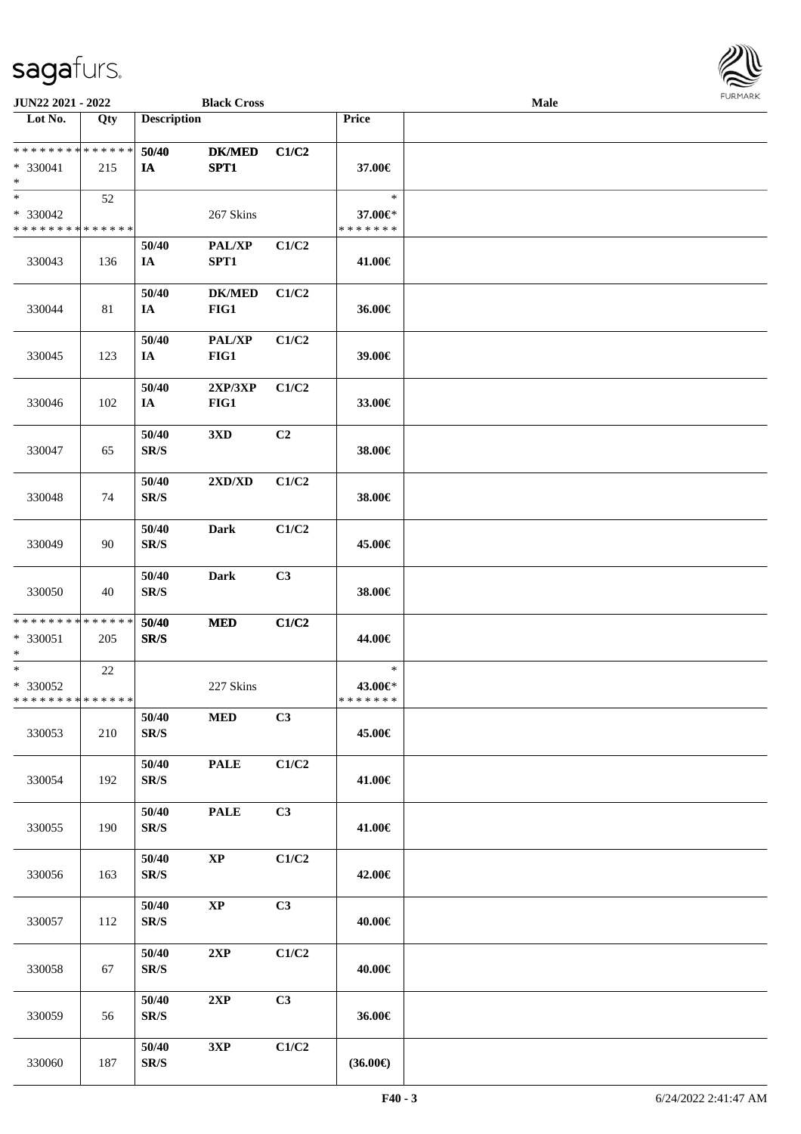

| <b>JUN22 2021 - 2022</b>                           |        |                                   | <b>Black Cross</b>    |       |                                    | Male |  |
|----------------------------------------------------|--------|-----------------------------------|-----------------------|-------|------------------------------------|------|--|
| Lot No.                                            | Qty    | <b>Description</b>                |                       |       | Price                              |      |  |
| ******** <mark>******</mark><br>* 330041<br>$*$    | 215    | 50/40<br>IA                       | <b>DK/MED</b><br>SPT1 | C1/C2 | 37.00€                             |      |  |
| $*$<br>* 330042<br>* * * * * * * * * * * * * *     | 52     |                                   | 267 Skins             |       | $\ast$<br>37.00€*<br>* * * * * * * |      |  |
| 330043                                             | 136    | 50/40<br>IA                       | PAL/XP<br>SPT1        | C1/C2 | 41.00€                             |      |  |
| 330044                                             | 81     | 50/40<br>IA                       | <b>DK/MED</b><br>FIG1 | C1/C2 | 36.00€                             |      |  |
| 330045                                             | 123    | 50/40<br>IA                       | PAL/XP<br>FIG1        | C1/C2 | 39.00€                             |      |  |
| 330046                                             | 102    | 50/40<br>IA                       | 2XP/3XP<br>FIG1       | C1/C2 | 33.00€                             |      |  |
| 330047                                             | 65     | 50/40<br>$\mathbf{SR}/\mathbf{S}$ | 3XD                   | C2    | 38.00€                             |      |  |
| 330048                                             | 74     | 50/40<br>SR/S                     | 2XD/XD                | C1/C2 | 38.00€                             |      |  |
| 330049                                             | 90     | 50/40<br>SR/S                     | <b>Dark</b>           | C1/C2 | 45.00€                             |      |  |
| 330050                                             | 40     | 50/40<br>SR/S                     | <b>Dark</b>           | C3    | 38.00€                             |      |  |
| * * * * * * * * * * * * * *<br>* 330051<br>$*$     | 205    | 50/40<br>SR/S                     | <b>MED</b>            | C1/C2 | 44.00€                             |      |  |
| $*$<br>$* 330052$<br>* * * * * * * * * * * * * * * | $22\,$ |                                   | 227 Skins             |       | $\ast$<br>43.00€*<br>*******       |      |  |
| 330053                                             | 210    | 50/40<br>$\mathbf{SR}/\mathbf{S}$ | $\bf MED$             | C3    | 45.00€                             |      |  |
| 330054                                             | 192    | 50/40<br>SR/S                     | <b>PALE</b>           | C1/C2 | 41.00€                             |      |  |
| 330055                                             | 190    | 50/40<br>$\mathbf{SR}/\mathbf{S}$ | <b>PALE</b>           | C3    | 41.00€                             |      |  |
| 330056                                             | 163    | 50/40<br>SR/S                     | $\bold{XP}$           | C1/C2 | 42.00€                             |      |  |
| 330057                                             | 112    | 50/40<br>SR/S                     | $\bold{XP}$           | C3    | 40.00€                             |      |  |
| 330058                                             | 67     | 50/40<br>$\mathbf{SR}/\mathbf{S}$ | 2XP                   | C1/C2 | 40.00€                             |      |  |
| 330059                                             | 56     | 50/40<br>SR/S                     | 2XP                   | C3    | 36.00€                             |      |  |
| 330060                                             | 187    | 50/40<br>SR/S                     | 3XP                   | C1/C2 | $(36.00\epsilon)$                  |      |  |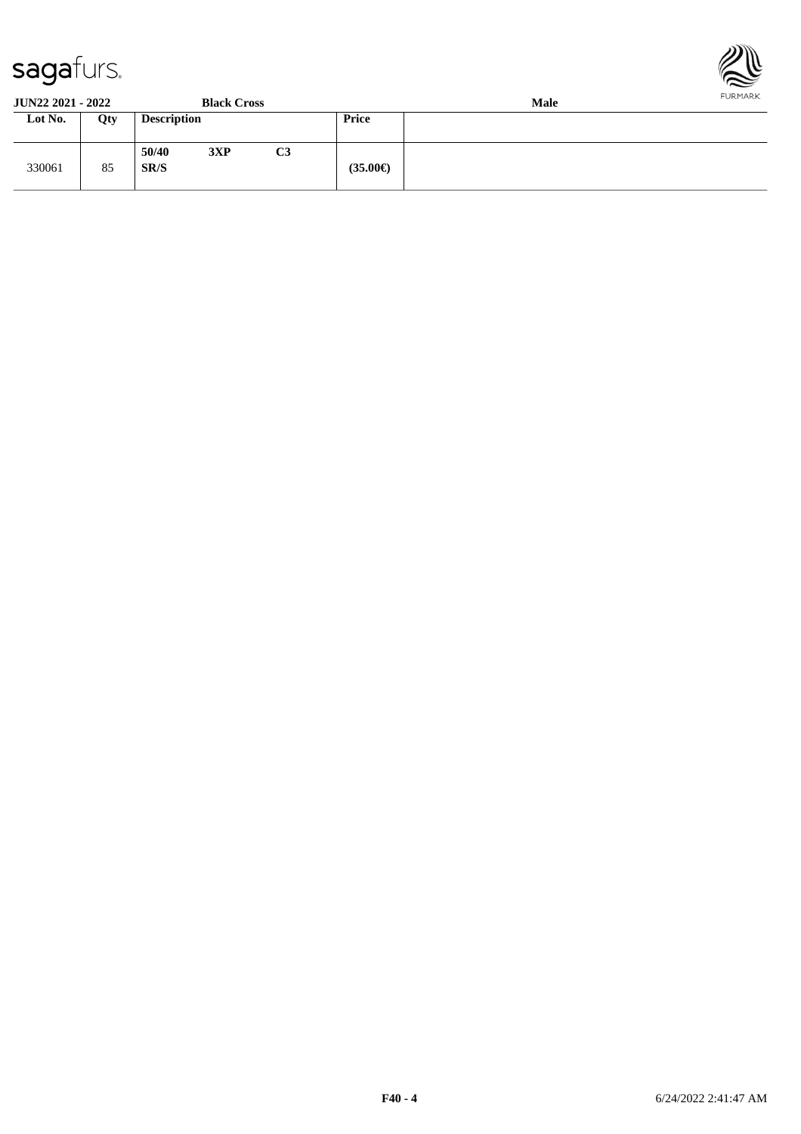330061 85



**JUN22 2021 - 2022 Black Cross Male Loty Description Price** 

**SR/S (35.00€)**

**50/40 3XP C3**

| F40 - 4 | 6/24/2022 2:41:47 AM |
|---------|----------------------|
|         |                      |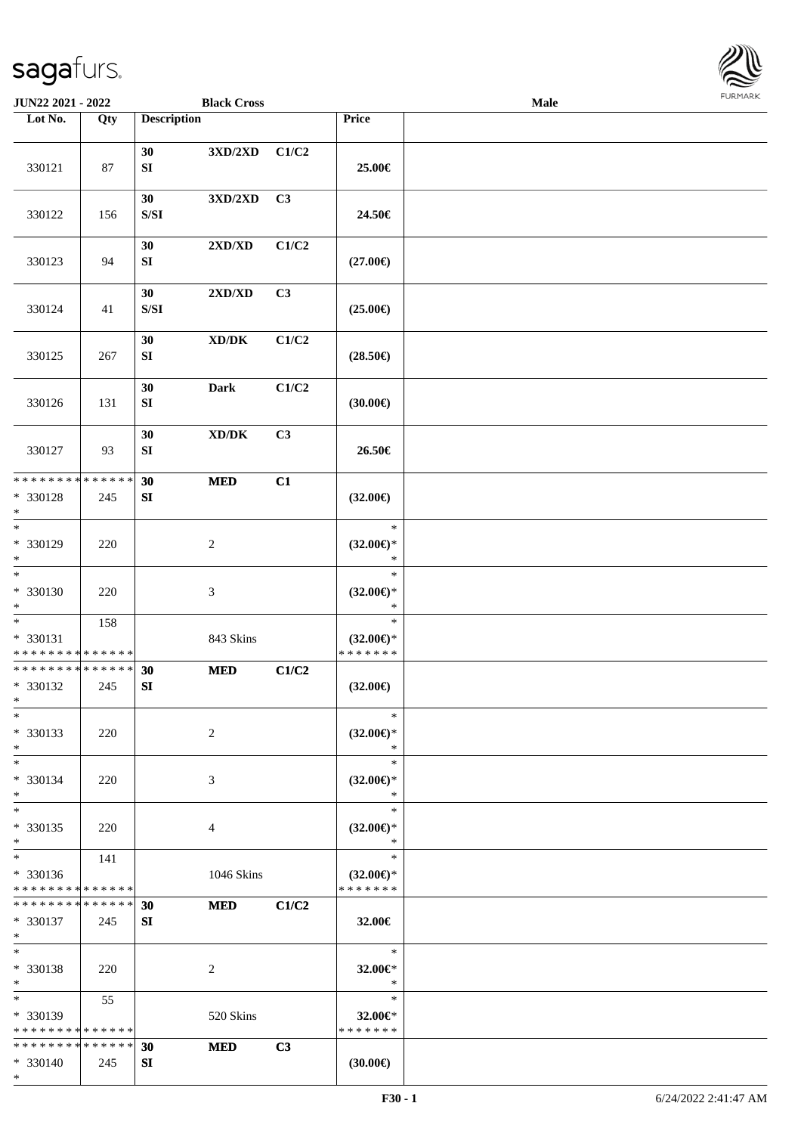

| JUN22 2021 - 2022                                 |     |                                                                                              | <b>Black Cross</b>                    |       |                                                | Male |  |
|---------------------------------------------------|-----|----------------------------------------------------------------------------------------------|---------------------------------------|-------|------------------------------------------------|------|--|
| Lot No.                                           | Qty | <b>Description</b>                                                                           |                                       |       | Price                                          |      |  |
| 330121                                            | 87  | 30<br>${\bf SI}$                                                                             | $3{\rm X} {\rm D} / 2{\rm X} {\rm D}$ | C1/C2 | 25.00€                                         |      |  |
| 330122                                            | 156 | 30<br>$\ensuremath{\mathrm{S}}\xspace/\ensuremath{\mathrm{S}}\xspace\ensuremath{\mathrm{I}}$ | 3XD/2XD                               | C3    | 24.50€                                         |      |  |
| 330123                                            | 94  | 30<br>SI                                                                                     | 2XD/XD                                | C1/C2 | $(27.00\epsilon)$                              |      |  |
| 330124                                            | 41  | 30<br>$\ensuremath{\mathrm{S}}\xspace/\ensuremath{\mathrm{S}}\xspace\ensuremath{\mathrm{I}}$ | 2XD/XD                                | C3    | $(25.00\epsilon)$                              |      |  |
| 330125                                            | 267 | 30<br>SI                                                                                     | $\bold{X}\bold{D}/\bold{D}\bold{K}$   | C1/C2 | $(28.50\epsilon)$                              |      |  |
| 330126                                            | 131 | 30<br>${\bf SI}$                                                                             | <b>Dark</b>                           | C1/C2 | (30.00)                                        |      |  |
| 330127                                            | 93  | 30<br>${\bf S}{\bf I}$                                                                       | $\bold{X}\bold{D}/\bold{D}\bold{K}$   | C3    | 26.50€                                         |      |  |
| * * * * * * * * * * * * * *<br>* 330128<br>$\ast$ | 245 | 30<br>${\bf S}{\bf I}$                                                                       | <b>MED</b>                            | C1    | $(32.00\epsilon)$                              |      |  |
| $\overline{\phantom{1}}$<br>* 330129<br>$\ast$    | 220 |                                                                                              | $\overline{c}$                        |       | $\ast$<br>$(32.00\epsilon)$ *<br>$\ast$        |      |  |
| $_{\ast}$<br>* 330130<br>$\ast$                   | 220 |                                                                                              | $\mathfrak{Z}$                        |       | $\ast$<br>$(32.00\epsilon)$ *<br>$\ast$        |      |  |
| $\ast$<br>* 330131<br>* * * * * * * * * * * * * * | 158 |                                                                                              | 843 Skins                             |       | $\ast$<br>$(32.00\epsilon)$ *<br>* * * * * * * |      |  |
| ******** <mark>******</mark><br>* 330132<br>$*$   | 245 | 30<br>SI                                                                                     | <b>MED</b>                            | C1/C2 | $(32.00\epsilon)$                              |      |  |
| $*$<br>* 330133<br>$\ast$                         | 220 |                                                                                              | 2                                     |       | $\ast$<br>$(32.00\epsilon)$ *<br>$\ast$        |      |  |
| $\ast$<br>* 330134<br>$\ast$                      | 220 |                                                                                              | 3                                     |       | $\ast$<br>$(32.00\epsilon)$ *<br>∗             |      |  |
| $\ast$<br>* 330135<br>$\ast$                      | 220 |                                                                                              | 4                                     |       | $\ast$<br>$(32.00\epsilon)$ *<br>$\ast$        |      |  |
| $\ast$<br>* 330136<br>* * * * * * * * * * * * * * | 141 |                                                                                              | 1046 Skins                            |       | $\ast$<br>$(32.00\epsilon)$ *<br>* * * * * * * |      |  |
| * * * * * * * * * * * * * * *<br>* 330137<br>$*$  | 245 | 30<br>SI                                                                                     | <b>MED</b>                            | C1/C2 | 32.00€                                         |      |  |
| $\ast$<br>* 330138<br>$*$                         | 220 |                                                                                              | 2                                     |       | $\ast$<br>32.00€*<br>$\ast$                    |      |  |
| $*$<br>* 330139<br>* * * * * * * * * * * * * *    | 55  |                                                                                              | 520 Skins                             |       | $\ast$<br>32.00€*<br>* * * * * * *             |      |  |
| * * * * * * * * * * * * * *<br>* 330140<br>$*$    | 245 | 30<br>SI                                                                                     | <b>MED</b>                            | C3    | (30.00)                                        |      |  |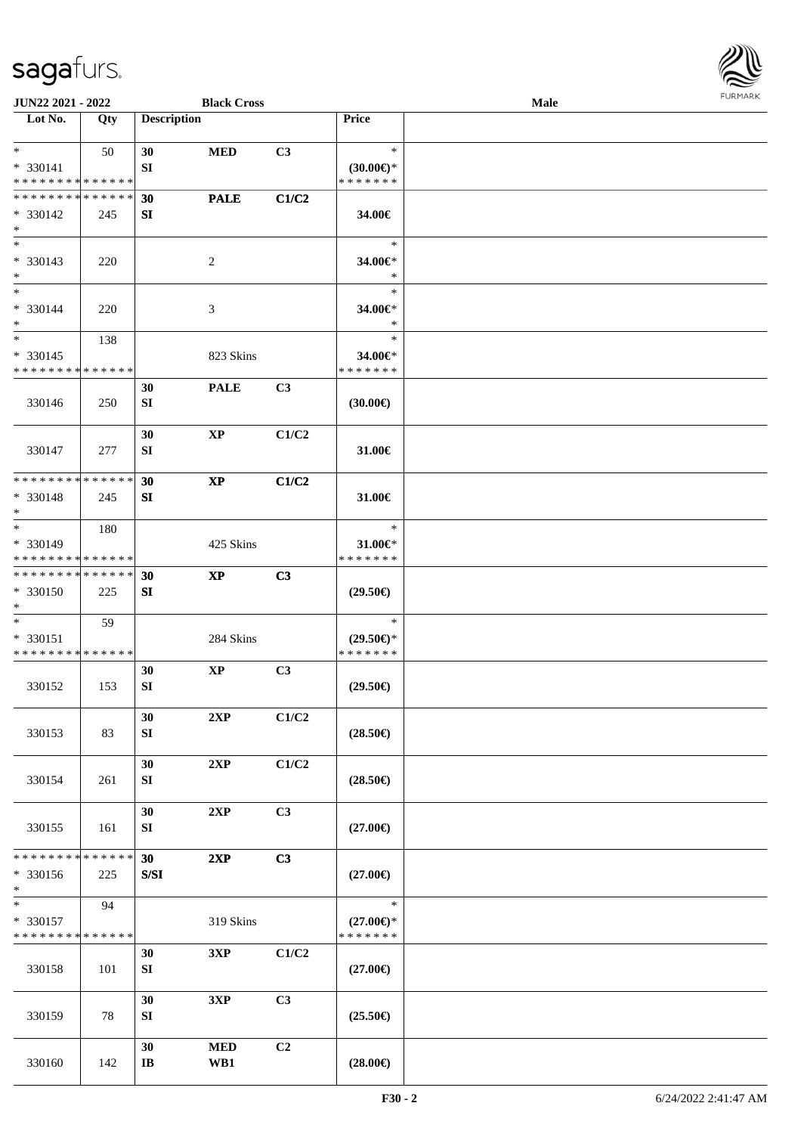

| JUN22 2021 - 2022                                 |     |                              | <b>Black Cross</b>     |                |                                                   | Male |  |
|---------------------------------------------------|-----|------------------------------|------------------------|----------------|---------------------------------------------------|------|--|
| Lot No.                                           | Qty | <b>Description</b>           |                        |                | <b>Price</b>                                      |      |  |
| $*$<br>* 330141<br>* * * * * * * * * * * * * *    | 50  | 30<br>SI                     | <b>MED</b>             | C3             | $\ast$<br>$(30.00\varepsilon)$ *<br>* * * * * * * |      |  |
| * * * * * * * * * * * * * *<br>* 330142<br>$*$    | 245 | 30<br>SI                     | <b>PALE</b>            | C1/C2          | 34.00€                                            |      |  |
| $\overline{\ast}$<br>* 330143<br>$*$              | 220 |                              | $\overline{c}$         |                | $\ast$<br>34.00€*<br>$\ast$                       |      |  |
| $\ast$<br>* 330144<br>$\ast$                      | 220 |                              | 3                      |                | $\ast$<br>34.00€*<br>$\ast$                       |      |  |
| $*$<br>$* 330145$<br>* * * * * * * * * * * * * *  | 138 |                              | 823 Skins              |                | $\ast$<br>34.00€*<br>* * * * * * *                |      |  |
| 330146                                            | 250 | 30<br>SI                     | <b>PALE</b>            | C <sub>3</sub> | (30.00)                                           |      |  |
| 330147                                            | 277 | 30<br>${\bf SI}$             | $\bold{XP}$            | C1/C2          | 31.00€                                            |      |  |
| * * * * * * * * * * * * * *<br>* 330148<br>$\ast$ | 245 | 30<br>SI                     | $\mathbf{X}\mathbf{P}$ | C1/C2          | 31.00€                                            |      |  |
| $*$<br>* 330149<br>* * * * * * * * * * * * * *    | 180 |                              | 425 Skins              |                | $\ast$<br>31.00 $\varepsilon$ *<br>* * * * * * *  |      |  |
| * * * * * * * * * * * * * *<br>$* 330150$<br>$*$  | 225 | 30<br>SI                     | $\mathbf{X}\mathbf{P}$ | C3             | $(29.50\epsilon)$                                 |      |  |
| $*$<br>* 330151<br>* * * * * * * * * * * * * *    | 59  |                              | 284 Skins              |                | $\ast$<br>$(29.50 \in )^*$<br>* * * * * * *       |      |  |
| 330152                                            | 153 | 30<br>SI                     | $\bold{XP}$            | C <sub>3</sub> | $(29.50\epsilon)$                                 |      |  |
| 330153                                            | 83  | 30<br>SI                     | 2XP                    | C1/C2          | $(28.50\epsilon)$                                 |      |  |
| 330154                                            | 261 | 30<br>SI                     | 2XP                    | C1/C2          | $(28.50\epsilon)$                                 |      |  |
| 330155                                            | 161 | 30<br>SI                     | 2XP                    | C <sub>3</sub> | $(27.00\epsilon)$                                 |      |  |
| * * * * * * * * * * * * * *<br>* 330156<br>$*$    | 225 | 30<br>${\bf S/SI}$           | 2XP                    | C3             | $(27.00\epsilon)$                                 |      |  |
| $\ast$<br>* 330157<br>* * * * * * * * * * * * * * | 94  |                              | 319 Skins              |                | $\ast$<br>$(27.00\epsilon)$ *<br>* * * * * * *    |      |  |
| 330158                                            | 101 | 30<br>SI                     | 3XP                    | C1/C2          | $(27.00\epsilon)$                                 |      |  |
| 330159                                            | 78  | 30<br>SI                     | 3XP                    | C <sub>3</sub> | $(25.50\epsilon)$                                 |      |  |
| 330160                                            | 142 | 30<br>$\mathbf{I}\mathbf{B}$ | <b>MED</b><br>WB1      | C2             | $(28.00\epsilon)$                                 |      |  |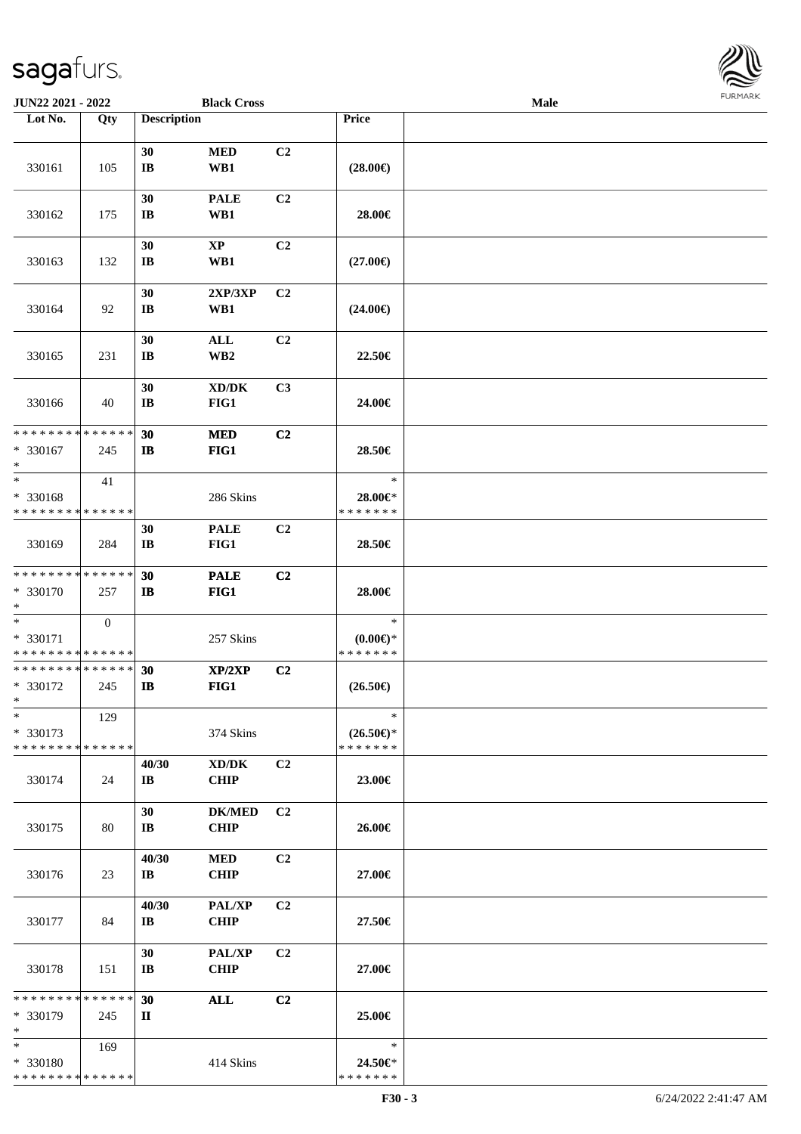

| JUN22 2021 - 2022                                  |                  |                              | <b>Black Cross</b>                                 |                |                                                  | Male |  |
|----------------------------------------------------|------------------|------------------------------|----------------------------------------------------|----------------|--------------------------------------------------|------|--|
| Lot No.                                            | Qty              | <b>Description</b>           |                                                    |                | Price                                            |      |  |
| 330161                                             | 105              | 30<br>$\bf I\bf B$           | <b>MED</b><br>WB1                                  | C2             | $(28.00\epsilon)$                                |      |  |
| 330162                                             | 175              | 30<br>$\mathbf{I}\mathbf{B}$ | <b>PALE</b><br>WB1                                 | C <sub>2</sub> | 28.00€                                           |      |  |
| 330163                                             | 132              | 30<br>$\mathbf{I}\mathbf{B}$ | $\mathbf{XP}$<br>WB1                               | C <sub>2</sub> | $(27.00\epsilon)$                                |      |  |
| 330164                                             | 92               | 30<br>$\mathbf{I}\mathbf{B}$ | 2XP/3XP<br>WB1                                     | C2             | $(24.00\epsilon)$                                |      |  |
| 330165                                             | 231              | 30<br>$\mathbf{I}\mathbf{B}$ | $\mathbf{ALL}$<br>WB <sub>2</sub>                  | C2             | 22.50€                                           |      |  |
| 330166                                             | 40               | 30<br>$\bf I\bf B$           | $\bold{X}\bold{D}/\bold{D}\bold{K}$<br>FIG1        | C3             | 24.00€                                           |      |  |
| * * * * * * * * * * * * * *<br>* 330167<br>$\ast$  | 245              | 30<br>$\mathbf{I}$           | <b>MED</b><br>FIG1                                 | C2             | 28.50€                                           |      |  |
| $\ast$<br>* 330168<br>* * * * * * * * * * * * * *  | 41               |                              | 286 Skins                                          |                | $\ast$<br>28.00€*<br>* * * * * * *               |      |  |
| 330169                                             | 284              | 30<br>$\mathbf{I}\mathbf{B}$ | <b>PALE</b><br>FIG1                                | C <sub>2</sub> | 28.50€                                           |      |  |
| ******** <mark>******</mark><br>* 330170<br>$\ast$ | 257              | 30<br>$\mathbf{I}$           | <b>PALE</b><br>FIG1                                | C2             | 28.00€                                           |      |  |
| $\ast$<br>* 330171<br>******** <mark>******</mark> | $\boldsymbol{0}$ |                              | 257 Skins                                          |                | $\ast$<br>$(0.00\varepsilon)$ *<br>* * * * * * * |      |  |
| ******** <mark>******</mark><br>* 330172<br>$*$    | 245              | 30<br>$\mathbf{I}$ <b>B</b>  | XP/2XP<br>FIG1                                     | C2             | $(26.50\epsilon)$                                |      |  |
| $\ast$<br>* 330173<br>* * * * * * * * * * * * * *  | 129              |                              | 374 Skins                                          |                | $\ast$<br>$(26.50\epsilon)$ *<br>* * * * * * *   |      |  |
| 330174                                             | 24               | 40/30<br>IB                  | $\bold{X}\bold{D}/\bold{D}\bold{K}$<br><b>CHIP</b> | C2             | 23.00€                                           |      |  |
| 330175                                             | 80               | 30<br>IB                     | <b>DK/MED</b><br><b>CHIP</b>                       | C <sub>2</sub> | 26.00€                                           |      |  |
| 330176                                             | 23               | 40/30<br>$\bf{IB}$           | <b>MED</b><br><b>CHIP</b>                          | C2             | 27.00€                                           |      |  |
| 330177                                             | 84               | 40/30<br>IB                  | <b>PAL/XP</b><br><b>CHIP</b>                       | C2             | 27.50€                                           |      |  |
| 330178                                             | 151              | 30<br>$\bf{IB}$              | PAL/XP<br><b>CHIP</b>                              | C <sub>2</sub> | 27.00€                                           |      |  |
| * * * * * * * * * * * * * *<br>* 330179<br>$\ast$  | 245              | 30<br>$\mathbf{I}$           | $\mathbf{ALL}$                                     | C2             | 25.00€                                           |      |  |
| $*$<br>* 330180<br>* * * * * * * * * * * * * *     | 169              |                              | 414 Skins                                          |                | $\ast$<br>24.50€*<br>* * * * * * *               |      |  |
|                                                    |                  |                              |                                                    |                |                                                  |      |  |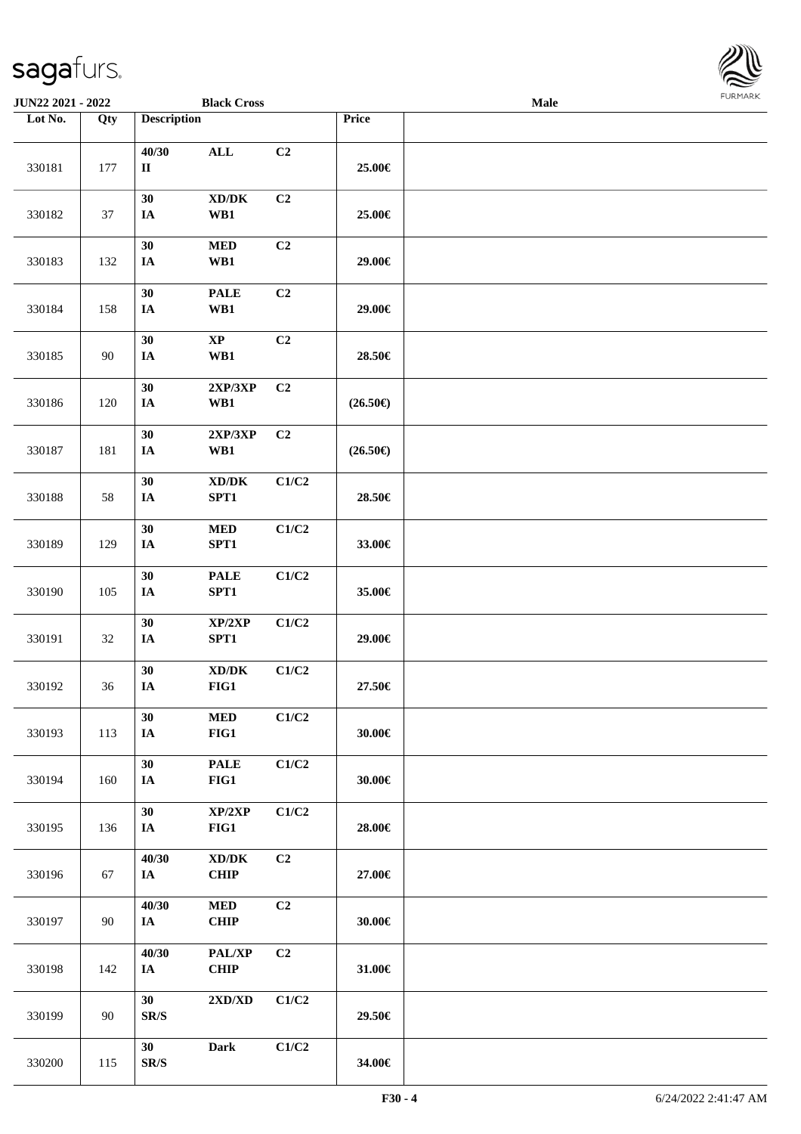

| JUN22 2021 - 2022 |                   |                                | <b>Black Cross</b>                          |                |                   | <b>Male</b> |  |
|-------------------|-------------------|--------------------------------|---------------------------------------------|----------------|-------------------|-------------|--|
| Lot No.           | $\overline{Q}$ ty | <b>Description</b>             |                                             |                | Price             |             |  |
| 330181            | 177               | 40/30<br>$\rm II$              | $\mathbf{ALL}$                              | C2             | 25.00€            |             |  |
| 330182            | 37                | 30<br>IA                       | $\bold{X}\bold{D}/\bold{D}\bold{K}$<br>WB1  | C2             | 25.00€            |             |  |
| 330183            | 132               | 30<br>IA                       | $\bf MED$<br>WB1                            | C2             | 29.00€            |             |  |
| 330184            | 158               | 30<br>$I\!\!A$                 | <b>PALE</b><br>WB1                          | C2             | 29.00€            |             |  |
| 330185            | 90                | 30<br>IA                       | $\bold{XP}$<br>WB1                          | C2             | 28.50€            |             |  |
| 330186            | 120               | 30<br>IA                       | 2XP/3XP<br>WB1                              | C2             | $(26.50\epsilon)$ |             |  |
| 330187            | 181               | 30<br>$\mathbf{IA}$            | 2XP/3XP<br>WB1                              | C2             | $(26.50\epsilon)$ |             |  |
| 330188            | 58                | 30<br>IA                       | XD/DK<br>SPT1                               | C1/C2          | 28.50€            |             |  |
| 330189            | 129               | 30<br>IA                       | $\bf MED$<br>SPT1                           | C1/C2          | 33.00€            |             |  |
| 330190            | 105               | 30<br>$I\!\!A$                 | $\ensuremath{\mathsf{PALE}}$<br>SPT1        | C1/C2          | 35.00€            |             |  |
| 330191            | 32                | 30<br>$I\!\!A$                 | XP/2XP<br>SPT1                              | C1/C2          | 29.00€            |             |  |
| 330192            | 36                | 30<br>$I\!\!A$                 | $\bold{X}\bold{D}/\bold{D}\bold{K}$<br>FIG1 | C1/C2          | 27.50€            |             |  |
| 330193            | 113               | 30<br>$I\!\!A$                 | $\bf MED$<br>FIG1                           | C1/C2          | 30.00€            |             |  |
| 330194            | 160               | 30<br>IA                       | <b>PALE</b><br>FIG1                         | C1/C2          | 30.00€            |             |  |
| 330195            | 136               | 30<br>IA                       | XP/2XP<br>FIG1                              | C1/C2          | 28.00€            |             |  |
| 330196            | 67                | 40/30<br><b>IA</b>             | $\bold{X}\bold{D}/\bold{D}\bold{K}$<br>CHIP | C2             | 27.00€            |             |  |
| 330197            | 90                | 40/30<br><b>IA</b>             | <b>MED</b><br><b>CHIP</b>                   | C2             | 30.00€            |             |  |
| 330198            | 142               | 40/30<br>IA                    | PAL/XP<br><b>CHIP</b>                       | C <sub>2</sub> | 31.00€            |             |  |
| 330199            | 90                | 30<br>$\mathbf{SR}/\mathbf{S}$ | $2{\bf X}{\bf D}/{\bf X}{\bf D}$            | C1/C2          | 29.50€            |             |  |
| 330200            | 115               | 30<br>$\mathbf{SR}/\mathbf{S}$ | Dark                                        | C1/C2          | 34.00€            |             |  |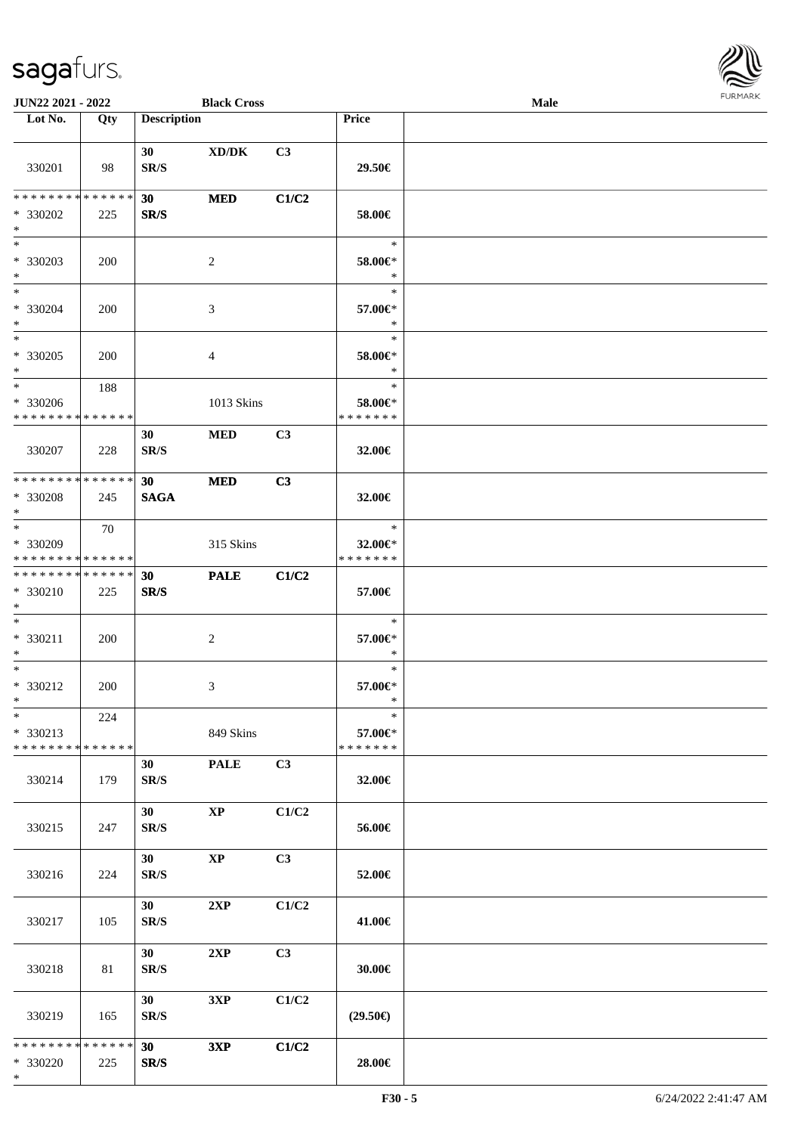

| <b>JUN22 2021 - 2022</b>                                         |     |                                             | <b>Black Cross</b>     |       |                                          | Male |  |
|------------------------------------------------------------------|-----|---------------------------------------------|------------------------|-------|------------------------------------------|------|--|
| Lot No.                                                          | Qty | <b>Description</b>                          |                        |       | Price                                    |      |  |
| 330201                                                           | 98  | 30<br>SR/S                                  | XD/DK                  | C3    | 29.50€                                   |      |  |
| * * * * * * * * * * * * * * *<br>* 330202<br>$*$                 | 225 | 30<br>SR/S                                  | <b>MED</b>             | C1/C2 | 58.00€                                   |      |  |
| $*$<br>* 330203<br>$*$<br>$*$                                    | 200 |                                             | 2                      |       | $\ast$<br>58.00€*<br>$\ast$              |      |  |
| * 330204<br>$*$                                                  | 200 |                                             | 3                      |       | $\ast$<br>57.00€*<br>$\ast$              |      |  |
| $*$<br>$* 330205$<br>$*$                                         | 200 |                                             | 4                      |       | $\ast$<br>58.00€*<br>$\ast$              |      |  |
| $*$<br>* 330206<br>* * * * * * * * * * * * * *                   | 188 |                                             | 1013 Skins             |       | $\ast$<br>58.00€*<br>* * * * * * *       |      |  |
| 330207                                                           | 228 | 30<br>SR/S                                  | <b>MED</b>             | C3    | 32.00€                                   |      |  |
| * * * * * * * * * * * * * * *                                    |     | 30                                          | <b>MED</b>             | C3    |                                          |      |  |
| * 330208<br>$*$                                                  | 245 | <b>SAGA</b>                                 |                        |       | 32.00€                                   |      |  |
| $*$<br>* 330209<br>* * * * * * * * * * * * * *                   | 70  |                                             | 315 Skins              |       | $\ast$<br>32.00€*<br>* * * * * * *       |      |  |
| * * * * * * * * * * * * * * *<br>* 330210<br>$*$                 | 225 | 30<br>SR/S                                  | <b>PALE</b>            | C1/C2 | 57.00€                                   |      |  |
| $*$<br>* 330211<br>$*$                                           | 200 |                                             | $\overline{c}$         |       | $\ast$<br>57.00€*<br>$\ast$              |      |  |
| $*$<br>* 330212<br>$*$                                           | 200 |                                             | 3                      |       | $\ast$<br>57.00€*<br>$\ast$              |      |  |
| $\ast$<br>* 330213<br>* * * * * * * * * * * * * * *              | 224 |                                             | 849 Skins              |       | $\ast$<br>57.00 $\in$ *<br>* * * * * * * |      |  |
| 330214                                                           | 179 | 30<br>SR/S                                  | <b>PALE</b>            | C3    | 32.00€                                   |      |  |
| 330215                                                           | 247 | 30<br>SR/S                                  | $\mathbf{X}\mathbf{P}$ | C1/C2 | 56.00€                                   |      |  |
| 330216                                                           | 224 | 30 <sup>1</sup><br>SR/S                     | $\mathbf{X}\mathbf{P}$ | C3    | 52.00€                                   |      |  |
| 330217                                                           | 105 | 30 <sup>°</sup><br>SR/S                     | 2XP                    | C1/C2 | 41.00€                                   |      |  |
| 330218                                                           | 81  | 30 <sup>1</sup><br>$\mathbf{SR}/\mathbf{S}$ | 2XP                    | C3    | 30.00€                                   |      |  |
| 330219                                                           | 165 | 30 <sup>1</sup><br>SR/S                     | 3XP                    | C1/C2 | $(29.50\epsilon)$                        |      |  |
| * * * * * * * * <mark>* * * * * * *</mark><br>* 330220<br>$\ast$ | 225 | 30<br>SR/S                                  | 3XP                    | C1/C2 | 28.00€                                   |      |  |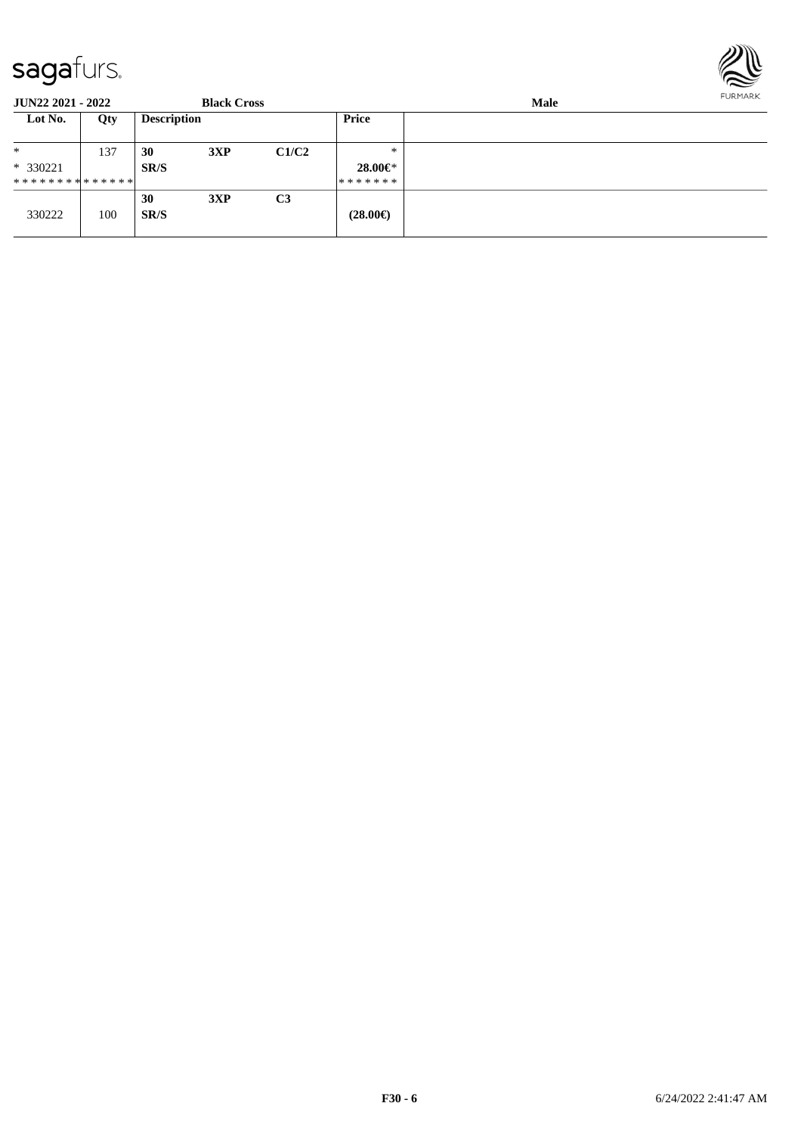

| <b>JUN22 2021 - 2022</b>      |     |                    | <b>Black Cross</b> |                | FURMARK<br><b>Male</b> |  |  |  |
|-------------------------------|-----|--------------------|--------------------|----------------|------------------------|--|--|--|
| Lot No.                       | Qty | <b>Description</b> |                    |                | Price                  |  |  |  |
| $*$                           | 137 | 30                 | 3XP                | C1/C2          | $*$                    |  |  |  |
| $* 330221$                    |     | SR/S               |                    |                | $28.00 \in$ *          |  |  |  |
| * * * * * * * * * * * * * * * |     |                    |                    |                | *******                |  |  |  |
|                               |     | 30                 | 3XP                | C <sub>3</sub> |                        |  |  |  |
| 330222                        | 100 | SR/S               |                    |                | $(28.00\epsilon)$      |  |  |  |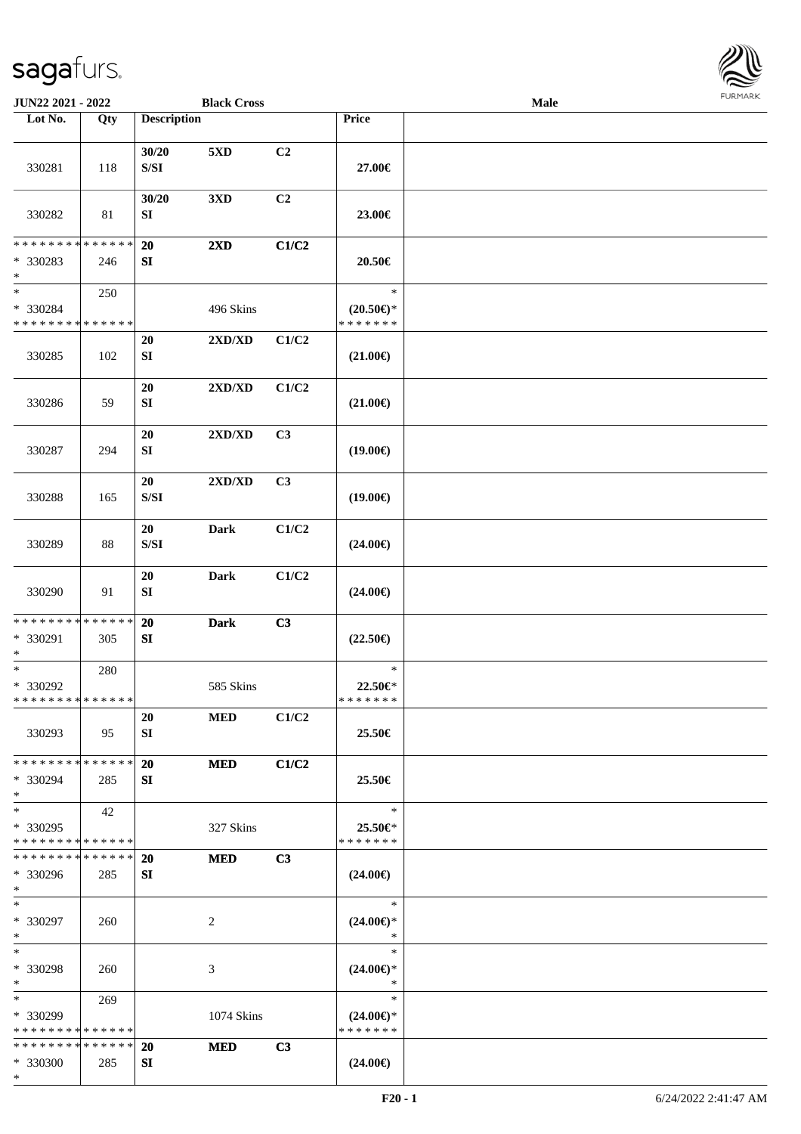

| JUN22 2021 - 2022                                                             |     |                                                                                                 | <b>Black Cross</b>               |       |                                                | <b>Male</b> |  |
|-------------------------------------------------------------------------------|-----|-------------------------------------------------------------------------------------------------|----------------------------------|-------|------------------------------------------------|-------------|--|
| Lot No.                                                                       | Qty | <b>Description</b>                                                                              |                                  |       | Price                                          |             |  |
| 330281                                                                        | 118 | 30/20<br>$\ensuremath{\mathrm{S}}\xspace/\ensuremath{\mathrm{S}}\xspace\ensuremath{\mathrm{I}}$ | 5XD                              | C2    | 27.00€                                         |             |  |
| 330282                                                                        | 81  | 30/20<br>SI                                                                                     | 3XD                              | C2    | 23.00€                                         |             |  |
| * * * * * * * * * * * * * *<br>* 330283                                       | 246 | 20<br>${\bf SI}$                                                                                | 2XD                              | C1/C2 | 20.50€                                         |             |  |
| $\ast$<br>$\overline{\phantom{1}}$<br>* 330284<br>* * * * * * * * * * * * * * | 250 |                                                                                                 | 496 Skins                        |       | $\ast$<br>$(20.50\epsilon)$ *<br>* * * * * * * |             |  |
| 330285                                                                        | 102 | 20<br>SI                                                                                        | $2{\bf X}{\bf D}/{\bf X}{\bf D}$ | C1/C2 | $(21.00\epsilon)$                              |             |  |
| 330286                                                                        | 59  | 20<br>SI                                                                                        | 2XD/XD                           | C1/C2 | $(21.00\in)$                                   |             |  |
| 330287                                                                        | 294 | 20<br>SI                                                                                        | $2{\bf X}{\bf D}/{\bf X}{\bf D}$ | C3    | $(19.00\epsilon)$                              |             |  |
| 330288                                                                        | 165 | 20<br>$\ensuremath{\mathrm{S}}\xspace/\ensuremath{\mathrm{S}}\xspace\ensuremath{\mathrm{I}}$    | 2XD/XD                           | C3    | $(19.00\epsilon)$                              |             |  |
| 330289                                                                        | 88  | 20<br>$\ensuremath{\mathrm{S}}\xspace/\ensuremath{\mathrm{S}}\xspace\ensuremath{\mathrm{I}}$    | <b>Dark</b>                      | C1/C2 | $(24.00\epsilon)$                              |             |  |
| 330290                                                                        | 91  | 20<br>SI                                                                                        | Dark                             | C1/C2 | $(24.00\epsilon)$                              |             |  |
| ******** <mark>******</mark><br>* 330291<br>$\ast$                            | 305 | 20<br>SI                                                                                        | <b>Dark</b>                      | C3    | $(22.50\epsilon)$                              |             |  |
| $\ast$<br>* 330292<br>* * * * * * * * * * * * * * *                           | 280 |                                                                                                 | 585 Skins                        |       | $\ast$<br>22.50€*<br>*******                   |             |  |
| 330293                                                                        | 95  | 20<br>SI                                                                                        | <b>MED</b>                       | C1/C2 | 25.50€                                         |             |  |
| * * * * * * * * * * * * * *<br>* 330294<br>$\ast$                             | 285 | 20<br>SI                                                                                        | <b>MED</b>                       | C1/C2 | 25.50€                                         |             |  |
| $\ast$<br>* 330295<br>* * * * * * * * * * * * * *                             | 42  |                                                                                                 | 327 Skins                        |       | $\ast$<br>25.50€*<br>* * * * * * *             |             |  |
| * * * * * * * * * * * * * *<br>* 330296<br>$*$                                | 285 | <b>20</b><br>SI                                                                                 | <b>MED</b>                       | C3    | $(24.00\epsilon)$                              |             |  |
| $\ast$<br>* 330297<br>$\ast$                                                  | 260 |                                                                                                 | $\overline{c}$                   |       | $\ast$<br>$(24.00\epsilon)$ *<br>$\ast$        |             |  |
| $\ast$<br>* 330298<br>$*$                                                     | 260 |                                                                                                 | 3                                |       | $\ast$<br>$(24.00\epsilon)$ *<br>$\ast$        |             |  |
| $\ast$<br>$*330299$<br>* * * * * * * * * * * * * *                            | 269 |                                                                                                 | 1074 Skins                       |       | $\ast$<br>$(24.00\epsilon)$ *<br>* * * * * * * |             |  |
| * * * * * * * * * * * * * *<br>* 330300<br>$*$                                | 285 | <b>20</b><br>SI                                                                                 | <b>MED</b>                       | C3    | $(24.00\epsilon)$                              |             |  |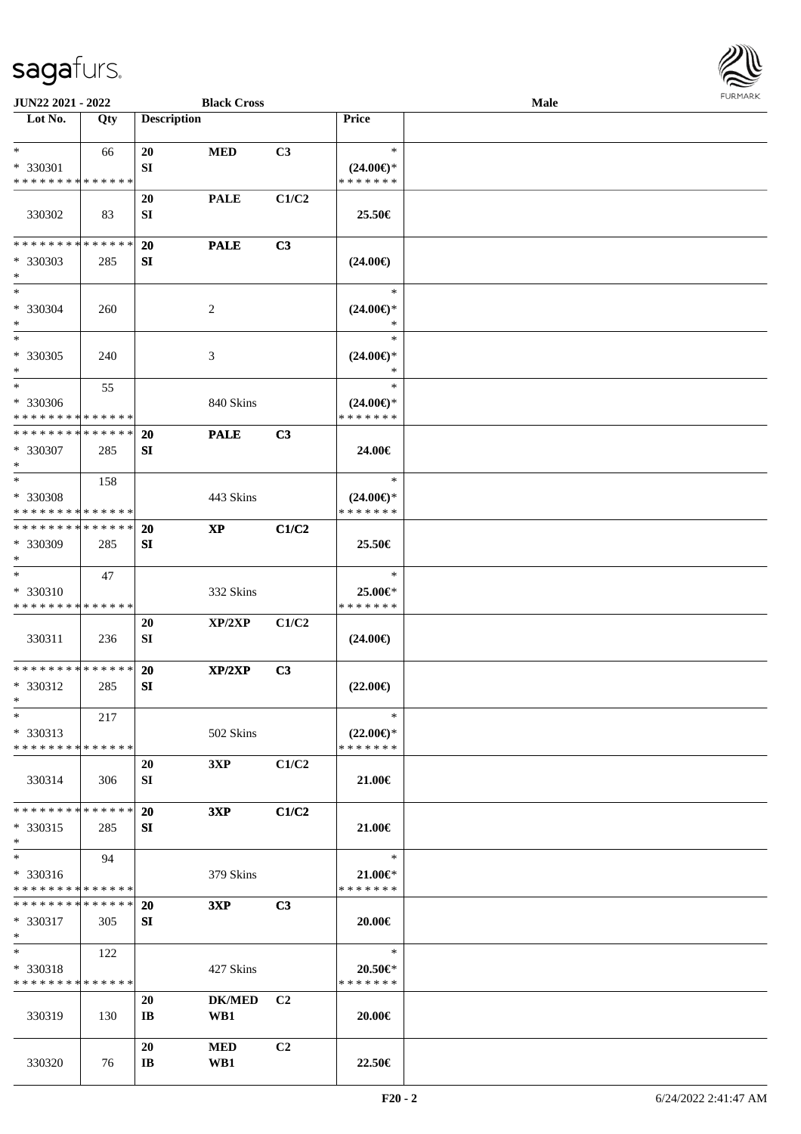

| <b>JUN22 2021 - 2022</b>                |     |                        | <b>Black Cross</b> |                |                          | Male |  |
|-----------------------------------------|-----|------------------------|--------------------|----------------|--------------------------|------|--|
| Lot No.                                 | Qty | <b>Description</b>     |                    |                | Price                    |      |  |
|                                         |     |                        |                    |                |                          |      |  |
| $*$                                     | 66  | 20                     | <b>MED</b>         | C3             | $\ast$                   |      |  |
| * 330301                                |     | SI                     |                    |                | $(24.00\epsilon)$ *      |      |  |
| * * * * * * * * * * * * * *             |     |                        |                    |                | * * * * * * *            |      |  |
|                                         |     | 20                     | <b>PALE</b>        | C1/C2          |                          |      |  |
| 330302                                  | 83  | SI                     |                    |                | 25.50€                   |      |  |
| * * * * * * * * * * * * * *             |     |                        |                    |                |                          |      |  |
| * 330303                                |     | 20                     | <b>PALE</b>        | C3             |                          |      |  |
| $*$                                     | 285 | SI                     |                    |                | $(24.00\epsilon)$        |      |  |
| $*$                                     |     |                        |                    |                | $\ast$                   |      |  |
| * 330304                                | 260 |                        | 2                  |                | $(24.00\epsilon)$ *      |      |  |
| $*$                                     |     |                        |                    |                | $\ast$                   |      |  |
| $*$                                     |     |                        |                    |                | $\ast$                   |      |  |
| $* 330305$                              | 240 |                        | 3                  |                | $(24.00\epsilon)$ *      |      |  |
| $*$                                     |     |                        |                    |                | $\ast$                   |      |  |
| $*$                                     | 55  |                        |                    |                | $\ast$                   |      |  |
| * 330306                                |     |                        | 840 Skins          |                | $(24.00\epsilon)$ *      |      |  |
| * * * * * * * * * * * * * *             |     |                        |                    |                | * * * * * * *            |      |  |
| * * * * * * * * * * * * * *             |     | 20                     | <b>PALE</b>        | C <sub>3</sub> |                          |      |  |
| * 330307<br>$*$                         | 285 | SI                     |                    |                | 24.00€                   |      |  |
| $*$                                     | 158 |                        |                    |                | $\ast$                   |      |  |
| * 330308                                |     |                        | 443 Skins          |                | $(24.00\epsilon)$ *      |      |  |
| * * * * * * * * * * * * * *             |     |                        |                    |                | * * * * * * *            |      |  |
| * * * * * * * * * * * * * * *           |     | 20                     | <b>XP</b>          | C1/C2          |                          |      |  |
| * 330309                                | 285 | SI                     |                    |                | 25.50€                   |      |  |
| $*$                                     |     |                        |                    |                |                          |      |  |
| $*$                                     | 47  |                        |                    |                | $\ast$                   |      |  |
| * 330310                                |     |                        | 332 Skins          |                | 25.00€*                  |      |  |
| * * * * * * * * * * * * * *             |     |                        |                    |                | * * * * * * *            |      |  |
| 330311                                  | 236 | 20<br>SI               | XP/2XP             | C1/C2          | $(24.00\epsilon)$        |      |  |
|                                         |     |                        |                    |                |                          |      |  |
| * * * * * * * * * * * * * *             |     | 20                     | XP/2XP             | C3             |                          |      |  |
| * 330312                                | 285 | SI                     |                    |                | $(22.00\epsilon)$        |      |  |
| $*$                                     |     |                        |                    |                |                          |      |  |
| $*$                                     | 217 |                        |                    |                | $\ast$                   |      |  |
| * 330313                                |     |                        | 502 Skins          |                | $(22.00\epsilon)$ *      |      |  |
| * * * * * * * * * * * * * * *           |     |                        |                    |                | * * * * * * *            |      |  |
|                                         |     | 20                     | 3XP                | C1/C2          |                          |      |  |
| 330314                                  | 306 | SI                     |                    |                | 21.00€                   |      |  |
| * * * * * * * * * * * * * * *           |     | 20                     | 3XP                | C1/C2          |                          |      |  |
| * 330315                                | 285 | SI                     |                    |                | 21.00€                   |      |  |
| $*$                                     |     |                        |                    |                |                          |      |  |
| $*$                                     | 94  |                        |                    |                | $\ast$                   |      |  |
| * 330316                                |     |                        | 379 Skins          |                | $21.00 \in$              |      |  |
| * * * * * * * * * * * * * *             |     |                        |                    |                | * * * * * * *            |      |  |
| * * * * * * * * * * * * * * *           |     | <b>20</b>              | 3XP                | C3             |                          |      |  |
| * 330317                                | 305 | SI                     |                    |                | 20.00€                   |      |  |
| $*$                                     |     |                        |                    |                |                          |      |  |
| $*$                                     | 122 |                        |                    |                | $\ast$                   |      |  |
| * 330318<br>* * * * * * * * * * * * * * |     |                        | 427 Skins          |                | 20.50€*<br>* * * * * * * |      |  |
|                                         |     | 20                     | <b>DK/MED</b>      | C <sub>2</sub> |                          |      |  |
| 330319                                  | 130 | $\mathbf{I}$ <b>B</b>  | WB1                |                | 20.00€                   |      |  |
|                                         |     |                        |                    |                |                          |      |  |
|                                         |     | 20                     | <b>MED</b>         | C <sub>2</sub> |                          |      |  |
| 330320                                  | 76  | $\mathbf{I}\mathbf{B}$ | WB1                |                | 22.50€                   |      |  |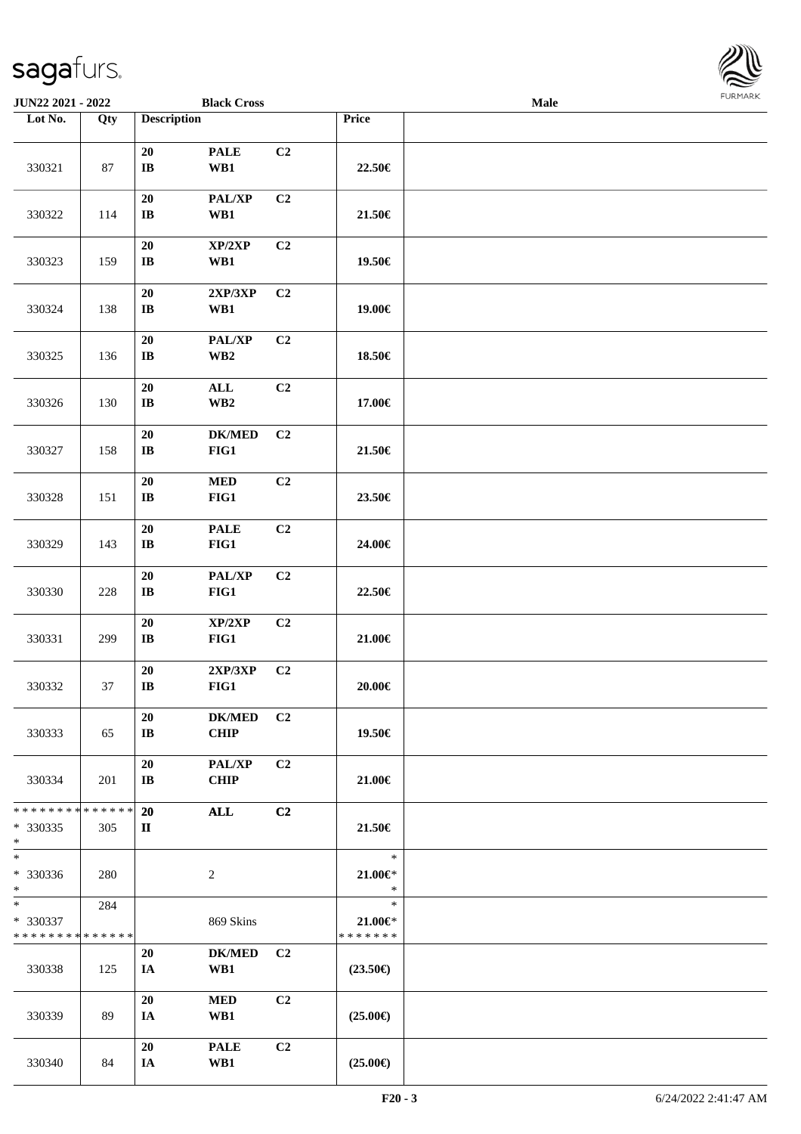| <b>JUN22 2021 - 2022</b>                       |                    |                                      | <b>Black Cross</b>                        |                |                                        | Male |  |
|------------------------------------------------|--------------------|--------------------------------------|-------------------------------------------|----------------|----------------------------------------|------|--|
| Lot No.                                        | Qty                | <b>Description</b>                   |                                           |                | Price                                  |      |  |
| 330321                                         | 87                 | ${\bf 20}$<br>$\bf IB$               | <b>PALE</b><br>WB1                        | C <sub>2</sub> | 22.50€                                 |      |  |
| 330322                                         | 114                | 20<br>$\mathbf{I}$ <b>B</b>          | PAL/XP<br>WB1                             | C <sub>2</sub> | 21.50€                                 |      |  |
| 330323                                         | 159                | $20\,$<br>IB                         | XP/2XP<br>WB1                             | C2             | 19.50€                                 |      |  |
| 330324                                         | 138                | 20<br>$\mathbf{I}\mathbf{B}$         | 2XP/3XP<br>WB1                            | C <sub>2</sub> | 19.00€                                 |      |  |
| 330325                                         | 136                | 20<br>$\mathbf{I}\mathbf{B}$         | PAL/XP<br>$\mathbf{W}\mathbf{B2}$         | C2             | 18.50€                                 |      |  |
| 330326                                         | 130                | 20<br>$\mathbf{I}\mathbf{B}$         | $\mathbf{ALL}$<br>$\mathbf{W}\mathbf{B2}$ | C2             | 17.00€                                 |      |  |
| 330327                                         | 158                | ${\bf 20}$<br>$\mathbf{I}\mathbf{B}$ | <b>DK/MED</b><br>FIG1                     | C2             | 21.50€                                 |      |  |
| 330328                                         | 151                | 20<br>$\mathbf{I}\mathbf{B}$         | $\bf MED$<br>$FIG1$                       | C2             | 23.50€                                 |      |  |
| 330329                                         | 143                | $20\,$<br>$\mathbf{I}\mathbf{B}$     | <b>PALE</b><br>FIG1                       | C2             | 24.00€                                 |      |  |
| 330330                                         | $228\,$            | 20<br>$\mathbf{I}\mathbf{B}$         | PAL/XP<br>$FIG1$                          | C <sub>2</sub> | 22.50€                                 |      |  |
| 330331                                         | 299                | 20<br>$\mathbf{I}\mathbf{B}$         | XP/2XP<br>FIG1                            | C <sub>2</sub> | 21.00€                                 |      |  |
| 330332                                         | 37                 | 20<br>$\bf IB$                       | 2XP/3XP<br>$FIG1$                         | C <sub>2</sub> | $20.00 \in$                            |      |  |
| 330333                                         | 65                 | 20<br>$\mathbf{I}$ <b>B</b>          | <b>DK/MED</b><br><b>CHIP</b>              | C <sub>2</sub> | 19.50€                                 |      |  |
| 330334                                         | 201                | 20<br>$\bf{IB}$                      | <b>PAL/XP</b><br><b>CHIP</b>              | C2             | 21.00€                                 |      |  |
| * * * * * * * *<br>* 330335<br>$\ast$          | * * * * * *<br>305 | <b>20</b><br>$\mathbf{I}$            | ALL                                       | C2             | 21.50€                                 |      |  |
| $\ast$<br>* 330336<br>$\ast$                   | 280                |                                      | $\overline{c}$                            |                | $\ast$<br>$21.00 \in$<br>$\ast$        |      |  |
| $*$<br>* 330337<br>* * * * * * * * * * * * * * | 284                |                                      | 869 Skins                                 |                | $\ast$<br>$21.00 \in$<br>* * * * * * * |      |  |
| 330338                                         | 125                | 20<br>IA                             | <b>DK/MED</b><br>WB1                      | C <sub>2</sub> | $(23.50\epsilon)$                      |      |  |
| 330339                                         | 89                 | 20<br>IA                             | <b>MED</b><br>WB1                         | C2             | $(25.00\epsilon)$                      |      |  |
| 330340                                         | 84                 | 20<br>IA                             | <b>PALE</b><br>WB1                        | C <sub>2</sub> | $(25.00\epsilon)$                      |      |  |

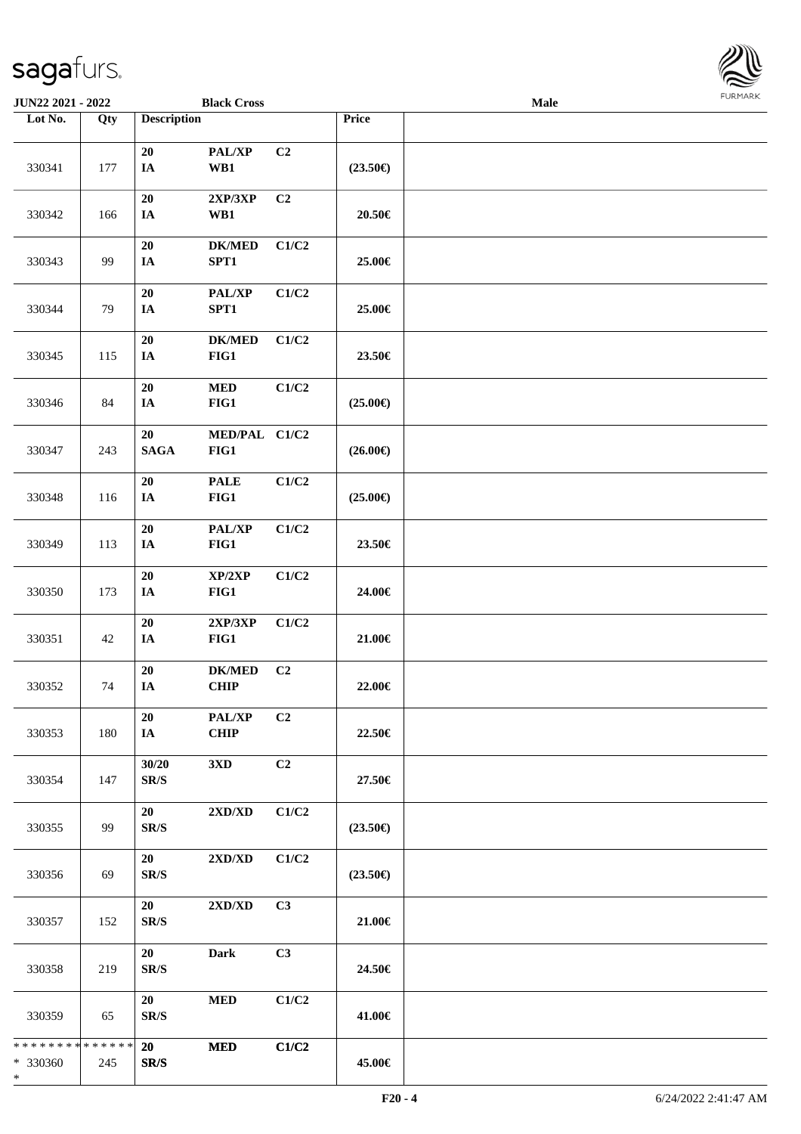\*

| JUN22 2021 - 2022                       |     |                                | <b>Black Cross</b>           |                |                   | Male | <b>FURMARK</b> |
|-----------------------------------------|-----|--------------------------------|------------------------------|----------------|-------------------|------|----------------|
| Lot No.                                 | Qty | <b>Description</b>             |                              |                | Price             |      |                |
| 330341                                  | 177 | 20<br>IA                       | PAL/XP<br>WB1                | C2             | $(23.50\epsilon)$ |      |                |
| 330342                                  | 166 | 20<br>IA                       | 2XP/3XP<br>WB1               | C <sub>2</sub> | $20.50\in$        |      |                |
| 330343                                  | 99  | 20<br>$I\!\!A$                 | <b>DK/MED</b><br>SPT1        | C1/C2          | 25.00€            |      |                |
| 330344                                  | 79  | $20\,$<br>IA                   | PAL/XP<br>SPT1               | C1/C2          | 25.00€            |      |                |
| 330345                                  | 115 | 20<br>$I\!\!A$                 | <b>DK/MED</b><br>FIG1        | C1/C2          | 23.50€            |      |                |
| 330346                                  | 84  | 20<br>$I\!\!A$                 | $\bf MED$<br>FIG1            | C1/C2          | $(25.00\epsilon)$ |      |                |
| 330347                                  | 243 | 20<br><b>SAGA</b>              | MED/PAL C1/C2<br>FIG1        |                | $(26.00\epsilon)$ |      |                |
| 330348                                  | 116 | 20<br>IA                       | <b>PALE</b><br>FIG1          | C1/C2          | $(25.00\epsilon)$ |      |                |
| 330349                                  | 113 | $20\,$<br>$I\!\!A$             | PAL/XP<br>FIG1               | C1/C2          | 23.50€            |      |                |
| 330350                                  | 173 | ${\bf 20}$<br>$I\!\!A$         | XP/2XP<br>FIG1               | C1/C2          | 24.00€            |      |                |
| 330351                                  | 42  | 20<br>$I\!\!A$                 | 2XP/3XP<br>FIG1              | C1/C2          | 21.00€            |      |                |
| 330352                                  | 74  | $20\,$<br>IA                   | <b>DK/MED</b><br><b>CHIP</b> | C2             | 22.00€            |      |                |
| 330353                                  | 180 | 20<br>IA                       | PAL/XP<br><b>CHIP</b>        | C2             | 22.50€            |      |                |
| 330354                                  | 147 | 30/20<br>SR/S                  | 3XD                          | C2             | 27.50€            |      |                |
| 330355                                  | 99  | 20<br>SR/S                     | 2XD/XD                       | C1/C2          | $(23.50\epsilon)$ |      |                |
| 330356                                  | 69  | 20<br>SR/S                     | 2XD/XD                       | C1/C2          | $(23.50\epsilon)$ |      |                |
| 330357                                  | 152 | 20<br>SR/S                     | 2XD/XD                       | C3             | 21.00€            |      |                |
| 330358                                  | 219 | 20<br>$\mathbf{SR}/\mathbf{S}$ | <b>Dark</b>                  | C3             | 24.50€            |      |                |
| 330359                                  | 65  | 20<br>SR/S                     | <b>MED</b>                   | C1/C2          | 41.00€            |      |                |
| * * * * * * * * * * * * * *<br>* 330360 | 245 | 20<br>SR/S                     | <b>MED</b>                   | C1/C2          | 45.00€            |      |                |



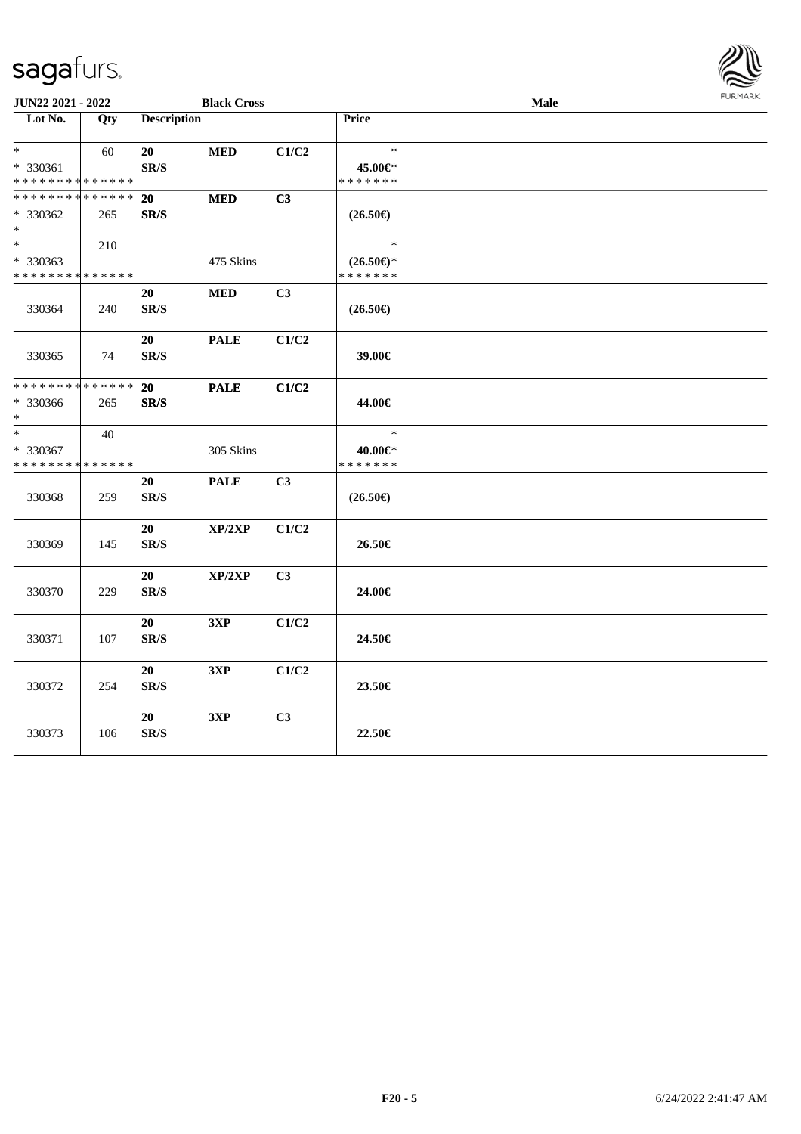

| <b>JUN22 2021 - 2022</b>                                      |     |                                | <b>Black Cross</b> |                |                                                | Male | <b>FURMARK</b> |
|---------------------------------------------------------------|-----|--------------------------------|--------------------|----------------|------------------------------------------------|------|----------------|
| Lot No.                                                       | Qty | <b>Description</b>             |                    |                | Price                                          |      |                |
| $*$<br>* 330361<br>* * * * * * * * * * * * * *                | 60  | 20<br>$\mathbf{SR}/\mathbf{S}$ | $\bf MED$          | C1/C2          | $\ast$<br>45.00€*<br>* * * * * * *             |      |                |
| * * * * * * * * * * * * * *<br>* 330362<br>$*$                | 265 | 20<br>SR/S                     | <b>MED</b>         | C3             | $(26.50\epsilon)$                              |      |                |
| $\ast$<br>* 330363<br>* * * * * * * * * * * * * *             | 210 |                                | 475 Skins          |                | $\ast$<br>$(26.50\epsilon)$ *<br>* * * * * * * |      |                |
| 330364                                                        | 240 | 20<br>SR/S                     | <b>MED</b>         | C3             | $(26.50\epsilon)$                              |      |                |
| 330365                                                        | 74  | 20<br>SR/S                     | <b>PALE</b>        | C1/C2          | 39.00€                                         |      |                |
| * * * * * * * * <mark>* * * * * * *</mark><br>* 330366<br>$*$ | 265 | 20<br>SR/S                     | <b>PALE</b>        | C1/C2          | 44.00€                                         |      |                |
| $*$<br>* 330367<br>* * * * * * * * * * * * * *                | 40  |                                | 305 Skins          |                | $\ast$<br>40.00€*<br>* * * * * * *             |      |                |
| 330368                                                        | 259 | 20<br>SR/S                     | <b>PALE</b>        | C3             | $(26.50\in)$                                   |      |                |
| 330369                                                        | 145 | 20<br>SR/S                     | XP/2XP             | C1/C2          | 26.50€                                         |      |                |
| 330370                                                        | 229 | 20<br>$\mathbf{SR}/\mathbf{S}$ | XP/2XP             | C <sub>3</sub> | 24.00€                                         |      |                |
| 330371                                                        | 107 | 20<br>SR/S                     | 3XP                | C1/C2          | 24.50€                                         |      |                |
| 330372                                                        | 254 | 20<br>SR/S                     | 3XP                | C1/C2          | 23.50€                                         |      |                |
| 330373                                                        | 106 | 20<br>SR/S                     | 3XP                | C3             | 22.50€                                         |      |                |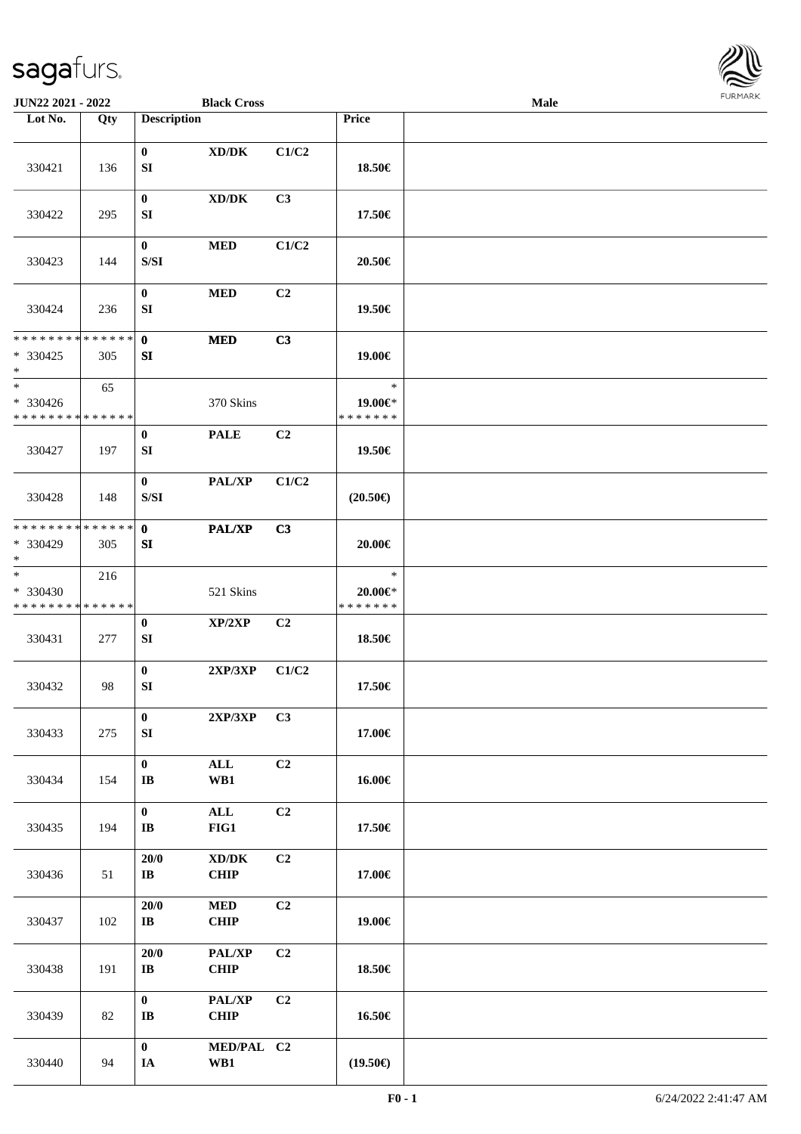

| JUN22 2021 - 2022                                  |                    |                                                                                                    | <b>Black Cross</b>                                 |       |                                        | <b>Male</b> |  |
|----------------------------------------------------|--------------------|----------------------------------------------------------------------------------------------------|----------------------------------------------------|-------|----------------------------------------|-------------|--|
| Lot No.                                            | Qty                | <b>Description</b>                                                                                 |                                                    |       | Price                                  |             |  |
| 330421                                             | 136                | $\bf{0}$<br>SI                                                                                     | $\bold{X}\bold{D}/\bold{D}\bold{K}$                | C1/C2 | 18.50€                                 |             |  |
| 330422                                             | 295                | $\bf{0}$<br>SI                                                                                     | $\bold{X}\bold{D}/\bold{D}\bold{K}$                | C3    | 17.50€                                 |             |  |
| 330423                                             | 144                | $\boldsymbol{0}$<br>S/SI                                                                           | <b>MED</b>                                         | C1/C2 | 20.50€                                 |             |  |
| 330424                                             | 236                | $\bf{0}$<br>SI                                                                                     | <b>MED</b>                                         | C2    | 19.50€                                 |             |  |
| * * * * * * * * * * * * * *<br>$*330425$<br>$\ast$ | 305                | $\mathbf 0$<br>SI                                                                                  | <b>MED</b>                                         | C3    | 19.00€                                 |             |  |
| $\ast$<br>* 330426<br>* * * * * * * * * * * * * *  | 65                 |                                                                                                    | 370 Skins                                          |       | $\ast$<br>19.00€*<br>* * * * * * *     |             |  |
| 330427                                             | 197                | $\bf{0}$<br>SI                                                                                     | <b>PALE</b>                                        | C2    | 19.50€                                 |             |  |
| 330428                                             | 148                | $\bf{0}$<br>$\ensuremath{\mathrm{S}}\xspace/\ensuremath{\mathrm{S}}\xspace\ensuremath{\mathrm{I}}$ | PAL/XP                                             | C1/C2 | $(20.50\epsilon)$                      |             |  |
| ********<br>* 330429<br>$\ast$                     | * * * * * *<br>305 | $\mathbf{0}$<br>SI                                                                                 | PAL/XP                                             | C3    | 20.00€                                 |             |  |
| $\ast$<br>* 330430<br>* * * * * * * * * * * * * *  | 216                |                                                                                                    | 521 Skins                                          |       | $\ast$<br>$20.00 \in$<br>* * * * * * * |             |  |
| 330431                                             | 277                | $\boldsymbol{0}$<br>SI                                                                             | XP/2XP                                             | C2    | 18.50€                                 |             |  |
| 330432                                             | 98                 | $\bf{0}$<br>${\bf SI}$                                                                             | 2XP/3XP                                            | C1/C2 | 17.50€                                 |             |  |
| 330433                                             | 275                | $\bf{0}$<br>SI                                                                                     | $2XP/3XP$ C3                                       |       | 17.00€                                 |             |  |
| 330434                                             | 154                | $\boldsymbol{0}$<br>$\mathbf{I}\mathbf{B}$                                                         | ALL<br>WB1                                         | C2    | 16.00€                                 |             |  |
| 330435                                             | 194                | $\mathbf{0}$<br>$\mathbf{I}\mathbf{B}$                                                             | $\mathbf{ALL}$<br>FIG1                             | C2    | 17.50€                                 |             |  |
| 330436                                             | 51                 | 20/0<br>$\mathbf{I}\mathbf{B}$                                                                     | $\bold{X}\bold{D}/\bold{D}\bold{K}$<br><b>CHIP</b> | C2    | 17.00€                                 |             |  |
| 330437                                             | 102                | 20/0<br>$\mathbf{I}\mathbf{B}$                                                                     | $\bf MED$<br><b>CHIP</b>                           | C2    | 19.00€                                 |             |  |
| 330438                                             | 191                | 20/0<br>$\bf IB$                                                                                   | PAL/XP<br><b>CHIP</b>                              | C2    | 18.50€                                 |             |  |
| 330439                                             | 82                 | $\mathbf{0}$<br>IB                                                                                 | PAL/XP<br>CHIP                                     | C2    | 16.50€                                 |             |  |
| 330440                                             | 94                 | $\boldsymbol{0}$<br>IA                                                                             | MED/PAL C2<br>WB1                                  |       | $(19.50\epsilon)$                      |             |  |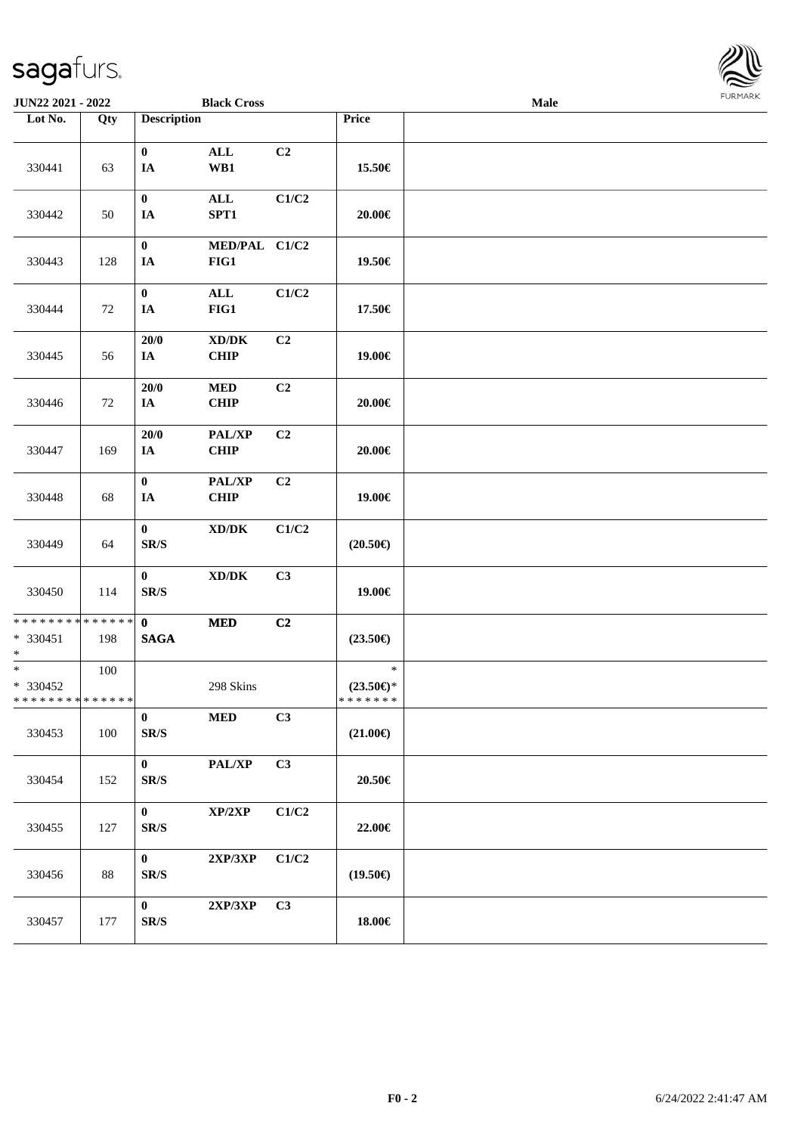| <b>JUN22 2021 - 2022</b>                                           |     |                                                 | <b>Black Cross</b>                                 |                |                                                | Male | <b>FURMARK</b> |
|--------------------------------------------------------------------|-----|-------------------------------------------------|----------------------------------------------------|----------------|------------------------------------------------|------|----------------|
| Lot No.                                                            | Qty | <b>Description</b>                              |                                                    |                | Price                                          |      |                |
| 330441                                                             | 63  | $\bf{0}$<br>IA                                  | $\mathbf{ALL}$<br>$\mathbf{W}\mathbf{B1}$          | C2             | 15.50€                                         |      |                |
| 330442                                                             | 50  | $\boldsymbol{0}$<br>$I\!\!A$                    | $\mathbf{ALL}$<br>SPT1                             | C1/C2          | 20.00€                                         |      |                |
| 330443                                                             | 128 | $\bf{0}$<br>IA                                  | MED/PAL C1/C2<br>FIG1                              |                | 19.50€                                         |      |                |
| 330444                                                             | 72  | $\bf{0}$<br>IA                                  | $\mathbf{ALL}$<br>FIG1                             | C1/C2          | 17.50€                                         |      |                |
| 330445                                                             | 56  | $20/0$<br>$I\!\!A$                              | $\bold{X}\bold{D}/\bold{D}\bold{K}$<br><b>CHIP</b> | C2             | 19.00€                                         |      |                |
| 330446                                                             | 72  | $20/0$<br>IA                                    | $\bf MED$<br><b>CHIP</b>                           | C <sub>2</sub> | $20.00 \in$                                    |      |                |
| 330447                                                             | 169 | 20/0<br>IA                                      | PAL/XP<br><b>CHIP</b>                              | C2             | $20.00 \in$                                    |      |                |
| 330448                                                             | 68  | $\boldsymbol{0}$<br>$I\!\!A$                    | PAL/XP<br><b>CHIP</b>                              | C2             | 19.00€                                         |      |                |
| 330449                                                             | 64  | $\boldsymbol{0}$<br>$\mbox{S}\mbox{R}/\mbox{S}$ | $\bold{X}\bold{D}/\bold{D}\bold{K}$                | C1/C2          | $(20.50\epsilon)$                              |      |                |
| 330450                                                             | 114 | $\bf{0}$<br>$\mathbf{SR}/\mathbf{S}$            | $\mathbf{X}\mathbf{D}/\mathbf{D}\mathbf{K}$        | C3             | 19.00€                                         |      |                |
| * * * * * * * * * * * * * * <mark>*</mark><br>$* 330451$<br>$\ast$ | 198 | $\mathbf{0}$<br><b>SAGA</b>                     | $\bf MED$                                          | C2             | $(23.50\epsilon)$                              |      |                |
| $\ast$<br>* 330452<br>* * * * * * * * * * * * * *                  | 100 |                                                 | 298 Skins                                          |                | $\ast$<br>$(23.50\epsilon)$ *<br>* * * * * * * |      |                |
| 330453                                                             | 100 | $\bf{0}$<br>SR/S                                | <b>MED</b>                                         | C3             | $(21.00\epsilon)$                              |      |                |
| 330454                                                             | 152 | $\bf{0}$<br>$\mathbf{SR}/\mathbf{S}$            | PAL/XP                                             | C3             | 20.50€                                         |      |                |
| 330455                                                             | 127 | $\bf{0}$<br>SR/S                                | XP/2XP                                             | C1/C2          | 22.00€                                         |      |                |
| 330456                                                             | 88  | $\boldsymbol{0}$<br>SR/S                        | 2XP/3XP                                            | C1/C2          | $(19.50\epsilon)$                              |      |                |
| 330457                                                             | 177 | $\pmb{0}$<br>$\mathbf{SR}/\mathbf{S}$           | 2XP/3XP                                            | C3             | 18.00€                                         |      |                |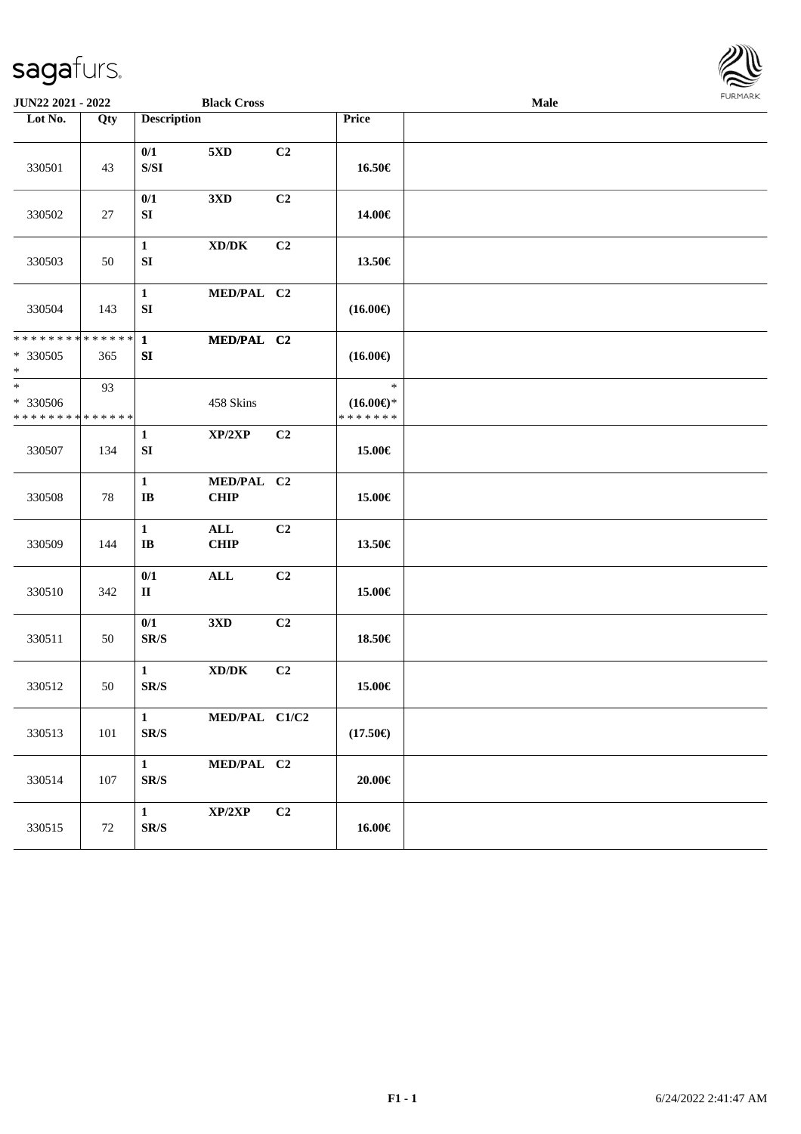

| JUN22 2021 - 2022                                                   |         |                                                                                               | <b>Black Cross</b>                          |                |                                                | Male |  |  |
|---------------------------------------------------------------------|---------|-----------------------------------------------------------------------------------------------|---------------------------------------------|----------------|------------------------------------------------|------|--|--|
| Lot No.                                                             | Qty     | <b>Description</b>                                                                            |                                             |                | Price                                          |      |  |  |
| 330501                                                              | 43      | 0/1<br>$\ensuremath{\mathrm{S}}\xspace/\ensuremath{\mathrm{S}}\xspace\ensuremath{\mathrm{I}}$ | $5{\rm XD}$                                 | C <sub>2</sub> | 16.50€                                         |      |  |  |
| 330502                                                              | 27      | 0/1<br>SI                                                                                     | 3 <sub>xD</sub>                             | C <sub>2</sub> | 14.00€                                         |      |  |  |
| 330503                                                              | 50      | $\mathbf{1}$<br>${\bf SI}$                                                                    | $\mathbf{X}\mathbf{D}/\mathbf{D}\mathbf{K}$ | C2             | 13.50€                                         |      |  |  |
| 330504                                                              | 143     | $\mathbf{1}$<br>${\bf SI}$                                                                    | MED/PAL C2                                  |                | $(16.00\epsilon)$                              |      |  |  |
| * * * * * * * * * * * * * * *<br>* 330505<br>$\ast$                 | 365     | $\mathbf{1}$<br>SI                                                                            | MED/PAL C2                                  |                | $(16.00\epsilon)$                              |      |  |  |
| $\overline{\phantom{0}}$<br>* 330506<br>* * * * * * * * * * * * * * | 93      |                                                                                               | 458 Skins                                   |                | $\ast$<br>$(16.00\epsilon)$ *<br>* * * * * * * |      |  |  |
| 330507                                                              | 134     | $\mathbf{1}$<br>${\bf SI}$                                                                    | XP/2XP                                      | C <sub>2</sub> | 15.00€                                         |      |  |  |
| 330508                                                              | 78      | $\mathbf{1}$<br>$\mathbf{I}\mathbf{B}$                                                        | MED/PAL C2<br><b>CHIP</b>                   |                | 15.00€                                         |      |  |  |
| 330509                                                              | 144     | $\mathbf{1}$<br>$\bf IB$                                                                      | $\mathbf{ALL}$<br><b>CHIP</b>               | C2             | 13.50€                                         |      |  |  |
| 330510                                                              | 342     | 0/1<br>$\mathbf{I}$                                                                           | $\mathbf{ALL}$                              | C2             | 15.00€                                         |      |  |  |
| 330511                                                              | 50      | 0/1<br>SR/S                                                                                   | 3 <sub>xD</sub>                             | C <sub>2</sub> | 18.50€                                         |      |  |  |
| 330512                                                              | 50      | $\mathbf{1}$<br>SR/S                                                                          | $\mathbf{X}\mathbf{D}/\mathbf{D}\mathbf{K}$ | C <sub>2</sub> | 15.00€                                         |      |  |  |
| 330513                                                              | $101\,$ | $\mathbf{1}$<br>$\mbox{S}\mbox{R}/\mbox{S}$                                                   | MED/PAL C1/C2                               |                | $(17.50\epsilon)$                              |      |  |  |
| 330514                                                              | 107     | $\mathbf{1}$<br>$\mathbf{SR}/\mathbf{S}$                                                      | MED/PAL C2                                  |                | $20.00 \in$                                    |      |  |  |
| 330515                                                              | $72\,$  | $\mathbf{1}$<br>$\mathbf{SR}/\mathbf{S}$                                                      | XP/2XP                                      | C2             | 16.00€                                         |      |  |  |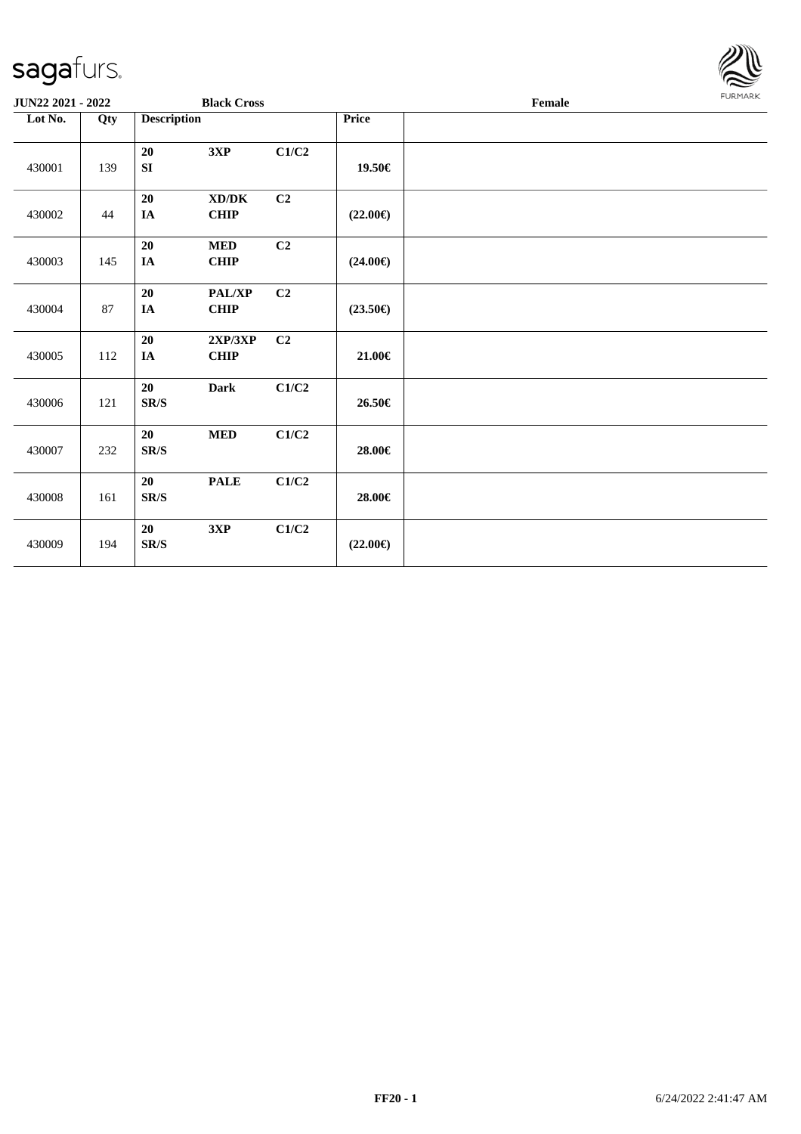

| JUN22 2021 - 2022 |     |                                | <b>Black Cross</b>        |       |                   | $\ensuremath{\textnormal{\textbf{Female}}}$ | <b>LOKIJAKV</b> |
|-------------------|-----|--------------------------------|---------------------------|-------|-------------------|---------------------------------------------|-----------------|
| Lot No.           | Qty | <b>Description</b>             |                           |       | Price             |                                             |                 |
| 430001            | 139 | 20<br>SI                       | 3XP                       | C1/C2 | 19.50€            |                                             |                 |
| 430002            | 44  | 20<br>IA                       | XD/DK<br>CHIP             | C2    | $(22.00\epsilon)$ |                                             |                 |
| 430003            | 145 | 20<br>IA                       | <b>MED</b><br><b>CHIP</b> | C2    | $(24.00\epsilon)$ |                                             |                 |
| 430004            | 87  | $20\,$<br>IA                   | PAL/XP<br>CHIP            | C2    | $(23.50\epsilon)$ |                                             |                 |
| 430005            | 112 | 20<br>IA                       | 2XP/3XP<br>CHIP           | C2    | $21.00\in$        |                                             |                 |
| 430006            | 121 | 20<br>$\mathbf{SR}/\mathbf{S}$ | <b>Dark</b>               | C1/C2 | 26.50€            |                                             |                 |
| 430007            | 232 | 20<br>SR/S                     | $\bf MED$                 | C1/C2 | 28.00€            |                                             |                 |
| 430008            | 161 | 20<br>SR/S                     | <b>PALE</b>               | C1/C2 | 28.00€            |                                             |                 |
| 430009            | 194 | 20<br>SR/S                     | 3XP                       | C1/C2 | $(22.00\epsilon)$ |                                             |                 |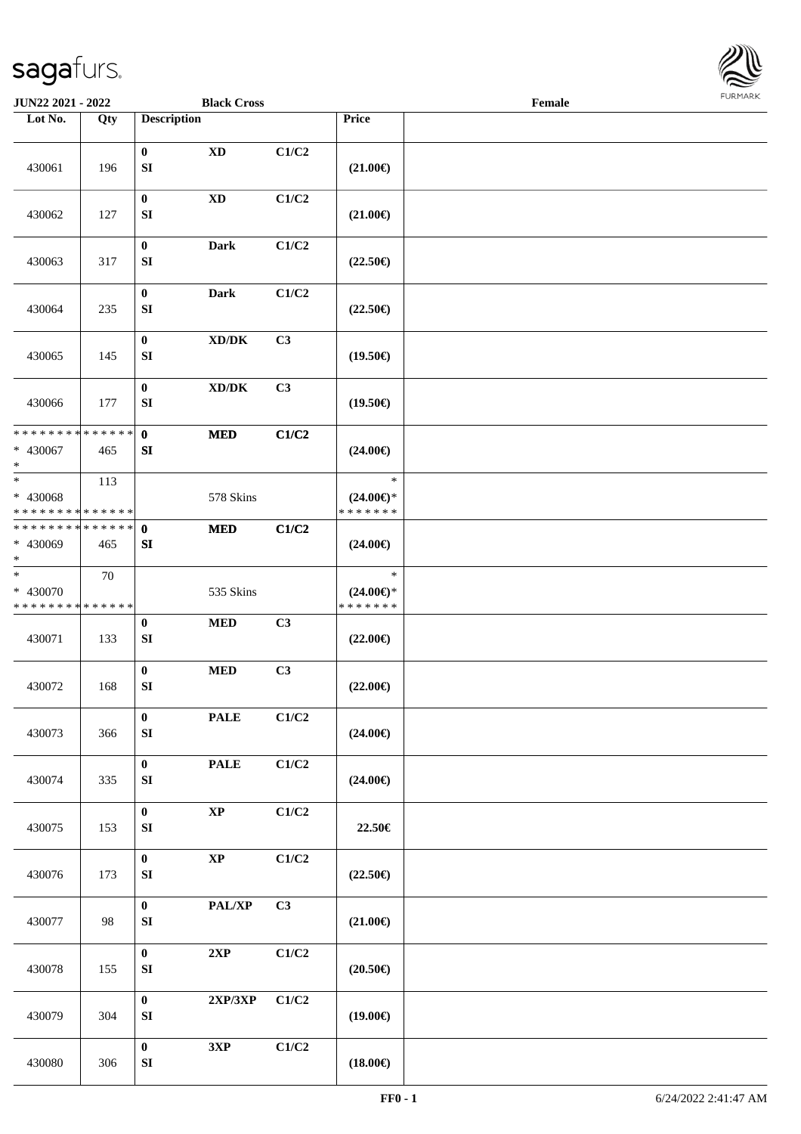

| JUN22 2021 - 2022                                                     |     |                                  | <b>Black Cross</b>                  |                           |                                                | Female |  |
|-----------------------------------------------------------------------|-----|----------------------------------|-------------------------------------|---------------------------|------------------------------------------------|--------|--|
| Lot No.                                                               | Qty | <b>Description</b>               |                                     |                           | Price                                          |        |  |
| 430061                                                                | 196 | $\bf{0}$<br>${\bf S}{\bf I}$     | $\mathbf{X}\mathbf{D}$              | C1/C2                     | $(21.00\epsilon)$                              |        |  |
| 430062                                                                | 127 | $\bf{0}$<br>SI                   | $\mathbf{X}\mathbf{D}$              | C1/C2                     | $(21.00\epsilon)$                              |        |  |
| 430063                                                                | 317 | $\bf{0}$<br>SI                   | <b>Dark</b>                         | C1/C2                     | $(22.50\epsilon)$                              |        |  |
| 430064                                                                | 235 | $\bf{0}$<br>SI                   | <b>Dark</b>                         | C1/C2                     | $(22.50\epsilon)$                              |        |  |
| 430065                                                                | 145 | $\bf{0}$<br>SI                   | $\bold{X}\bold{D}/\bold{D}\bold{K}$ | C3                        | $(19.50\epsilon)$                              |        |  |
| 430066                                                                | 177 | $\boldsymbol{0}$<br>SI           | $\bold{X}\bold{D}/\bold{D}\bold{K}$ | C3                        | $(19.50\epsilon)$                              |        |  |
| * * * * * * * * * * * * * *<br>$* 430067$<br>$*$                      | 465 | $\mathbf{0}$<br>${\bf SI}$       | $\bf MED$                           | C1/C2                     | $(24.00\epsilon)$                              |        |  |
| $\ast$<br>* 430068<br>* * * * * * * * * * * * * *                     | 113 |                                  | 578 Skins                           |                           | $\ast$<br>$(24.00\epsilon)$ *<br>* * * * * * * |        |  |
| * * * * * * * * * * * * * * *<br>* 430069<br>$*$                      | 465 | $\mathbf 0$<br>SI                | <b>MED</b>                          | C1/C2                     | $(24.00\epsilon)$                              |        |  |
| $\overline{\phantom{a}^*}$<br>* 430070<br>* * * * * * * * * * * * * * | 70  |                                  | 535 Skins                           |                           | $\ast$<br>$(24.00\epsilon)$ *<br>* * * * * * * |        |  |
| 430071                                                                | 133 | $\boldsymbol{0}$<br>SI           | $\bf MED$                           | C3                        | $(22.00\epsilon)$                              |        |  |
| 430072                                                                | 168 | $\boldsymbol{0}$<br>SI           | <b>MED</b>                          | C3                        | $(22.00\epsilon)$                              |        |  |
| 430073                                                                | 366 | $\bf{0}$<br>SI                   | <b>PALE</b>                         | $\mathbf{C1}/\mathbf{C2}$ | $(24.00\epsilon)$                              |        |  |
| 430074                                                                | 335 | $\mathbf{0}$<br>SI               | <b>PALE</b>                         | C1/C2                     | $(24.00\epsilon)$                              |        |  |
| 430075                                                                | 153 | $\bf{0}$<br>SI                   | $\bold{XP}$                         | C1/C2                     | 22.50€                                         |        |  |
| 430076                                                                | 173 | $\mathbf{0}$<br>${\bf S}{\bf I}$ | $\bold{XP}$                         | C1/C2                     | $(22.50\epsilon)$                              |        |  |
| 430077                                                                | 98  | $\bf{0}$<br>${\bf S}{\bf I}$     | PAL/XP                              | C3                        | $(21.00\epsilon)$                              |        |  |
| 430078                                                                | 155 | $\bf{0}$<br>${\bf S}{\bf I}$     | 2XP                                 | C1/C2                     | $(20.50\epsilon)$                              |        |  |
| 430079                                                                | 304 | $\bf{0}$<br>SI                   | 2XP/3XP                             | C1/C2                     | $(19.00\epsilon)$                              |        |  |
| 430080                                                                | 306 | $\bf{0}$<br>${\bf S}{\bf I}$     | 3XP                                 | C1/C2                     | $(18.00\epsilon)$                              |        |  |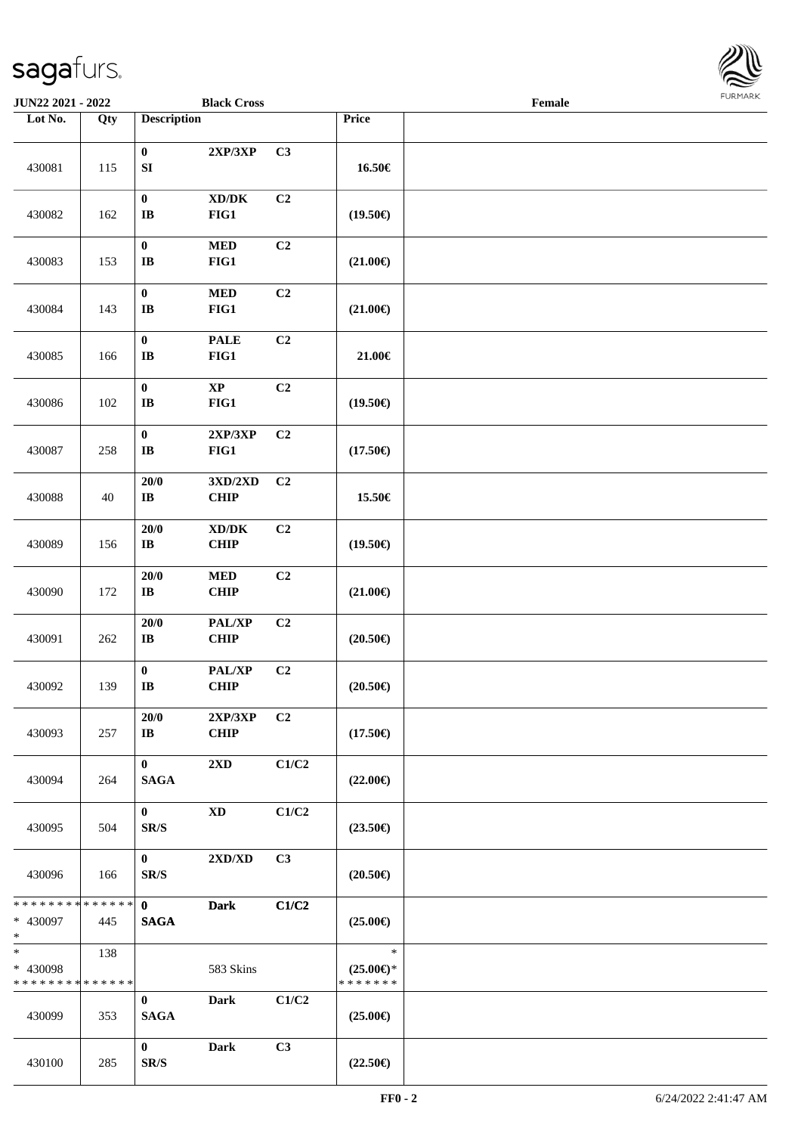

| JUN22 2021 - 2022                                |                   |                                            | <b>Black Cross</b>                          |                |                                                | Female |  |
|--------------------------------------------------|-------------------|--------------------------------------------|---------------------------------------------|----------------|------------------------------------------------|--------|--|
| Lot No.                                          | $\overline{Q}$ ty | <b>Description</b>                         |                                             |                | Price                                          |        |  |
| 430081                                           | 115               | $\bf{0}$<br>${\bf S}{\bf I}$               | 2XP/3XP                                     | C3             | 16.50€                                         |        |  |
| 430082                                           | 162               | $\boldsymbol{0}$<br>$\mathbf{I}\mathbf{B}$ | $\bold{X}\bold{D}/\bold{D}\bold{K}$<br>FIG1 | C2             | $(19.50\epsilon)$                              |        |  |
| 430083                                           | 153               | $\pmb{0}$<br>$\bf{IB}$                     | $\bf MED$<br>FIG1                           | C2             | $(21.00\epsilon)$                              |        |  |
| 430084                                           | 143               | $\boldsymbol{0}$<br>$\bf I\bf B$           | $\bf MED$<br>FIG1                           | C2             | $(21.00\epsilon)$                              |        |  |
| 430085                                           | 166               | $\pmb{0}$<br>$\bf I\bf B$                  | <b>PALE</b><br>FIG1                         | C2             | 21.00€                                         |        |  |
| 430086                                           | 102               | $\boldsymbol{0}$<br>$\bf{IB}$              | $\bold{XP}$<br>FIG1                         | C2             | $(19.50\epsilon)$                              |        |  |
| 430087                                           | 258               | $\boldsymbol{0}$<br>$\bf I\bf B$           | 2XP/3XP<br>FIG1                             | C <sub>2</sub> | $(17.50\epsilon)$                              |        |  |
| 430088                                           | 40                | 20/0<br>$\bf IB$                           | 3XD/2XD<br><b>CHIP</b>                      | C2             | 15.50€                                         |        |  |
| 430089                                           | 156               | $20/0$<br>$\bf{IB}$                        | $\bold{X}\bold{D}/\bold{D}\bold{K}$<br>CHIP | C2             | $(19.50\epsilon)$                              |        |  |
| 430090                                           | 172               | $20/0$<br>$\bf IB$                         | $\bf MED$<br>CHIP                           | C2             | $(21.00\epsilon)$                              |        |  |
| 430091                                           | 262               | 20/0<br>$\bf{IB}$                          | PAL/XP<br>CHIP                              | C <sub>2</sub> | $(20.50\epsilon)$                              |        |  |
| 430092                                           | 139               | $\boldsymbol{0}$<br>$\bf{IB}$              | PAL/XP<br><b>CHIP</b>                       | C2             | $(20.50\epsilon)$                              |        |  |
| 430093                                           | 257               | 20/0<br>IB                                 | 2XP/3XP<br><b>CHIP</b>                      | C <sub>2</sub> | $(17.50\epsilon)$                              |        |  |
| 430094                                           | 264               | $\mathbf{0}$<br><b>SAGA</b>                | 2XD                                         | C1/C2          | $(22.00\epsilon)$                              |        |  |
| 430095                                           | 504               | $\bf{0}$<br>SR/S                           | <b>XD</b>                                   | C1/C2          | $(23.50\epsilon)$                              |        |  |
| 430096                                           | 166               | $\mathbf{0}$<br>SR/S                       | 2XD/XD                                      | C3             | $(20.50\epsilon)$                              |        |  |
| * * * * * * * * * * * * * * *<br>* 430097<br>$*$ | 445               | $\mathbf{0}$<br><b>SAGA</b>                | <b>Dark</b>                                 | C1/C2          | $(25.00\epsilon)$                              |        |  |
| $*$<br>* 430098<br>* * * * * * * * * * * * * *   | 138               |                                            | 583 Skins                                   |                | $\ast$<br>$(25.00\epsilon)$ *<br>* * * * * * * |        |  |
| 430099                                           | 353               | $\mathbf{0}$<br><b>SAGA</b>                | <b>Dark</b>                                 | C1/C2          | $(25.00\epsilon)$                              |        |  |
| 430100                                           | 285               | $\bf{0}$<br>SR/S                           | <b>Dark</b>                                 | C3             | $(22.50\epsilon)$                              |        |  |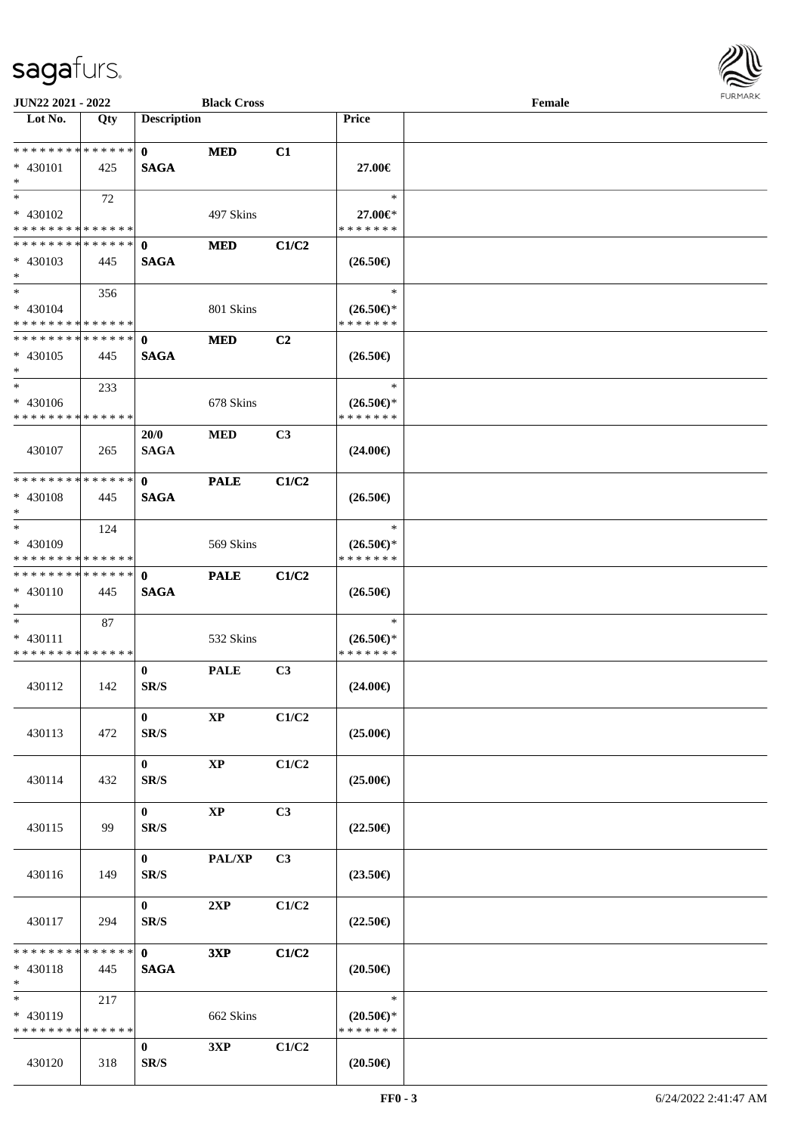

| JUN22 2021 - 2022                         |     |                    | <b>Black Cross</b> |                |                                      | Female |  |
|-------------------------------------------|-----|--------------------|--------------------|----------------|--------------------------------------|--------|--|
| Lot No.                                   | Qty | <b>Description</b> |                    |                | Price                                |        |  |
| ******** <mark>******</mark>              |     |                    |                    |                |                                      |        |  |
|                                           |     | $\mathbf 0$        | <b>MED</b>         | C1             |                                      |        |  |
| * 430101<br>$*$                           | 425 | <b>SAGA</b>        |                    |                | 27.00€                               |        |  |
| $*$                                       |     |                    |                    |                | $\ast$                               |        |  |
|                                           | 72  |                    |                    |                |                                      |        |  |
| * 430102<br>* * * * * * * * * * * * * *   |     |                    | 497 Skins          |                | 27.00€*<br>* * * * * * *             |        |  |
| **************                            |     |                    |                    |                |                                      |        |  |
|                                           |     | $\mathbf 0$        | <b>MED</b>         | C1/C2          |                                      |        |  |
| * 430103<br>$*$                           | 445 | <b>SAGA</b>        |                    |                | $(26.50\epsilon)$                    |        |  |
| $*$                                       |     |                    |                    |                | $\ast$                               |        |  |
|                                           | 356 |                    |                    |                |                                      |        |  |
| $* 430104$<br>* * * * * * * * * * * * * * |     |                    | 801 Skins          |                | $(26.50\epsilon)$ *<br>* * * * * * * |        |  |
| * * * * * * * * * * * * * *               |     | $\mathbf{0}$       |                    | C <sub>2</sub> |                                      |        |  |
| $* 430105$                                |     | <b>SAGA</b>        | <b>MED</b>         |                |                                      |        |  |
| $\ast$                                    | 445 |                    |                    |                | $(26.50\epsilon)$                    |        |  |
| $\ast$                                    | 233 |                    |                    |                | $\ast$                               |        |  |
| * 430106                                  |     |                    | 678 Skins          |                | $(26.50\epsilon)$ *                  |        |  |
| * * * * * * * * * * * * * *               |     |                    |                    |                | * * * * * * *                        |        |  |
|                                           |     | 20/0               | <b>MED</b>         | C <sub>3</sub> |                                      |        |  |
| 430107                                    | 265 | <b>SAGA</b>        |                    |                | $(24.00\epsilon)$                    |        |  |
|                                           |     |                    |                    |                |                                      |        |  |
| * * * * * * * * * * * * * *               |     | $\mathbf{0}$       | <b>PALE</b>        | C1/C2          |                                      |        |  |
| $* 430108$                                | 445 | <b>SAGA</b>        |                    |                | $(26.50\epsilon)$                    |        |  |
| $*$                                       |     |                    |                    |                |                                      |        |  |
| $\ast$                                    | 124 |                    |                    |                | $\ast$                               |        |  |
| * 430109                                  |     |                    | 569 Skins          |                | $(26.50\epsilon)$ *                  |        |  |
| * * * * * * * * * * * * * *               |     |                    |                    |                | * * * * * * *                        |        |  |
| * * * * * * * * * * * * * *               |     | $\mathbf{0}$       | <b>PALE</b>        | C1/C2          |                                      |        |  |
| $* 430110$                                | 445 | <b>SAGA</b>        |                    |                | $(26.50\epsilon)$                    |        |  |
| $*$                                       |     |                    |                    |                |                                      |        |  |
| $*$                                       | 87  |                    |                    |                | $\ast$                               |        |  |
| * 430111                                  |     |                    | 532 Skins          |                | $(26.50\epsilon)$ *                  |        |  |
| * * * * * * * * * * * * * *               |     |                    |                    |                | * * * * * * *                        |        |  |
|                                           |     | $\mathbf{0}$       | <b>PALE</b>        | C <sub>3</sub> |                                      |        |  |
| 430112                                    | 142 | SR/S               |                    |                | $(24.00\epsilon)$                    |        |  |
|                                           |     |                    |                    |                |                                      |        |  |
|                                           |     | $\bf{0}$           | $\bold{XP}$        | C1/C2          |                                      |        |  |
| 430113                                    | 472 | SR/S               |                    |                | $(25.00\epsilon)$                    |        |  |
|                                           |     |                    |                    |                |                                      |        |  |
|                                           |     | $\mathbf{0}$       | $\mathbf{XP}$      | C1/C2          |                                      |        |  |
| 430114                                    | 432 | SR/S               |                    |                | $(25.00\epsilon)$                    |        |  |
|                                           |     |                    |                    |                |                                      |        |  |
|                                           |     | $\bf{0}$           | $\mathbf{XP}$      | C3             |                                      |        |  |
| 430115                                    | 99  | SR/S               |                    |                | $(22.50\epsilon)$                    |        |  |
|                                           |     |                    |                    |                |                                      |        |  |
|                                           |     | $\mathbf{0}$       | PAL/XP             | C3             |                                      |        |  |
| 430116                                    | 149 | SR/S               |                    |                | $(23.50\epsilon)$                    |        |  |
|                                           |     | $\mathbf{0}$       | 2XP                | C1/C2          |                                      |        |  |
| 430117                                    | 294 | SR/S               |                    |                | $(22.50\epsilon)$                    |        |  |
|                                           |     |                    |                    |                |                                      |        |  |
| * * * * * * * * * * * * * *               |     | $\mathbf{0}$       | 3XP                | C1/C2          |                                      |        |  |
| * 430118                                  | 445 | <b>SAGA</b>        |                    |                | $(20.50\epsilon)$                    |        |  |
| $*$                                       |     |                    |                    |                |                                      |        |  |
| $\overline{\phantom{0}}$                  | 217 |                    |                    |                | $\ast$                               |        |  |
| * 430119                                  |     |                    | 662 Skins          |                | $(20.50 \in )^*$                     |        |  |
| * * * * * * * * * * * * * *               |     |                    |                    |                | * * * * * * *                        |        |  |
|                                           |     | $\bf{0}$           | 3XP                | C1/C2          |                                      |        |  |
| 430120                                    | 318 | SR/S               |                    |                | $(20.50\epsilon)$                    |        |  |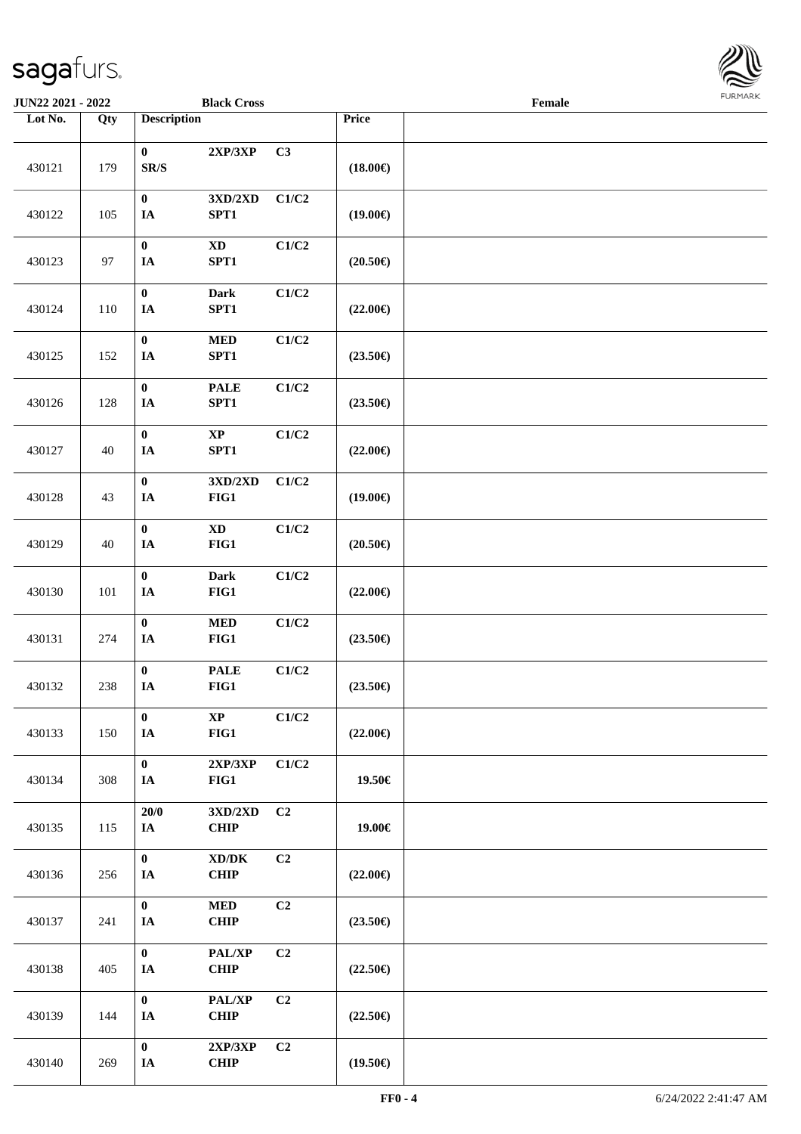

| <b>JUN22 2021 - 2022</b> |                   |                                              | <b>Black Cross</b>                            |                |                   | Female |  |
|--------------------------|-------------------|----------------------------------------------|-----------------------------------------------|----------------|-------------------|--------|--|
| Lot No.                  | $\overline{Q}$ ty | <b>Description</b>                           |                                               |                | Price             |        |  |
| 430121                   | 179               | $\boldsymbol{0}$<br>$\mathbf{SR}/\mathbf{S}$ | 2XP/3XP                                       | C3             | $(18.00\epsilon)$ |        |  |
| 430122                   | 105               | $\boldsymbol{0}$<br>IA                       | $3{\rm X} {\rm D} / 2{\rm X} {\rm D}$<br>SPT1 | C1/C2          | $(19.00\epsilon)$ |        |  |
| 430123                   | 97                | $\pmb{0}$<br>IA                              | $\mathbf{X}\mathbf{D}$<br>SPT1                | C1/C2          | $(20.50\epsilon)$ |        |  |
| 430124                   | 110               | $\boldsymbol{0}$<br>$I\!\!A$                 | Dark<br>SPT1                                  | C1/C2          | $(22.00\epsilon)$ |        |  |
| 430125                   | 152               | $\boldsymbol{0}$<br>IA                       | $\bf MED$<br>SPT1                             | C1/C2          | $(23.50\epsilon)$ |        |  |
| 430126                   | 128               | $\boldsymbol{0}$<br>IA                       | <b>PALE</b><br>SPT1                           | C1/C2          | $(23.50\epsilon)$ |        |  |
| 430127                   | 40                | $\boldsymbol{0}$<br>IA                       | $\bold{XP}$<br>SPT1                           | C1/C2          | $(22.00\epsilon)$ |        |  |
| 430128                   | 43                | $\pmb{0}$<br>$I\!\!A$                        | 3XD/2XD<br>FIG1                               | C1/C2          | $(19.00\epsilon)$ |        |  |
| 430129                   | 40                | $\pmb{0}$<br>$I\!\!A$                        | $\mathbf{X}\mathbf{D}$<br>FIG1                | C1/C2          | $(20.50\epsilon)$ |        |  |
| 430130                   | 101               | $\pmb{0}$<br>$I\!\!A$                        | Dark<br>$FIG1$                                | C1/C2          | $(22.00\epsilon)$ |        |  |
| 430131                   | 274               | $\pmb{0}$<br>$I\!\!A$                        | $\bf MED$<br>FIG1                             | C1/C2          | $(23.50\epsilon)$ |        |  |
| 430132                   | 238               | $\boldsymbol{0}$<br>$I\!\!A$                 | <b>PALE</b><br>FIG1                           | C1/C2          | $(23.50\epsilon)$ |        |  |
| 430133                   | 150               | $\bf{0}$<br>$I\!\!A$                         | $\mathbf{XP}$<br>FIG1                         | C1/C2          | $(22.00\epsilon)$ |        |  |
| 430134                   | 308               | $\boldsymbol{0}$<br>IA                       | 2XP/3XP<br>FIG1                               | C1/C2          | 19.50€            |        |  |
| 430135                   | 115               | 20/0<br>IA                                   | $3{\bf X}{\bf D}/2{\bf X}{\bf D}$<br>CHIP     | C <sub>2</sub> | 19.00€            |        |  |
| 430136                   | 256               | $\mathbf{0}$<br>IA                           | $\bold{X}\bold{D}/\bold{D}\bold{K}$<br>CHIP   | C2             | $(22.00\epsilon)$ |        |  |
| 430137                   | 241               | $\mathbf{0}$<br>IA                           | $\bf MED$<br><b>CHIP</b>                      | C2             | $(23.50\epsilon)$ |        |  |
| 430138                   | 405               | $\bf{0}$<br>IA                               | PAL/XP<br><b>CHIP</b>                         | C2             | $(22.50\epsilon)$ |        |  |
| 430139                   | 144               | $\bf{0}$<br>IA                               | PAL/XP<br>CHIP                                | C2             | $(22.50\epsilon)$ |        |  |
| 430140                   | 269               | $\boldsymbol{0}$<br>$I\!\!A$                 | 2XP/3XP<br><b>CHIP</b>                        | C <sub>2</sub> | $(19.50\epsilon)$ |        |  |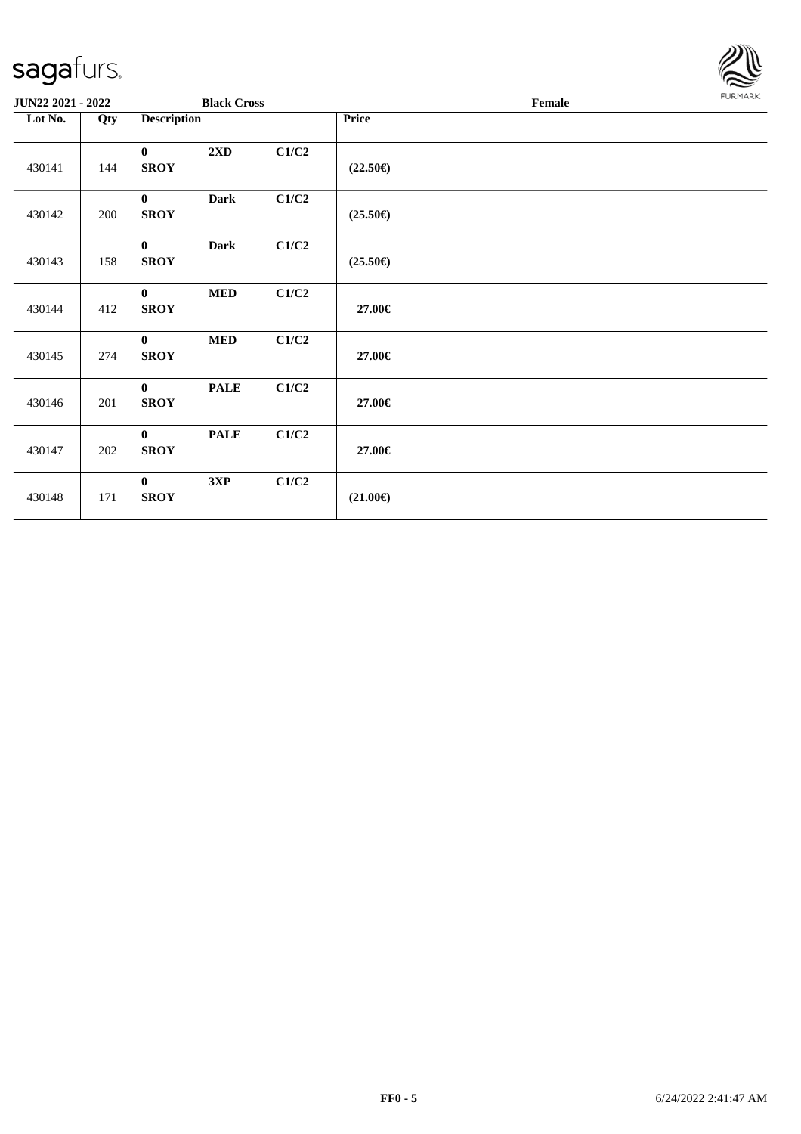

| JUN22 2021 - 2022 |     |                             | <b>Black Cross</b> |       |                   | Female |  |  |  |  |
|-------------------|-----|-----------------------------|--------------------|-------|-------------------|--------|--|--|--|--|
| Lot No.           | Qty | <b>Description</b>          |                    |       | <b>Price</b>      |        |  |  |  |  |
| 430141            | 144 | $\mathbf{0}$<br><b>SROY</b> | 2XD                | C1/C2 | $(22.50\epsilon)$ |        |  |  |  |  |
| 430142            | 200 | $\bf{0}$<br><b>SROY</b>     | <b>Dark</b>        | C1/C2 | $(25.50\epsilon)$ |        |  |  |  |  |
| 430143            | 158 | $\bf{0}$<br><b>SROY</b>     | <b>Dark</b>        | C1/C2 | $(25.50\epsilon)$ |        |  |  |  |  |
| 430144            | 412 | $\bf{0}$<br><b>SROY</b>     | $\bf MED$          | C1/C2 | 27.00€            |        |  |  |  |  |
| 430145            | 274 | $\mathbf{0}$<br><b>SROY</b> | $\bf MED$          | C1/C2 | 27.00€            |        |  |  |  |  |
| 430146            | 201 | $\bf{0}$<br><b>SROY</b>     | <b>PALE</b>        | C1/C2 | 27.00€            |        |  |  |  |  |
| 430147            | 202 | $\bf{0}$<br><b>SROY</b>     | <b>PALE</b>        | C1/C2 | 27.00€            |        |  |  |  |  |
| 430148            | 171 | $\mathbf{0}$<br><b>SROY</b> | 3XP                | C1/C2 | $(21.00\epsilon)$ |        |  |  |  |  |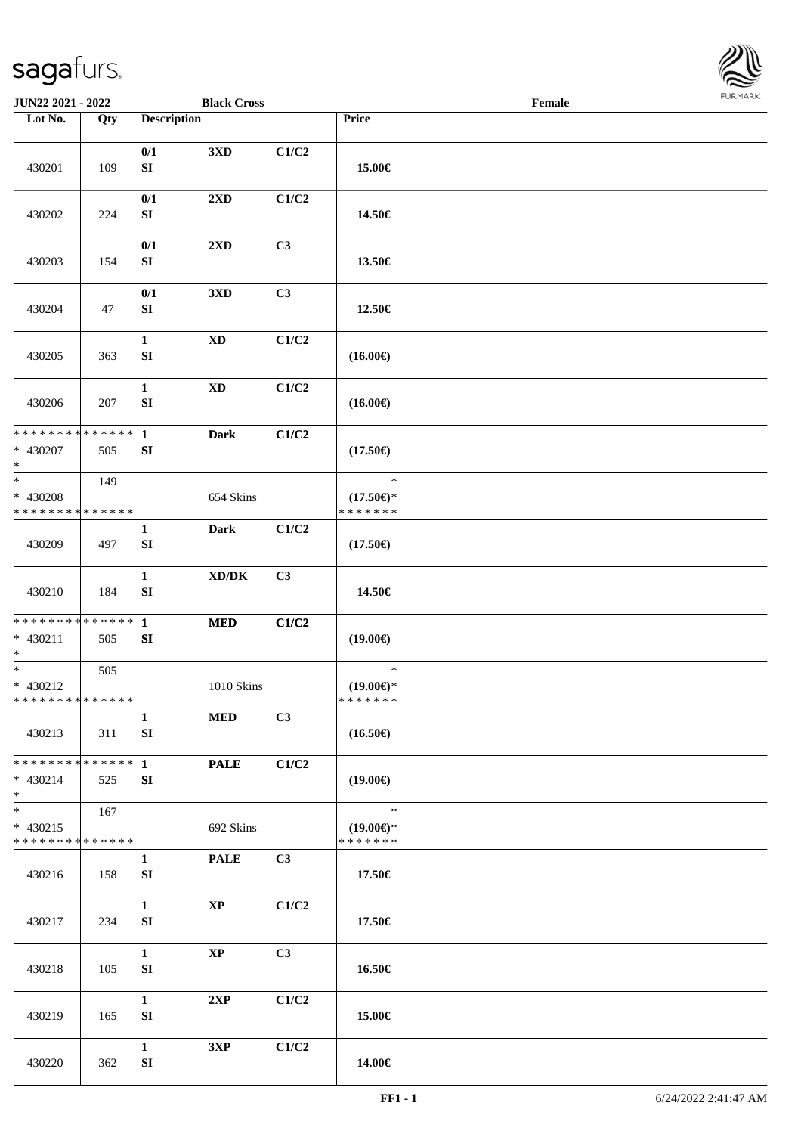

| JUN22 2021 - 2022                                  |     |                            | <b>Black Cross</b>                  |                |                                                | Female |  |
|----------------------------------------------------|-----|----------------------------|-------------------------------------|----------------|------------------------------------------------|--------|--|
| Lot No.                                            | Qty | <b>Description</b>         |                                     |                | Price                                          |        |  |
| 430201                                             | 109 | 0/1<br>${\bf SI}$          | 3XD                                 | C1/C2          | 15.00€                                         |        |  |
| 430202                                             | 224 | 0/1<br>SI                  | $2\mathbf{X}\mathbf{D}$             | C1/C2          | 14.50€                                         |        |  |
| 430203                                             | 154 | 0/1<br>${\bf S}{\bf I}$    | 2XD                                 | C3             | 13.50€                                         |        |  |
| 430204                                             | 47  | 0/1<br>${\bf SI}$          | 3XD                                 | C3             | 12.50€                                         |        |  |
| 430205                                             | 363 | $\mathbf{1}$<br>SI         | $\mathbf{X}\mathbf{D}$              | C1/C2          | $(16.00\epsilon)$                              |        |  |
| 430206                                             | 207 | $\mathbf{1}$<br>SI         | <b>XD</b>                           | C1/C2          | $(16.00\epsilon)$                              |        |  |
| ******** <mark>******</mark><br>$* 430207$<br>$*$  | 505 | $\mathbf{1}$<br>${\bf SI}$ | <b>Dark</b>                         | C1/C2          | $(17.50\epsilon)$                              |        |  |
| $*$<br>* 430208<br>* * * * * * * * * * * * * *     | 149 |                            | 654 Skins                           |                | $\ast$<br>$(17.50\epsilon)$ *<br>* * * * * * * |        |  |
| 430209                                             | 497 | 1<br>SI                    | <b>Dark</b>                         | C1/C2          | $(17.50\epsilon)$                              |        |  |
| 430210                                             | 184 | $\mathbf{1}$<br>${\bf SI}$ | $\bold{X}\bold{D}/\bold{D}\bold{K}$ | C3             | 14.50€                                         |        |  |
| * * * * * * * * * * * * * * *<br>* 430211<br>$*$   | 505 | $\mathbf{1}$<br>SI         | <b>MED</b>                          | C1/C2          | $(19.00\epsilon)$                              |        |  |
| $*$<br>* 430212<br>* * * * * * * * * * * * * * *   | 505 |                            | 1010 Skins                          |                | $\ast$<br>$(19.00\epsilon)$ *<br>*******       |        |  |
| 430213                                             | 311 | $\mathbf{1}$<br>SI         | <b>MED</b>                          | C <sub>3</sub> | $(16.50\epsilon)$                              |        |  |
| * * * * * * * * * * * * * * *<br>$* 430214$<br>$*$ | 525 | $\mathbf{1}$<br>SI         | <b>PALE</b>                         | C1/C2          | $(19.00\epsilon)$                              |        |  |
| $*$<br>$* 430215$<br>* * * * * * * * * * * * * *   | 167 |                            | 692 Skins                           |                | $\ast$<br>$(19.00\epsilon)$ *<br>* * * * * * * |        |  |
| 430216                                             | 158 | $\mathbf{1}$<br>SI         | <b>PALE</b>                         | C3             | 17.50€                                         |        |  |
| 430217                                             | 234 | $\mathbf{1}$<br>SI         | $\mathbf{XP}$                       | C1/C2          | 17.50€                                         |        |  |
| 430218                                             | 105 | $\mathbf{1}$<br>SI         | <b>XP</b>                           | C3             | 16.50€                                         |        |  |
| 430219                                             | 165 | $\mathbf{1}$<br>SI         | 2XP                                 | C1/C2          | 15.00€                                         |        |  |
| 430220                                             | 362 | $\mathbf{1}$<br>SI         | 3XP                                 | C1/C2          | 14.00€                                         |        |  |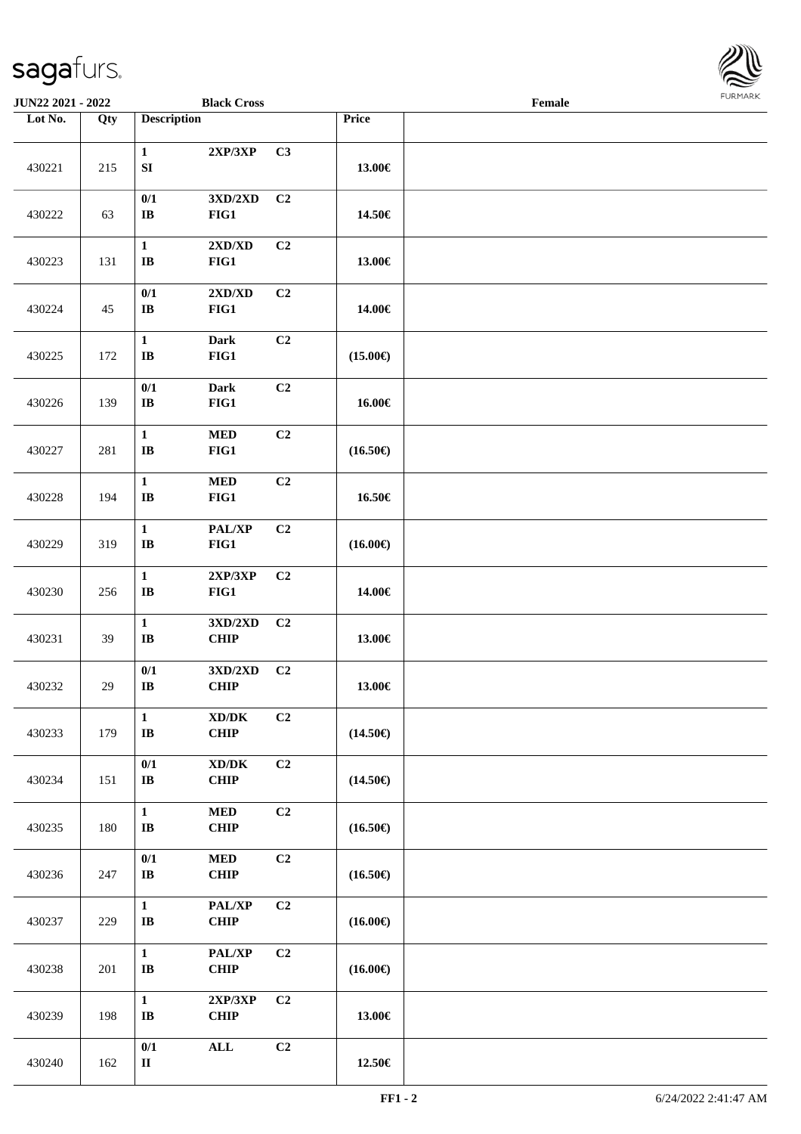

| JUN22 2021 - 2022 |                   |                                        | <b>Black Cross</b>                                |                |                   | Female |  |
|-------------------|-------------------|----------------------------------------|---------------------------------------------------|----------------|-------------------|--------|--|
| Lot No.           | $\overline{Q}$ ty | <b>Description</b>                     |                                                   |                | Price             |        |  |
| 430221            | 215               | $\mathbf{1}$<br>${\bf S}{\bf I}$       | 2XP/3XP                                           | C3             | 13.00€            |        |  |
| 430222            | 63                | 0/1<br>$\mathbf{I}\mathbf{B}$          | $3{\rm X D}/2{\rm X D}$<br>FIG1                   | C <sub>2</sub> | 14.50€            |        |  |
| 430223            | 131               | $\mathbf{1}$<br>$\bf IB$               | 2XD/XD<br>FIG1                                    | C2             | 13.00€            |        |  |
| 430224            | 45                | 0/1<br>$\bf{IB}$                       | 2XD/XD<br>FIG1                                    | C <sub>2</sub> | 14.00€            |        |  |
| 430225            | 172               | $\mathbf{1}$<br>$\bf IB$               | <b>Dark</b><br>FIG1                               | C2             | $(15.00\epsilon)$ |        |  |
| 430226            | 139               | 0/1<br>$\mathbf{I}\mathbf{B}$          | <b>Dark</b><br>FIG1                               | C2             | 16.00€            |        |  |
| 430227            | 281               | $\mathbf 1$<br>$\mathbf I\mathbf B$    | $\bf MED$<br>FIG1                                 | C2             | $(16.50\epsilon)$ |        |  |
| 430228            | 194               | $\mathbf{1}$<br>$\mathbf{I}\mathbf{B}$ | $\bf MED$<br>FIG1                                 | C2             | 16.50€            |        |  |
| 430229            | 319               | $\mathbf{1}$<br>$\mathbf I\mathbf B$   | PAL/XP<br>FIG1                                    | C2             | $(16.00\epsilon)$ |        |  |
| 430230            | 256               | $\mathbf 1$<br>$\mathbf I\mathbf B$    | 2XP/3XP<br>FIG1                                   | C <sub>2</sub> | 14.00€            |        |  |
| 430231            | 39                | $\mathbf 1$<br>$\mathbf{I}\mathbf{B}$  | 3XD/2XD<br><b>CHIP</b>                            | C <sub>2</sub> | 13.00€            |        |  |
| 430232            | 29                | 0/1<br>$\bf{IB}$                       | $3{\bf X}{\bf D}/2{\bf X}{\bf D}$<br><b>CHIP</b>  | C <sub>2</sub> | 13.00€            |        |  |
| 430233            | 179               | $\mathbf{1}$<br>$\bf IB$               | $\bold{X}\bold{D}/\bold{D}\bold{K}$<br>CHIP       | C <sub>2</sub> | $(14.50\epsilon)$ |        |  |
| 430234            | 151               | $0/1$<br>$\bf I\bf B$                  | $\boldsymbol{\text{XD}/\text{DK}}$<br><b>CHIP</b> | C <sub>2</sub> | $(14.50\epsilon)$ |        |  |
| 430235            | 180               | $\mathbf{1}$<br>$\mathbf{I}\mathbf{B}$ | $\bf MED$<br>CHIP                                 | C2             | $(16.50\epsilon)$ |        |  |
| 430236            | 247               | $0/1$<br>$\bf I\bf B$                  | $\bf MED$<br><b>CHIP</b>                          | C <sub>2</sub> | $(16.50\epsilon)$ |        |  |
| 430237            | 229               | $\mathbf{1}$<br>$\mathbf{I}\mathbf{B}$ | PAL/XP<br><b>CHIP</b>                             | C <sub>2</sub> | $(16.00\epsilon)$ |        |  |
| 430238            | 201               | $\mathbf{1}$<br>$\bf IB$               | PAL/XP<br><b>CHIP</b>                             | C <sub>2</sub> | $(16.00\epsilon)$ |        |  |
| 430239            | 198               | $\mathbf{1}$<br>$\mathbf{I}\mathbf{B}$ | 2XP/3XP<br>CHIP                                   | C2             | 13.00€            |        |  |
| 430240            | 162               | $0/1$<br>$\rm II$                      | $\mathbf{ALL}$                                    | C2             | $12.50\in$        |        |  |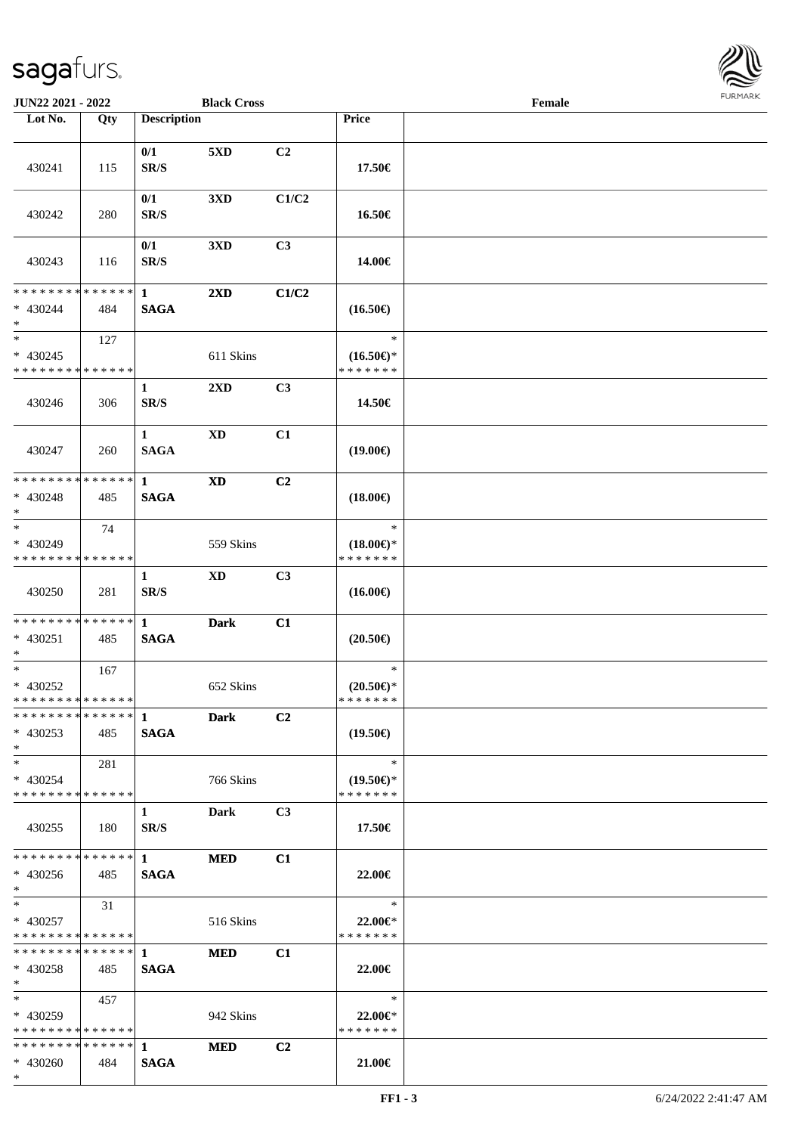

| JUN22 2021 - 2022                                |     |                             | <b>Black Cross</b>      |                |                                      | Female |  |
|--------------------------------------------------|-----|-----------------------------|-------------------------|----------------|--------------------------------------|--------|--|
| Lot No.                                          | Qty | <b>Description</b>          |                         |                | Price                                |        |  |
|                                                  |     | 0/1                         | 5XD                     | C2             |                                      |        |  |
| 430241                                           | 115 | SR/S                        |                         |                | 17.50€                               |        |  |
| 430242                                           | 280 | 0/1<br>SR/S                 | 3XD                     | C1/C2          | 16.50€                               |        |  |
| 430243                                           | 116 | 0/1<br>SR/S                 | 3XD                     | C <sub>3</sub> | 14.00€                               |        |  |
| * * * * * * * * * * * * * *<br>$* 430244$<br>$*$ | 484 | $\mathbf{1}$<br><b>SAGA</b> | $2\mathbf{X}\mathbf{D}$ | C1/C2          | $(16.50\epsilon)$                    |        |  |
| $*$                                              | 127 |                             |                         |                | $\ast$                               |        |  |
| $* 430245$<br>* * * * * * * * * * * * * *        |     |                             | 611 Skins               |                | $(16.50\epsilon)$ *<br>* * * * * * * |        |  |
| 430246                                           | 306 | $\mathbf{1}$<br>SR/S        | 2XD                     | C <sub>3</sub> | 14.50€                               |        |  |
| 430247                                           | 260 | $\mathbf{1}$<br><b>SAGA</b> | $\mathbf{X}\mathbf{D}$  | C1             | $(19.00\epsilon)$                    |        |  |
| * * * * * * * * * * * * * *                      |     | $\mathbf{1}$                | <b>XD</b>               | C2             |                                      |        |  |
| $* 430248$<br>$*$                                | 485 | <b>SAGA</b>                 |                         |                | $(18.00\epsilon)$                    |        |  |
| $\ast$                                           | 74  |                             |                         |                | $\ast$                               |        |  |
| * 430249<br>* * * * * * * * * * * * * *          |     |                             | 559 Skins               |                | $(18.00\epsilon)$ *<br>* * * * * * * |        |  |
|                                                  |     | 1                           | <b>XD</b>               | C3             |                                      |        |  |
| 430250                                           | 281 | SR/S                        |                         |                | $(16.00\epsilon)$                    |        |  |
| * * * * * * * * * * * * * * *                    |     | $\mathbf{1}$                | <b>Dark</b>             | C1             |                                      |        |  |
| * 430251<br>$*$                                  | 485 | <b>SAGA</b>                 |                         |                | $(20.50\epsilon)$                    |        |  |
| $*$                                              | 167 |                             |                         |                | $\ast$                               |        |  |
| $* 430252$<br>* * * * * * * * * * * * * *        |     |                             | 652 Skins               |                | $(20.50\epsilon)$ *<br>* * * * * * * |        |  |
|                                                  |     |                             | <b>Dark</b>             | C2             |                                      |        |  |
| $* 430253$<br>$*$                                | 485 | <b>SAGA</b>                 |                         |                | $(19.50\epsilon)$                    |        |  |
| $*$ $-$                                          | 281 |                             |                         |                | $\ast$                               |        |  |
| * 430254<br>* * * * * * * * * * * * * *          |     |                             | 766 Skins               |                | $(19.50\epsilon)$ *<br>* * * * * * * |        |  |
| 430255                                           | 180 | $\mathbf{1}$<br>SR/S        | <b>Dark</b>             | C <sub>3</sub> | 17.50€                               |        |  |
| ************** 1                                 |     |                             | <b>MED</b>              | C1             |                                      |        |  |
| $* 430256$<br>$*$                                | 485 | <b>SAGA</b>                 |                         |                | 22.00€                               |        |  |
| $*$ and $*$                                      | 31  |                             |                         |                | $\ast$                               |        |  |
| $* 430257$<br>* * * * * * * * * * * * * *        |     |                             | 516 Skins               |                | 22.00€*<br>* * * * * * *             |        |  |
| **************                                   |     | $1 -$                       | <b>MED</b>              | C1             |                                      |        |  |
| $* 430258$<br>$*$                                | 485 | <b>SAGA</b>                 |                         |                | 22.00€                               |        |  |
| $*$ and $*$                                      | 457 |                             |                         |                | $\ast$                               |        |  |
| $* 430259$<br>* * * * * * * * * * * * * *        |     |                             | 942 Skins               |                | 22.00€*<br>* * * * * * *             |        |  |
| * * * * * * * * * * * * * * *                    |     | $\mathbf 1$                 | <b>MED</b>              | C2             |                                      |        |  |
| $* 430260$                                       | 484 | <b>SAGA</b>                 |                         |                | 21.00€                               |        |  |
| $*$                                              |     |                             |                         |                |                                      |        |  |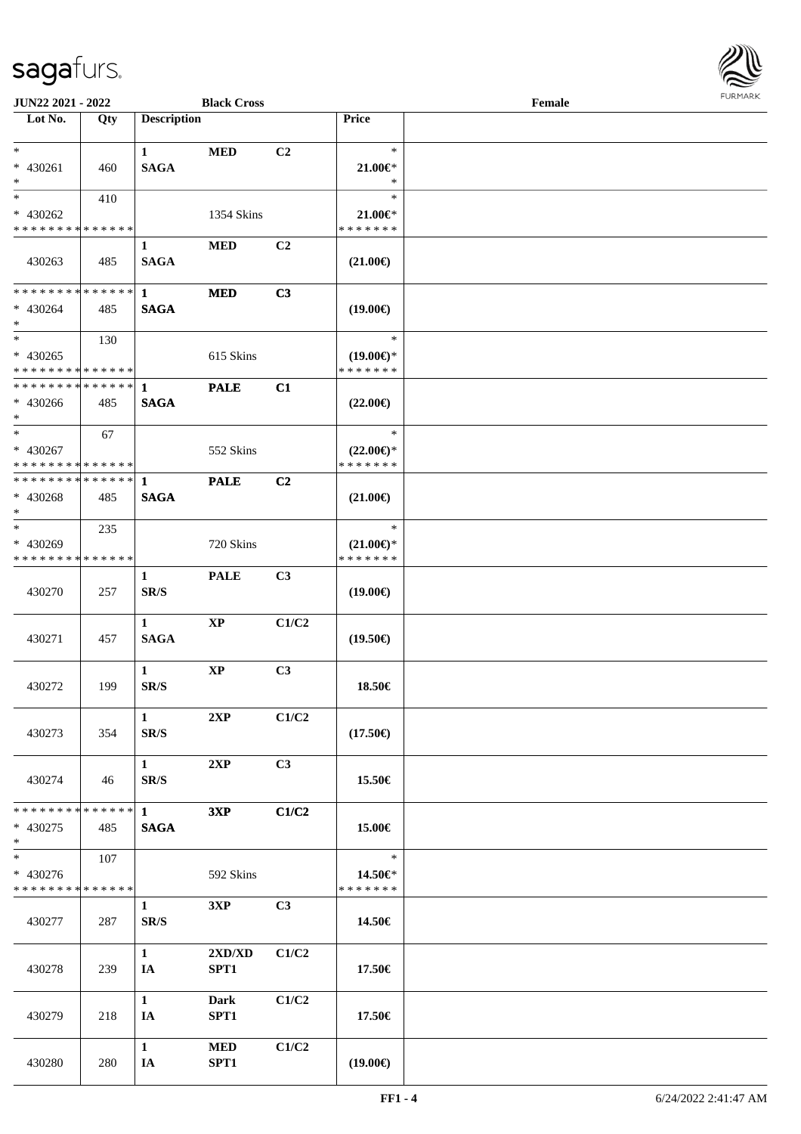

| JUN22 2021 - 2022                          |     |                             | <b>Black Cross</b> |                |                         | Female |  |
|--------------------------------------------|-----|-----------------------------|--------------------|----------------|-------------------------|--------|--|
| Lot No.                                    | Qty | <b>Description</b>          |                    |                | Price                   |        |  |
|                                            |     |                             |                    |                |                         |        |  |
| $*$<br>* 430261                            |     | $\mathbf{1}$<br><b>SAGA</b> | <b>MED</b>         | C <sub>2</sub> | $\ast$<br>$21.00 \in$ * |        |  |
| $*$                                        | 460 |                             |                    |                | $\ast$                  |        |  |
| $*$                                        | 410 |                             |                    |                | $\ast$                  |        |  |
| * 430262                                   |     |                             | 1354 Skins         |                | $21.00 \in$             |        |  |
| * * * * * * * * * * * * * *                |     |                             |                    |                | * * * * * * *           |        |  |
|                                            |     | $\mathbf{1}$                | <b>MED</b>         | C2             |                         |        |  |
| 430263                                     | 485 | <b>SAGA</b>                 |                    |                | $(21.00\epsilon)$       |        |  |
|                                            |     |                             |                    |                |                         |        |  |
| * * * * * * * * * * * * * * *              |     | $\mathbf{1}$                | <b>MED</b>         | C3             |                         |        |  |
| * 430264<br>$*$                            | 485 | <b>SAGA</b>                 |                    |                | $(19.00\epsilon)$       |        |  |
| $*$                                        | 130 |                             |                    |                | $\ast$                  |        |  |
| $* 430265$                                 |     |                             | 615 Skins          |                | $(19.00\epsilon)$ *     |        |  |
| * * * * * * * * * * * * * * *              |     |                             |                    |                | * * * * * * *           |        |  |
| * * * * * * * * * * * * * * *              |     | $\mathbf{1}$                | <b>PALE</b>        | C1             |                         |        |  |
| $* 430266$                                 | 485 | <b>SAGA</b>                 |                    |                | $(22.00\epsilon)$       |        |  |
| $*$                                        |     |                             |                    |                |                         |        |  |
| $*$                                        | 67  |                             |                    |                | $\ast$                  |        |  |
| * 430267                                   |     |                             | 552 Skins          |                | $(22.00\epsilon)$ *     |        |  |
| * * * * * * * * <mark>* * * * * * *</mark> |     |                             |                    |                | * * * * * * *           |        |  |
| * * * * * * * * * * * * * * *              |     | 1                           | <b>PALE</b>        | C <sub>2</sub> |                         |        |  |
| * 430268<br>$*$                            | 485 | <b>SAGA</b>                 |                    |                | $(21.00\epsilon)$       |        |  |
| $*$                                        | 235 |                             |                    |                | $\ast$                  |        |  |
| * 430269                                   |     |                             | 720 Skins          |                | $(21.00\epsilon)$ *     |        |  |
| * * * * * * * * * * * * * *                |     |                             |                    |                | * * * * * * *           |        |  |
|                                            |     | $\mathbf{1}$                | <b>PALE</b>        | C3             |                         |        |  |
| 430270                                     | 257 | SR/S                        |                    |                | $(19.00\epsilon)$       |        |  |
|                                            |     |                             |                    |                |                         |        |  |
|                                            |     | $\mathbf{1}$                | <b>XP</b>          | C1/C2          |                         |        |  |
| 430271                                     | 457 | <b>SAGA</b>                 |                    |                | $(19.50\epsilon)$       |        |  |
|                                            |     |                             |                    |                |                         |        |  |
|                                            |     | $\mathbf{1}$                | $\mathbf{XP}$      | C3             |                         |        |  |
| 430272                                     | 199 | SR/S                        |                    |                | 18.50€                  |        |  |
|                                            |     | $\mathbf{1}$                | 2XP                | C1/C2          |                         |        |  |
| 430273                                     | 354 | SR/S                        |                    |                | $(17.50\epsilon)$       |        |  |
|                                            |     |                             |                    |                |                         |        |  |
|                                            |     | $\mathbf{1}$                | 2XP                | C3             |                         |        |  |
| 430274                                     | 46  | SR/S                        |                    |                | 15.50€                  |        |  |
|                                            |     |                             |                    |                |                         |        |  |
| * * * * * * * * * * * * * * *              |     | $\mathbf{1}$                | 3XP                | C1/C2          |                         |        |  |
| $* 430275$                                 | 485 | <b>SAGA</b>                 |                    |                | 15.00€                  |        |  |
| $*$<br>$\overline{\phantom{0}}$            |     |                             |                    |                | $\ast$                  |        |  |
| * 430276                                   | 107 |                             | 592 Skins          |                | 14.50€*                 |        |  |
| * * * * * * * * * * * * * *                |     |                             |                    |                | * * * * * * *           |        |  |
|                                            |     | $\mathbf{1}$                | 3XP                | C3             |                         |        |  |
| 430277                                     | 287 | SR/S                        |                    |                | 14.50€                  |        |  |
|                                            |     |                             |                    |                |                         |        |  |
|                                            |     | $\mathbf{1}$                | 2XD/XD             | C1/C2          |                         |        |  |
| 430278                                     | 239 | IA                          | SPT1               |                | 17.50€                  |        |  |
|                                            |     |                             |                    |                |                         |        |  |
|                                            |     | $\mathbf{1}$                | <b>Dark</b>        | C1/C2          |                         |        |  |
| 430279                                     | 218 | IA                          | SPT1               |                | 17.50€                  |        |  |
|                                            |     | $\mathbf{1}$                | <b>MED</b>         | C1/C2          |                         |        |  |
| 430280                                     | 280 | IA                          | SPT1               |                | $(19.00\epsilon)$       |        |  |
|                                            |     |                             |                    |                |                         |        |  |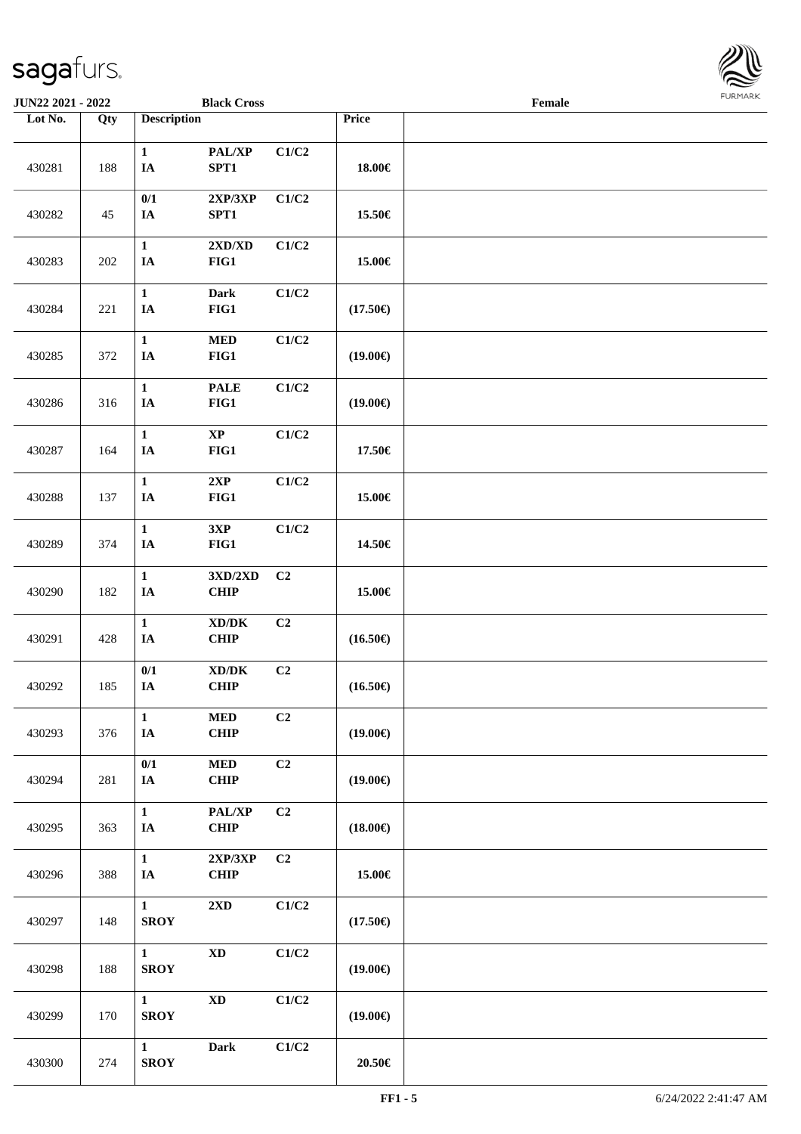

| JUN22 2021 - 2022 |                   |                               | <b>Black Cross</b>                               |                |                   | Female |  |
|-------------------|-------------------|-------------------------------|--------------------------------------------------|----------------|-------------------|--------|--|
| Lot No.           | $\overline{Q}$ ty | <b>Description</b>            |                                                  |                | Price             |        |  |
| 430281            | 188               | $\mathbf{1}$<br>$\mathbf{IA}$ | PAL/XP<br>SPT1                                   | C1/C2          | 18.00€            |        |  |
| 430282            | 45                | 0/1<br>IA                     | 2XP/3XP<br>SPT1                                  | C1/C2          | 15.50€            |        |  |
| 430283            | 202               | $\mathbf{1}$<br>IA            | 2XD/XD<br>FIG1                                   | C1/C2          | 15.00€            |        |  |
| 430284            | 221               | $\mathbf{1}$<br>IA            | Dark<br>$FIG1$                                   | C1/C2          | $(17.50\epsilon)$ |        |  |
| 430285            | 372               | $\mathbf 1$<br>IA             | $\bf MED$<br>FIG1                                | C1/C2          | $(19.00\epsilon)$ |        |  |
| 430286            | 316               | $\mathbf 1$<br>$I\!\!A$       | <b>PALE</b><br>FIG1                              | C1/C2          | $(19.00\epsilon)$ |        |  |
| 430287            | 164               | $\mathbf{1}$<br>$\mathbf{IA}$ | $\bold{XP}$<br>FIG1                              | C1/C2          | 17.50€            |        |  |
| 430288            | 137               | $\mathbf 1$<br>$I\!\!A$       | 2XP<br>FIG1                                      | C1/C2          | 15.00€            |        |  |
| 430289            | 374               | $\mathbf{1}$<br>$I\!\!A$      | 3XP<br>$FIG1$                                    | C1/C2          | 14.50€            |        |  |
| 430290            | 182               | $\mathbf 1$<br>IA             | $3{\bf X}{\bf D}/2{\bf X}{\bf D}$<br><b>CHIP</b> | C <sub>2</sub> | 15.00€            |        |  |
| 430291            | 428               | $\mathbf{1}$<br>IA            | $\bold{X}\bold{D}/\bold{D}\bold{K}$<br>CHIP      | C2             | $(16.50\epsilon)$ |        |  |
| 430292            | 185               | $0/1$<br>$I\!\!A$             | $\bold{X}\bold{D}/\bold{D}\bold{K}$<br>CHIP      | C2             | $(16.50\epsilon)$ |        |  |
| 430293            | 376               | $\mathbf{1}$<br>IA            | $\bf MED$<br><b>CHIP</b>                         | C2             | $(19.00\epsilon)$ |        |  |
| 430294            | 281               | $0/1$<br>$I\!\!A$             | $\bf MED$<br>CHIP                                | C2             | $(19.00\epsilon)$ |        |  |
| 430295            | 363               | $\mathbf{1}$<br>IA            | PAL/XP<br>CHIP                                   | C2             | $(18.00\epsilon)$ |        |  |
| 430296            | 388               | $\mathbf{1}$<br>$I\!\!A$      | $2{\bf XP}/3{\bf XP}$<br>CHIP                    | C2             | 15.00€            |        |  |
| 430297            | 148               | $\mathbf{1}$<br><b>SROY</b>   | $2\mathbf{X}\mathbf{D}$                          | C1/C2          | $(17.50\epsilon)$ |        |  |
| 430298            | 188               | $\mathbf{1}$<br><b>SROY</b>   | $\mathbf{X}\mathbf{D}$                           | C1/C2          | $(19.00\epsilon)$ |        |  |
| 430299            | 170               | $\mathbf{1}$<br><b>SROY</b>   | $\mathbf{X}\mathbf{D}$                           | C1/C2          | $(19.00\epsilon)$ |        |  |
| 430300            | 274               | $\mathbf{1}$<br><b>SROY</b>   | <b>Dark</b>                                      | C1/C2          | 20.50€            |        |  |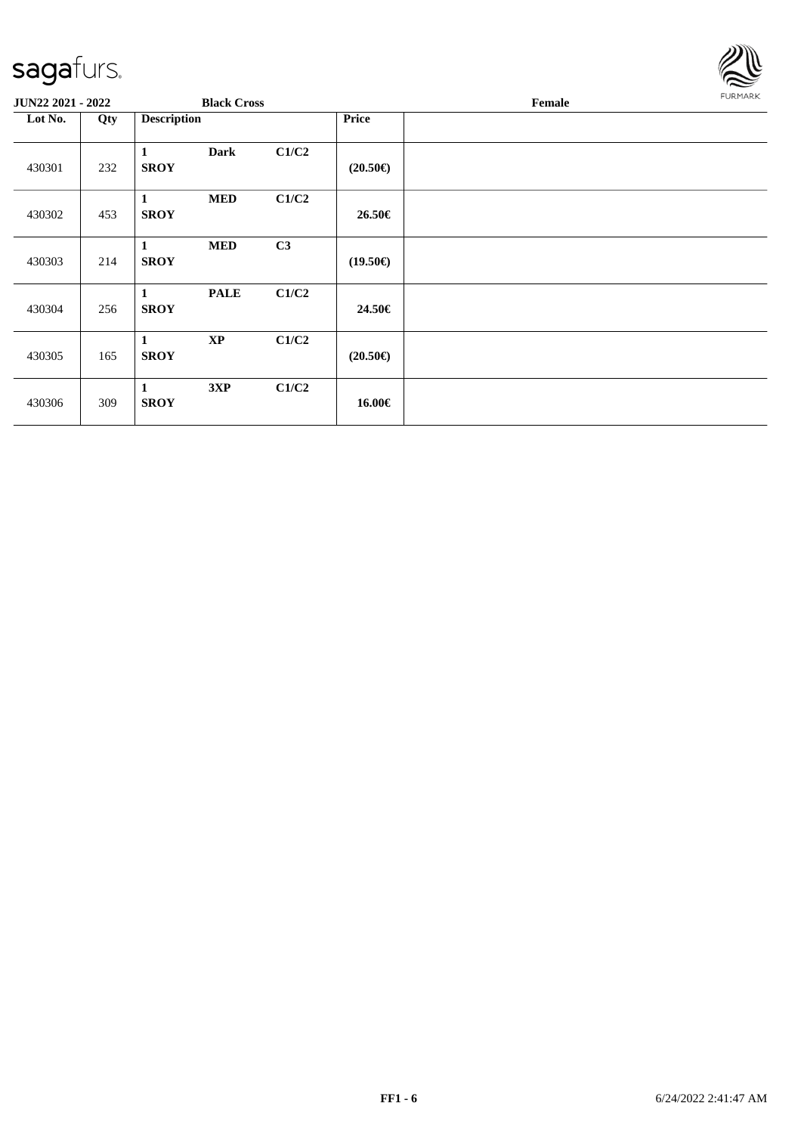

| <b>JUN22 2021 - 2022</b> |     |                             | <b>Black Cross</b> |       |                   | Female |  |  |  |
|--------------------------|-----|-----------------------------|--------------------|-------|-------------------|--------|--|--|--|
| Lot No.                  | Qty | <b>Description</b>          |                    |       | <b>Price</b>      |        |  |  |  |
| 430301                   | 232 | 1<br><b>SROY</b>            | <b>Dark</b>        | C1/C2 | $(20.50\epsilon)$ |        |  |  |  |
| 430302                   | 453 | 1<br><b>SROY</b>            | <b>MED</b>         | C1/C2 | 26.50€            |        |  |  |  |
| 430303                   | 214 | $\mathbf{1}$<br><b>SROY</b> | <b>MED</b>         | C3    | $(19.50\epsilon)$ |        |  |  |  |
| 430304                   | 256 | 1<br><b>SROY</b>            | <b>PALE</b>        | C1/C2 | 24.50€            |        |  |  |  |
| 430305                   | 165 | $\mathbf{1}$<br><b>SROY</b> | $\bold{XP}$        | C1/C2 | $(20.50\epsilon)$ |        |  |  |  |
| 430306                   | 309 | 1<br><b>SROY</b>            | 3XP                | C1/C2 | 16.00€            |        |  |  |  |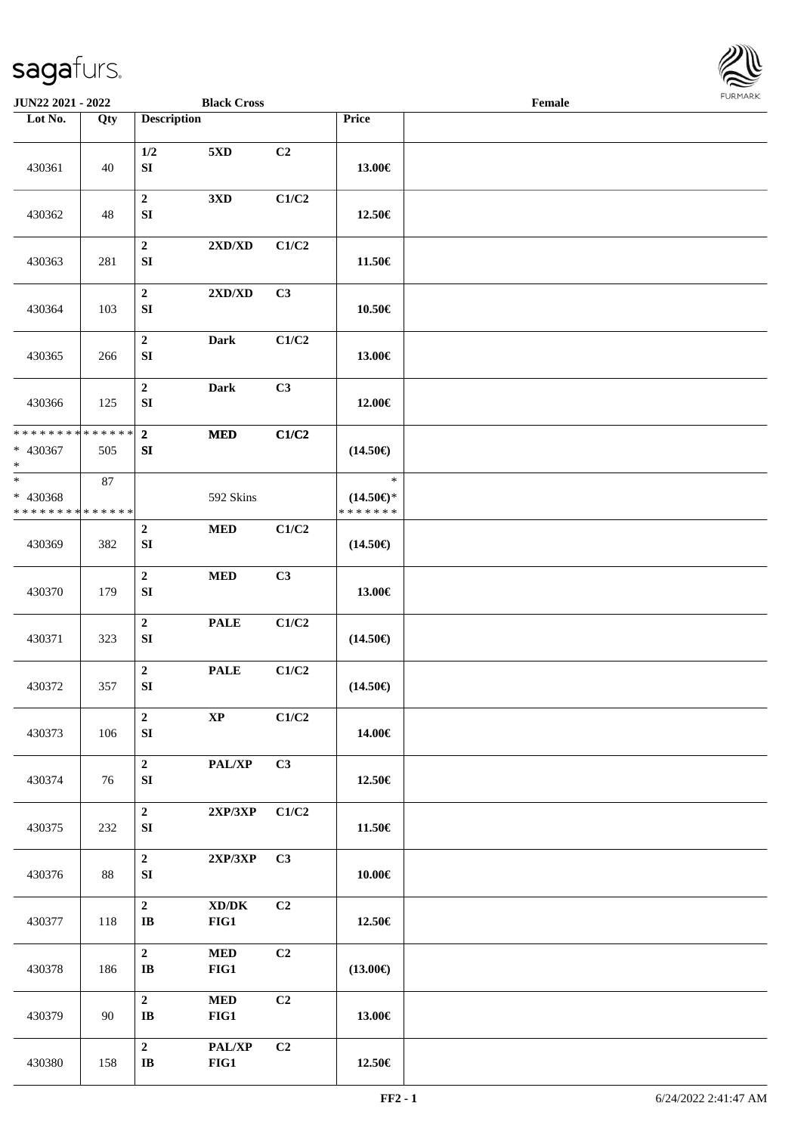

| JUN22 2021 - 2022                                 |        |                                      | <b>Black Cross</b>                          |       |                                                | Female |  |
|---------------------------------------------------|--------|--------------------------------------|---------------------------------------------|-------|------------------------------------------------|--------|--|
| Lot No.                                           | Qty    | <b>Description</b>                   |                                             |       | Price                                          |        |  |
| 430361                                            | 40     | 1/2<br>${\bf S}{\bf I}$              | 5XD                                         | C2    | 13.00€                                         |        |  |
| 430362                                            | 48     | $\boldsymbol{2}$<br>SI               | 3 <sub>xD</sub>                             | C1/C2 | 12.50€                                         |        |  |
| 430363                                            | 281    | $\boldsymbol{2}$<br>SI               | $2{\bf X}{\bf D}/{\bf X}{\bf D}$            | C1/C2 | 11.50€                                         |        |  |
| 430364                                            | 103    | $\boldsymbol{2}$<br>SI               | $2{\bf X}{\bf D}/{\bf X}{\bf D}$            | C3    | 10.50€                                         |        |  |
| 430365                                            | 266    | $\boldsymbol{2}$<br>SI               | <b>Dark</b>                                 | C1/C2 | 13.00€                                         |        |  |
| 430366                                            | 125    | $\mathbf 2$<br>SI                    | <b>Dark</b>                                 | C3    | 12.00€                                         |        |  |
| * * * * * * * * * * * * * *<br>$* 430367$<br>$*$  | 505    | $\overline{2}$<br>${\bf SI}$         | $\bf MED$                                   | C1/C2 | $(14.50\epsilon)$                              |        |  |
| $\ast$<br>* 430368<br>* * * * * * * * * * * * * * | $87\,$ |                                      | 592 Skins                                   |       | $\ast$<br>$(14.50\epsilon)$ *<br>* * * * * * * |        |  |
| 430369                                            | 382    | $\boldsymbol{2}$<br>SI               | <b>MED</b>                                  | C1/C2 | $(14.50\epsilon)$                              |        |  |
| 430370                                            | 179    | $\mathbf 2$<br>${\bf S}{\bf I}$      | $\bf MED$                                   | C3    | 13.00€                                         |        |  |
| 430371                                            | 323    | $\mathbf 2$<br>SI                    | <b>PALE</b>                                 | C1/C2 | $(14.50\epsilon)$                              |        |  |
| 430372                                            | 357    | $\boldsymbol{2}$<br>${\bf SI}$       | <b>PALE</b>                                 | C1/C2 | $(14.50\epsilon)$                              |        |  |
| 430373                                            | 106    | $\overline{2}$<br>${\bf S}{\bf I}$   | $\bold{XP}$                                 | C1/C2 | 14.00€                                         |        |  |
| 430374                                            | 76     | $\mathbf 2$<br>SI                    | PAL/XP                                      | C3    | 12.50€                                         |        |  |
| 430375                                            | 232    | $\mathbf 2$<br>SI                    | 2XP/3XP                                     | C1/C2 | 11.50€                                         |        |  |
| 430376                                            | 88     | $\mathbf{2}$<br>${\bf SI}$           | $2{\bf XP}/3{\bf XP}$                       | C3    | 10.00€                                         |        |  |
| 430377                                            | 118    | $\mathbf{2}$<br>$\bf I\bf B$         | $\bold{X}\bold{D}/\bold{D}\bold{K}$<br>FIG1 | C2    | 12.50€                                         |        |  |
| 430378                                            | 186    | $\mathbf{2}$<br>$\mathbf I\mathbf B$ | <b>MED</b><br>FIG1                          | C2    | $(13.00\epsilon)$                              |        |  |
| 430379                                            | 90     | $\overline{2}$<br>$\bf I\bf B$       | $\bf MED$<br>FIG1                           | C2    | 13.00€                                         |        |  |
| 430380                                            | 158    | $\mathbf 2$<br>$\bf IB$              | PAL/XP<br>FIG1                              | C2    | 12.50€                                         |        |  |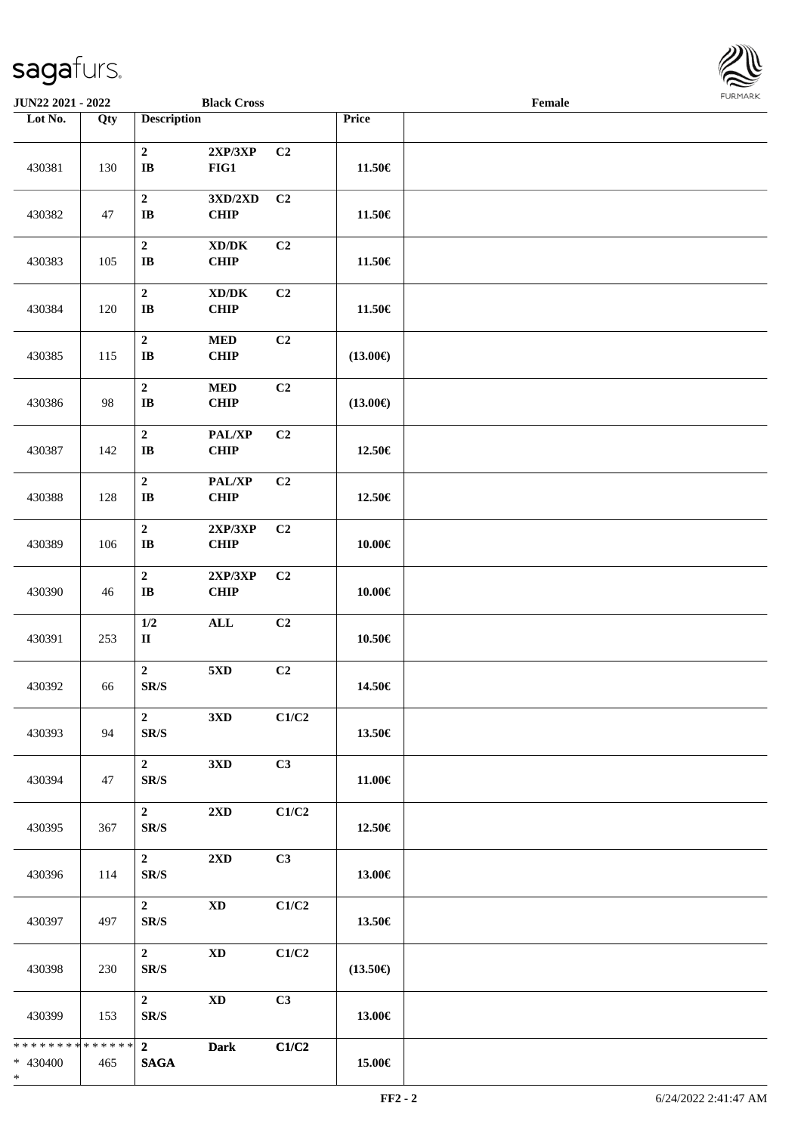

| JUN22 2021 - 2022                                  |     |                                              | <b>Black Cross</b>                                 |       |                   | Female |  |
|----------------------------------------------------|-----|----------------------------------------------|----------------------------------------------------|-------|-------------------|--------|--|
| Lot No.                                            | Qty | <b>Description</b>                           |                                                    |       | Price             |        |  |
| 430381                                             | 130 | $\boldsymbol{2}$<br>$\bf IB$                 | 2XP/3XP<br>FIG1                                    | C2    | 11.50€            |        |  |
| 430382                                             | 47  | $\boldsymbol{2}$<br>$\mathbf{I}\mathbf{B}$   | 3XD/2XD<br><b>CHIP</b>                             | C2    | 11.50€            |        |  |
| 430383                                             | 105 | $\boldsymbol{2}$<br>$\bf IB$                 | $\bold{X}\bold{D}/\bold{D}\bold{K}$<br><b>CHIP</b> | C2    | 11.50€            |        |  |
| 430384                                             | 120 | $\boldsymbol{2}$<br>$\mathbf{I}\mathbf{B}$   | $\bold{X}\bold{D}/\bold{D}\bold{K}$<br><b>CHIP</b> | C2    | 11.50€            |        |  |
| 430385                                             | 115 | $\mathbf 2$<br>$\mathbf{I}\mathbf{B}$        | $\bf MED$<br><b>CHIP</b>                           | C2    | $(13.00\epsilon)$ |        |  |
| 430386                                             | 98  | $\mathbf 2$<br>$\mathbf{I}\mathbf{B}$        | $\bf MED$<br><b>CHIP</b>                           | C2    | $(13.00\epsilon)$ |        |  |
| 430387                                             | 142 | $\boldsymbol{2}$<br>$\bf IB$                 | PAL/XP<br><b>CHIP</b>                              | C2    | 12.50€            |        |  |
| 430388                                             | 128 | $\mathbf 2$<br>$\mathbf{I}\mathbf{B}$        | PAL/XP<br><b>CHIP</b>                              | C2    | 12.50€            |        |  |
| 430389                                             | 106 | $\mathbf 2$<br>$\bf IB$                      | 2XP/3XP<br>CHIP                                    | C2    | 10.00€            |        |  |
| 430390                                             | 46  | $\boldsymbol{2}$<br>$\bf IB$                 | 2XP/3XP<br><b>CHIP</b>                             | C2    | 10.00€            |        |  |
| 430391                                             | 253 | 1/2<br>$\mathbf{I}\mathbf{I}$                | $\mathbf{ALL}$                                     | C2    | 10.50€            |        |  |
| 430392                                             | 66  | $\boldsymbol{2}$<br>$\mathbf{SR}/\mathbf{S}$ | 5XD                                                | C2    | 14.50€            |        |  |
| 430393                                             | 94  | 2 <sup>1</sup><br>SR/S                       | 3 <sub>xD</sub>                                    | C1/C2 | 13.50€            |        |  |
| 430394                                             | 47  | $2^{\circ}$<br>SR/S                          | 3XD                                                | C3    | 11.00€            |        |  |
| 430395                                             | 367 | $\mathbf{2}$<br>SR/S                         | $2{\bf X}{\bf D}$                                  | C1/C2 | 12.50€            |        |  |
| 430396                                             | 114 | $\overline{2}$<br>SR/S                       | 2XD                                                | C3    | 13.00€            |        |  |
| 430397                                             | 497 | $2^{\circ}$<br>$\mathbf{SR}/\mathbf{S}$      | $\mathbf{X}\mathbf{D}$                             | C1/C2 | 13.50€            |        |  |
| 430398                                             | 230 | 2 <sup>1</sup><br>$\mathbf{SR}/\mathbf{S}$   | $\mathbf{X}\mathbf{D}$                             | C1/C2 | $(13.50\epsilon)$ |        |  |
| 430399                                             | 153 | $\overline{2}$<br>$\mathbf{SR}/\mathbf{S}$   | <b>XD</b>                                          | C3    | 13.00€            |        |  |
| ******** <mark>******</mark><br>* 430400<br>$\ast$ | 465 | $\overline{2}$<br><b>SAGA</b>                | <b>Dark</b>                                        | C1/C2 | 15.00€            |        |  |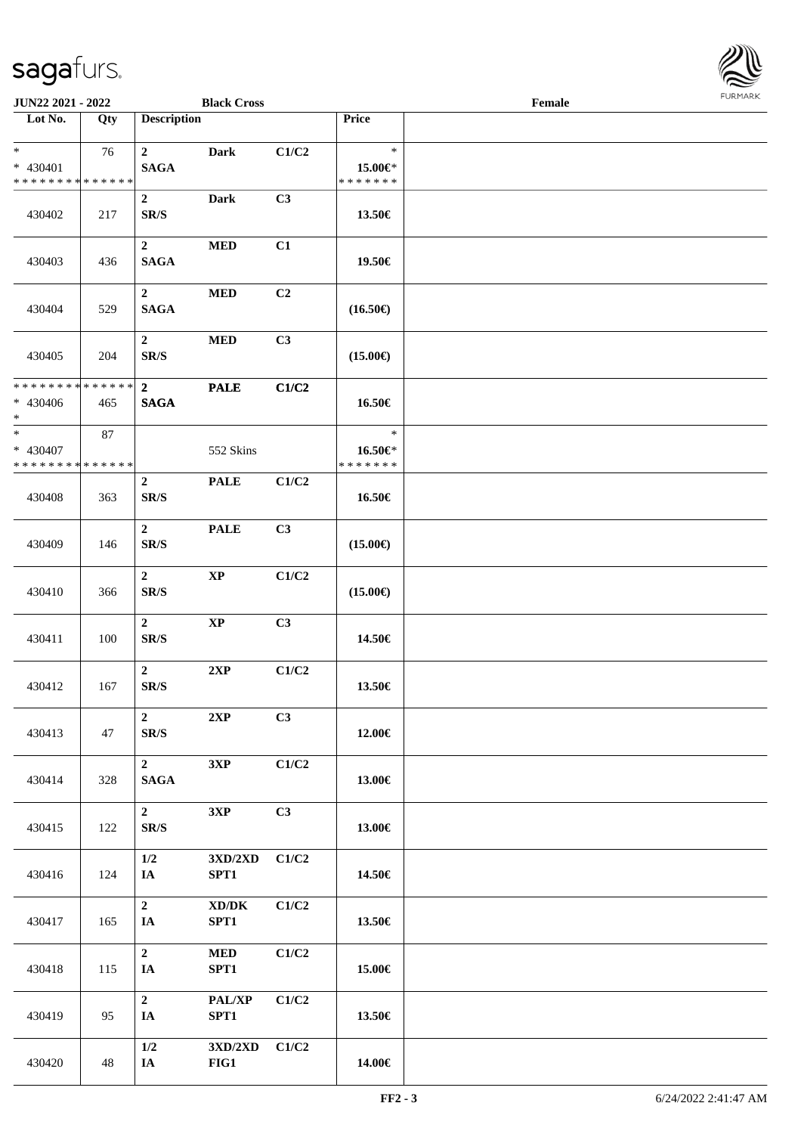

| JUN22 2021 - 2022                                            |     |                                              | <b>Black Cross</b>                          |       |                                    | Female | <b>FURMARK</b> |
|--------------------------------------------------------------|-----|----------------------------------------------|---------------------------------------------|-------|------------------------------------|--------|----------------|
| $\overline{\phantom{1}}$ Lot No.                             | Qty | <b>Description</b>                           |                                             |       | Price                              |        |                |
| $*$<br>* 430401<br>* * * * * * * * * * * * * *               | 76  | $\overline{2}$<br><b>SAGA</b>                | <b>Dark</b>                                 | C1/C2 | $\ast$<br>15.00€*<br>* * * * * * * |        |                |
| 430402                                                       | 217 | $\boldsymbol{2}$<br>$\mathbf{SR}/\mathbf{S}$ | <b>Dark</b>                                 | C3    | 13.50€                             |        |                |
| 430403                                                       | 436 | $\overline{2}$<br>$\mathbf{SAGA}$            | <b>MED</b>                                  | C1    | 19.50€                             |        |                |
| 430404                                                       | 529 | $\overline{2}$<br><b>SAGA</b>                | <b>MED</b>                                  | C2    | $(16.50\epsilon)$                  |        |                |
| 430405                                                       | 204 | $\overline{2}$<br>$\mathbf{SR}/\mathbf{S}$   | <b>MED</b>                                  | C3    | $(15.00\epsilon)$                  |        |                |
| * * * * * * * * * * * * * *<br>* 430406<br>$\ast$            | 465 | 2 <sup>1</sup><br><b>SAGA</b>                | <b>PALE</b>                                 | C1/C2 | 16.50€                             |        |                |
| $\overline{\ast}$<br>* 430407<br>* * * * * * * * * * * * * * | 87  |                                              | 552 Skins                                   |       | $\ast$<br>16.50€*<br>* * * * * * * |        |                |
| 430408                                                       | 363 | $\boldsymbol{2}$<br>$\mathbf{SR}/\mathbf{S}$ | <b>PALE</b>                                 | C1/C2 | 16.50€                             |        |                |
| 430409                                                       | 146 | $\mathbf{2}$<br>$\mathbf{SR}/\mathbf{S}$     | <b>PALE</b>                                 | C3    | $(15.00\epsilon)$                  |        |                |
| 430410                                                       | 366 | $\overline{2}$<br>$\mathbf{SR}/\mathbf{S}$   | $\bold{XP}$                                 | C1/C2 | $(15.00\epsilon)$                  |        |                |
| 430411                                                       | 100 | $\boldsymbol{2}$<br>$\mathbf{SR}/\mathbf{S}$ | $\bold{XP}$                                 | C3    | 14.50€                             |        |                |
| 430412                                                       | 167 | $\overline{2}$<br>$\mathbf{SR}/\mathbf{S}$   | 2XP                                         | C1/C2 | 13.50€                             |        |                |
| 430413                                                       | 47  | $\boldsymbol{2}$<br>$\mathbf{SR}/\mathbf{S}$ | 2XP                                         | C3    | 12.00€                             |        |                |
| 430414                                                       | 328 | $\boldsymbol{2}$<br><b>SAGA</b>              | 3XP                                         | C1/C2 | 13.00€                             |        |                |
| 430415                                                       | 122 | $\boldsymbol{2}$<br>SR/S                     | 3XP                                         | C3    | 13.00€                             |        |                |
| 430416                                                       | 124 | 1/2<br>IA                                    | $3{\bf X}{\bf D}/2{\bf X}{\bf D}$<br>SPT1   | C1/C2 | 14.50€                             |        |                |
| 430417                                                       | 165 | $\boldsymbol{2}$<br>IA                       | $\bold{X}\bold{D}/\bold{D}\bold{K}$<br>SPT1 | C1/C2 | 13.50€                             |        |                |
| 430418                                                       | 115 | $\overline{2}$<br>IA                         | $\bf MED$<br>SPT1                           | C1/C2 | 15.00€                             |        |                |
| 430419                                                       | 95  | $\boldsymbol{2}$<br>IA                       | PAL/XP<br>SPT1                              | C1/C2 | 13.50€                             |        |                |
| 430420                                                       | 48  | 1/2<br>IA                                    | $3{\rm X D}/2{\rm X D}$<br>$FIG1$           | C1/C2 | 14.00€                             |        |                |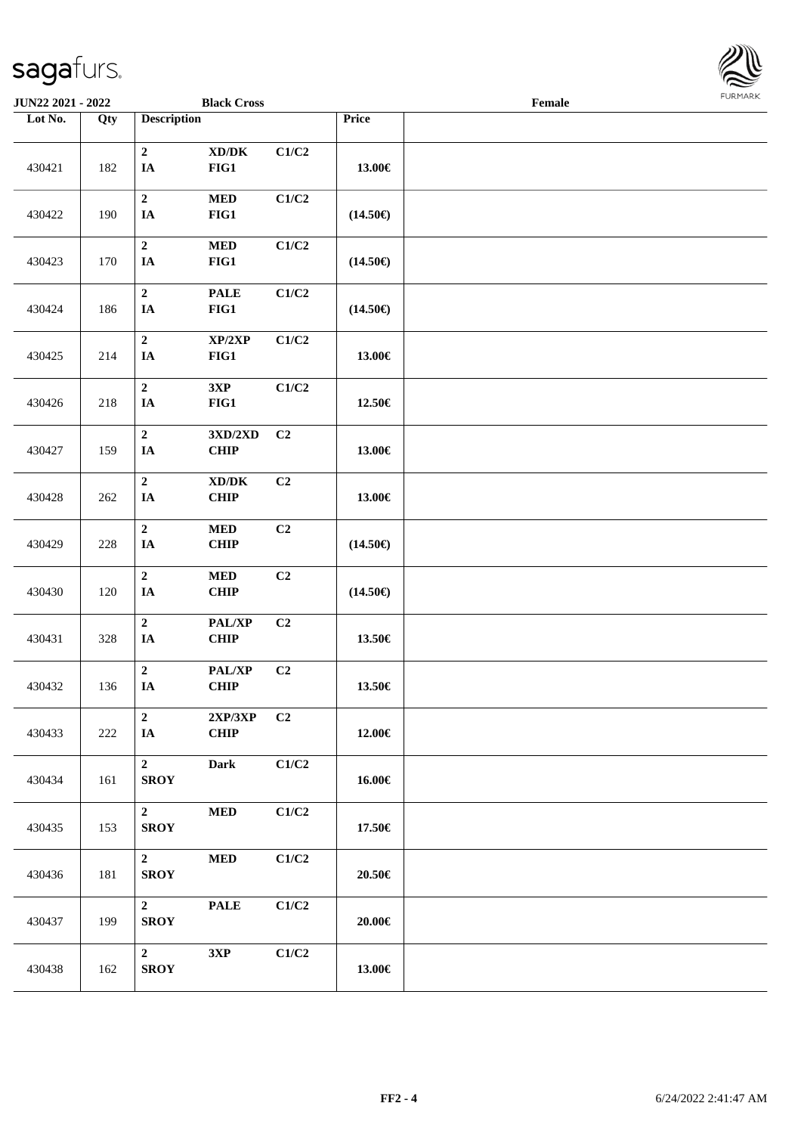

| <b>JUN22 2021 - 2022</b> |                   |                               | <b>Black Cross</b>                          |                |                   | Female |  |
|--------------------------|-------------------|-------------------------------|---------------------------------------------|----------------|-------------------|--------|--|
| Lot No.                  | $\overline{Q}$ ty | <b>Description</b>            |                                             |                | Price             |        |  |
| 430421                   | 182               | $\mathbf 2$<br>$\mathbf{IA}$  | $\bold{X}\bold{D}/\bold{D}\bold{K}$<br>FIG1 | C1/C2          | 13.00€            |        |  |
| 430422                   | 190               | $\boldsymbol{2}$<br>$I\!\!A$  | $\bf MED$<br>FIG1                           | C1/C2          | $(14.50\epsilon)$ |        |  |
| 430423                   | 170               | $\mathbf 2$<br>$I\!\!A$       | $\bf MED$<br>FIG1                           | C1/C2          | $(14.50\epsilon)$ |        |  |
| 430424                   | 186               | $\mathbf 2$<br>$I\!\!A$       | <b>PALE</b><br>FIG1                         | C1/C2          | $(14.50\epsilon)$ |        |  |
| 430425                   | 214               | $\mathbf 2$<br>IA             | XP/2XP<br>FIG1                              | C1/C2          | 13.00€            |        |  |
| 430426                   | 218               | $\mathbf 2$<br>$\mathbf{IA}$  | 3XP<br>FIG1                                 | C1/C2          | 12.50€            |        |  |
| 430427                   | 159               | $\mathbf 2$<br>$I\!\!A$       | 3XD/2XD<br>CHIP                             | C <sub>2</sub> | 13.00€            |        |  |
| 430428                   | 262               | $\mathbf 2$<br>$I\!\!A$       | $\bold{X}\bold{D}/\bold{D}\bold{K}$<br>CHIP | C2             | 13.00€            |        |  |
| 430429                   | 228               | $\mathbf 2$<br>$I\!\!A$       | $\bf MED$<br>CHIP                           | C2             | $(14.50\epsilon)$ |        |  |
| 430430                   | 120               | $\overline{2}$<br>$I\!\!A$    | $\bf MED$<br>CHIP                           | C2             | $(14.50\epsilon)$ |        |  |
| 430431                   | 328               | $\mathbf 2$<br>$I\!\!A$       | PAL/XP<br>CHIP                              | C <sub>2</sub> | 13.50€            |        |  |
| 430432                   | 136               | $\mathbf 2$<br>$\mathbf{IA}$  | PAL/XP<br>CHIP                              | C2             | 13.50€            |        |  |
| 430433                   | 222               | $\overline{2}$<br>IA          | 2XP/3XP<br>CHIP                             | C <sub>2</sub> | 12.00€            |        |  |
| 430434                   | 161               | $\overline{2}$<br><b>SROY</b> | <b>Dark</b>                                 | C1/C2          | 16.00€            |        |  |
| 430435                   | 153               | $\mathbf{2}$<br><b>SROY</b>   | $\bf MED$                                   | C1/C2          | 17.50€            |        |  |
| 430436                   | 181               | $2^{\circ}$<br><b>SROY</b>    | $\bf MED$                                   | C1/C2          | $20.50\in$        |        |  |
| 430437                   | 199               | $\overline{2}$<br><b>SROY</b> | <b>PALE</b>                                 | C1/C2          | $20.00 \in$       |        |  |
| 430438                   | 162               | $\overline{2}$<br><b>SROY</b> | 3XP                                         | C1/C2          | 13.00€            |        |  |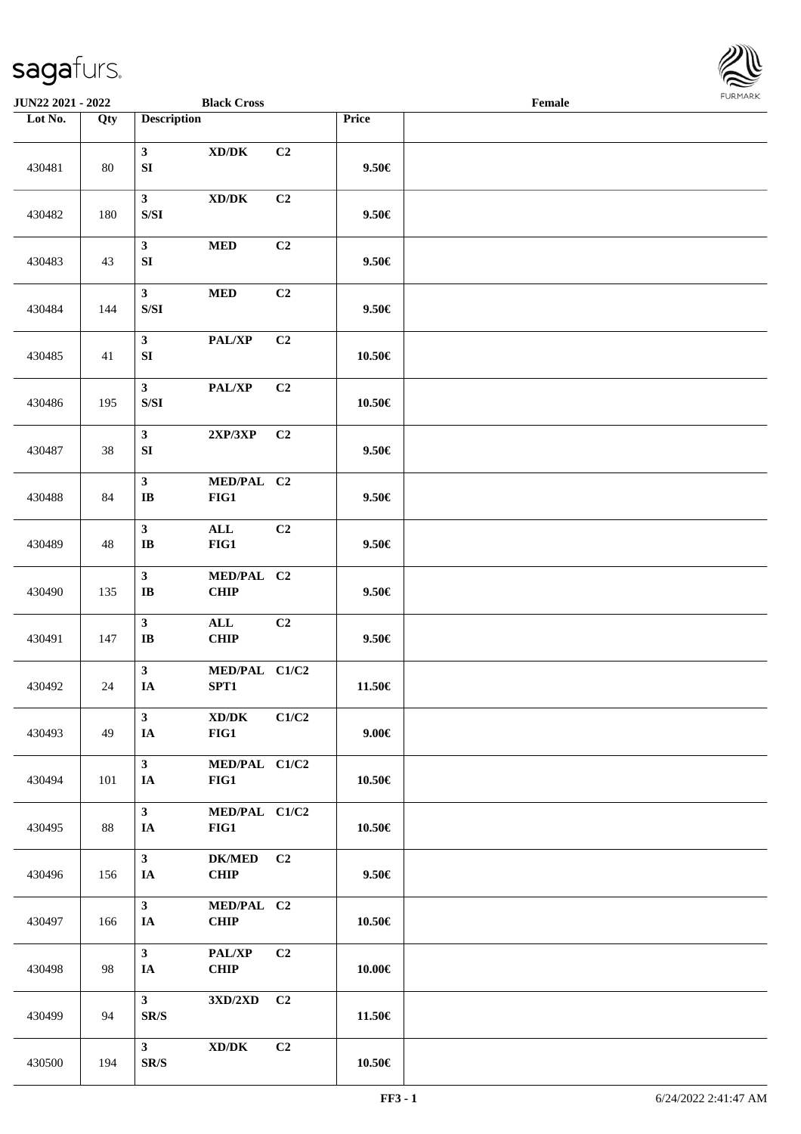

| JUN22 2021 - 2022 |                   |                                                                                                        | <b>Black Cross</b>                                               |                |            | Female |  |
|-------------------|-------------------|--------------------------------------------------------------------------------------------------------|------------------------------------------------------------------|----------------|------------|--------|--|
| Lot No.           | $\overline{Q}$ ty | <b>Description</b>                                                                                     |                                                                  |                | Price      |        |  |
| 430481            | 80                | $\mathbf{3}$<br>${\bf SI}$                                                                             | $\boldsymbol{\mathrm{XD}}\boldsymbol{/}\boldsymbol{\mathrm{DK}}$ | C2             | $9.50 \in$ |        |  |
| 430482            | 180               | $\mathbf{3}$<br>$\ensuremath{\mathrm{S}}\xspace/\ensuremath{\mathrm{S}}\xspace\ensuremath{\mathrm{I}}$ | $\bold{X}\bold{D}/\bold{D}\bold{K}$                              | C2             | $9.50 \in$ |        |  |
| 430483            | 43                | $\mathbf{3}$<br>SI                                                                                     | $\bf MED$                                                        | C2             | $9.50 \in$ |        |  |
| 430484            | 144               | $\mathbf{3}$<br>$\ensuremath{\mathrm{S}}\xspace/\ensuremath{\mathrm{S}}\xspace\ensuremath{\mathrm{I}}$ | $\bf MED$                                                        | C2             | $9.50 \in$ |        |  |
| 430485            | 41                | $\mathbf{3}$<br>${\bf SI}$                                                                             | PAL/XP                                                           | C2             | 10.50€     |        |  |
| 430486            | 195               | $\mathbf{3}$<br>$\ensuremath{\mathrm{S}}\xspace/\ensuremath{\mathrm{S}}\xspace\ensuremath{\mathrm{I}}$ | PAL/XP                                                           | C2             | $10.50\in$ |        |  |
| 430487            | 38                | $\mathbf{3}$<br>${\bf SI}$                                                                             | 2XP/3XP                                                          | C <sub>2</sub> | $9.50 \in$ |        |  |
| 430488            | 84                | $\mathbf{3}$<br>$\bf I\bf B$                                                                           | MED/PAL C2<br>FIG1                                               |                | $9.50 \in$ |        |  |
| 430489            | 48                | $\mathbf{3}$<br>$\bf IB$                                                                               | $\mathbf{ALL}$<br>FIG1                                           | C2             | $9.50 \in$ |        |  |
| 430490            | 135               | $\mathbf{3}$<br>$\bf{IB}$                                                                              | MED/PAL C2<br>CHIP                                               |                | $9.50 \in$ |        |  |
| 430491            | 147               | $\mathbf{3}$<br>$\mathbf{I}\mathbf{B}$                                                                 | $\mathbf{ALL}$<br>CHIP                                           | C2             | $9.50 \in$ |        |  |
| 430492            | $24\,$            | $\mathbf{3}$<br>IA                                                                                     | MED/PAL C1/C2<br>SPT1                                            |                | 11.50€     |        |  |
| 430493            | 49                | $\mathbf{3}$<br>IA                                                                                     | XD/DK<br>FIG1                                                    | C1/C2          | $9.00 \in$ |        |  |
| 430494            | 101               | $\mathbf{3}$<br>IA                                                                                     | MED/PAL C1/C2<br>FIG1                                            |                | 10.50€     |        |  |
| 430495            | 88                | $\mathbf{3}$<br>IA                                                                                     | MED/PAL C1/C2<br>FIG1                                            |                | 10.50€     |        |  |
| 430496            | 156               | 3 <sup>1</sup><br>IA                                                                                   | <b>DK/MED</b><br><b>CHIP</b>                                     | C <sub>2</sub> | $9.50 \in$ |        |  |
| 430497            | 166               | $\mathbf{3}$<br>IA                                                                                     | MED/PAL C2<br><b>CHIP</b>                                        |                | 10.50€     |        |  |
| 430498            | 98                | 3 <sup>1</sup><br>IA                                                                                   | PAL/XP<br><b>CHIP</b>                                            | C2             | 10.00€     |        |  |
| 430499            | 94                | 3 <sup>1</sup><br>SR/S                                                                                 | 3XD/2XD                                                          | C <sub>2</sub> | 11.50€     |        |  |
| 430500            | 194               | 3 <sup>1</sup><br>SR/S                                                                                 | $\bold{X}\bold{D}/\bold{D}\bold{K}$                              | C2             | $10.50\in$ |        |  |